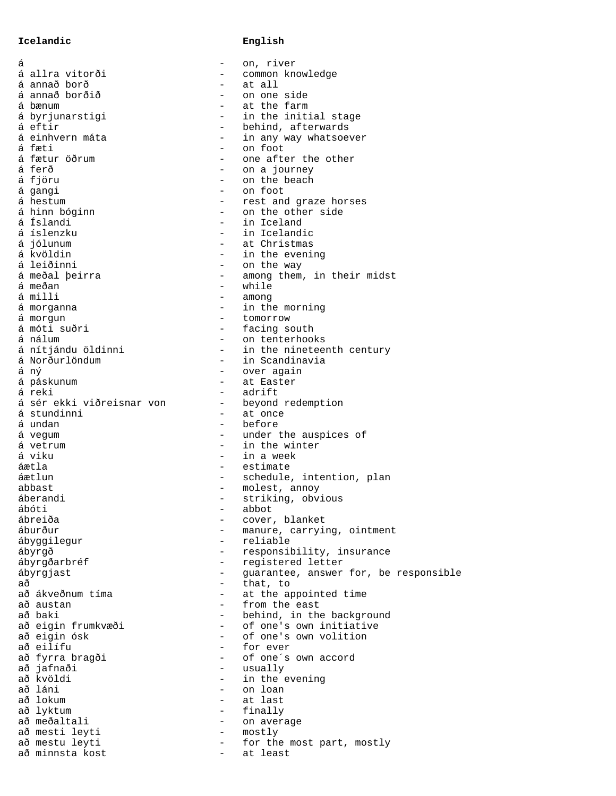## **Icelandic English**

| á                         |                          | on, river                             |
|---------------------------|--------------------------|---------------------------------------|
| á allra vitorði           | $\overline{\phantom{0}}$ | common knowledge                      |
| á annað borð              |                          | at all                                |
| á annað borðið            | $\overline{\phantom{0}}$ | on one side                           |
| á bænum                   | $\overline{\phantom{0}}$ | at the farm                           |
| á byrjunarstigi           | $-$                      | in the initial stage                  |
| á eftir                   | $-$                      | behind, afterwards                    |
| á einhvern máta           | -                        | in any way whatsoever                 |
| á fæti                    | $\overline{\phantom{0}}$ | on foot                               |
| á fætur öðrum             | $-$                      | one after the other                   |
| á ferð                    |                          | on a journey                          |
| á fjöru                   | $\overline{\phantom{0}}$ | on the beach                          |
| á gangi                   | $-$                      | on foot                               |
| á hestum                  | $-$                      | rest and graze horses                 |
| á hinn bóginn             | $-$                      | on the other side                     |
| á Íslandi                 |                          | in Iceland                            |
| á íslenzku                |                          |                                       |
|                           |                          | in Icelandic                          |
| á jólunum                 | $\overline{\phantom{0}}$ | at Christmas                          |
| á kvöldin                 | $\qquad \qquad -$        | in the evening                        |
| á leiðinni                | $\qquad \qquad -$        | on the way                            |
| á meðal þeirra            |                          | among them, in their midst            |
| á meðan                   | $\overline{\phantom{0}}$ | while                                 |
| á milli                   | $\qquad \qquad -$        | among                                 |
| á morganna                |                          | in the morning                        |
| á morgun                  | $\overline{\phantom{0}}$ | tomorrow                              |
| á móti suðri              | $-$                      | facing south                          |
| á nálum                   | $-$                      | on tenterhooks                        |
| á nítjándu öldinni        | $-$                      | in the nineteenth century             |
| á Norðurlöndum            | $-$                      | in Scandinavia                        |
| á ný                      | $\qquad \qquad -$        | over again                            |
| á páskunum                | $\qquad \qquad -$        | at Easter                             |
| á reki                    | -                        | adrift                                |
| á sér ekki viðreisnar von | $\qquad \qquad -$        | beyond redemption                     |
| á stundinni               | $\qquad \qquad -$        | at once                               |
| á undan                   | $-$                      | before                                |
| á vegum                   |                          | under the auspices of                 |
| á vetrum                  | $-$                      | in the winter                         |
| á viku                    |                          | in a week                             |
| áætla                     | $-$                      | estimate                              |
| áætlun                    | -                        | schedule, intention, plan             |
| abbast                    | -                        | molest, annoy                         |
| áberandi                  | $\qquad \qquad -$        | striking, obvious                     |
| ábóti                     |                          | abbot                                 |
| ábreiða                   |                          | cover, blanket                        |
| áburður                   | $\qquad \qquad -$        | manure, carrying, ointment            |
|                           |                          | reliable                              |
| ábyggilegur               | $-$                      |                                       |
| ábyrgð                    |                          | responsibility, insurance             |
| ábyrgðarbréf              | $-$                      | registered letter                     |
| ábyrgjast                 | $-$                      | guarantee, answer for, be responsible |
| аð                        | $-$                      | that, to                              |
| að ákveðnum tíma          | $\overline{\phantom{0}}$ | at the appointed time                 |
| að austan                 | $-$                      | from the east                         |
| að baki                   | $\overline{\phantom{0}}$ | behind, in the background             |
| að eigin frumkvæði        | $-$                      | of one's own initiative               |
| að eigin ósk              | $\overline{\phantom{0}}$ | of one's own volition                 |
| að eilífu                 | $-$                      | for ever                              |
| að fyrra bragði           | $-$                      | of one's own accord                   |
| að jafnaði                | $-$                      | usually                               |
| að kvöldi                 | $\equiv$                 | in the evening                        |
| að láni                   | $\overline{\phantom{0}}$ | on loan                               |
| að lokum                  | $-$                      | at last                               |
| að lyktum                 | $-$                      | finally                               |
| að meðaltali              | -                        | on average                            |
| að mesti leyti            | $-$                      | mostly                                |
| að mestu leyti            | $-$                      | for the most part, mostly             |
| að minnsta kost           | $\sim$ 100 $\mu$         | at least                              |
|                           |                          |                                       |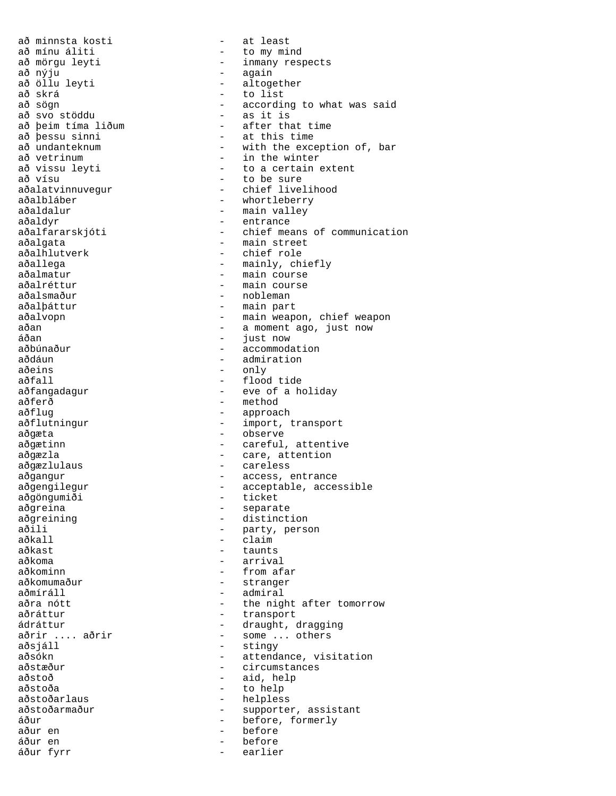að nýju - again að skrá - to list aðeins - only - only - only - only - only - only - only -  $f_{\text{looc}}$ aðferð - method aðgæta - observe aðgöngumiði - ticket<br>aðgreina - separat aðkall - claim<br>aðkast - claim aðkoma - arrival aðmíráll - admiral aðsjáll - stingy - stingy - stingy - stingy - stingy - stingy - stingy - stingy - stingy - stingy - stingy - stingy - stingy - stingy - stingy - stingy - stingy - stingy - stingy - stingy - stingy - stingy - stingy - sting aðstoða - to help áður en - before áður fyrr

að minnsta kosti  $-$  at least að mínu áliti - to my mind að mörgu leyti - inmany respects<br>að nýju - again að öllu leyti<br>
að skrá<br>
að skrá<br>
- to list að sögn - according to what was said að svo stöddu - as it is að þeim tíma liðum - after that time<br>að þessu sinni - at this time að þessu sinni - at this time að undanteknum - with the exception of, bar<br>að vetrinum - - in the winter að vetrinum  $-$  in the winter<br>að vissu leyti  $-$  to a certain - to a certain extent að vísu  $-$  to be sure aðalatvinnuvegur - chief livelihood aðalbláber - whortleberry aðaldalur - main valley aðaldyr - entrance<br>aðalfararskjóti - - entrance - chief means of communication aðalgata - main street<br>aðalhlutverk - chief role aðalhlutverk - chief role<br>aðallega - chief role aðallega - mainly, ch: - mainly, chiefly aðalmatur - main course aðalréttur - main course aðalsmaður - nobleman aðalþáttur - main part aðalvopn - main weapon, chief weapon aðan - a moment ago, just now<br>áðan - a moment ago, just now - siem<br>áðan - just now<br>aðbúnaður - accommoda aðbúnaður - accommodation<br>aðdáun - - admiration aðdáun - admiration aðfall - flood tide<br>aðfangadagur - - - - eve of a ho - eve of a holiday aðflug - approach aðflutningur - import, transport aðgætinn - careful, attentive aðgæzla - care, attention aðgæzlulaus - careless aðgangur - access, entrance aðgengilegur - acceptable, accessible aðgreina - separate - separate<br>aðgreining - distinct aðgreining - distinction<br>aðili - party, pers aðili - party, person<br>aðkall - claim - taunts aðkominn - from afar aðkomumaður - stranger - the night after tomorrow aðráttur - transport ádráttur - draught, dragging aðrir .... aðrir - some ... others<br>aðsjáll - stingy - attendance, visitation aðstæður - circumstances aðstoð - aid, help aðstoðarlaus - helpless aðstoðarmaður - supporter, assistant áður - before, formerly - before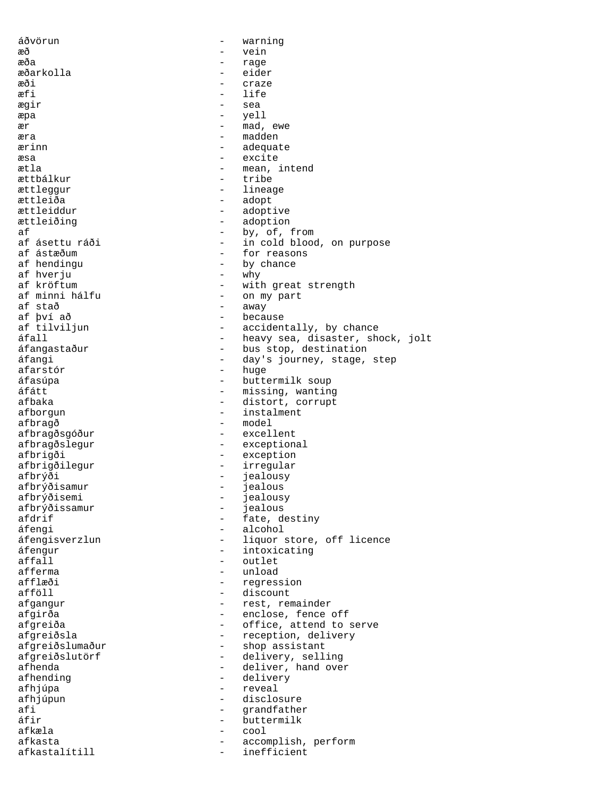áðvörun - warning æð - vein æða - rage - rage - rage - rage - rage - rage - rage - rage - rage - rage - rage - rage - rage - rage - rage æðarkolla - eider æði - craze æfi - life ægir - sea æpa - yell ær - mad, ewe æra - madden ærinn adequate - adequate æsa - excite ætla - mean, intend ættbálkur - tribe ættleggur - lineage<br>ættleiða - adopt - adopt - adopt ættleiddur - adoptive ættleiðing - adoption af - by, of, from af ásettu ráði - in cold blood, on purpose<br>af ástæðum - - - - - for reasons af ástæðum  $\begin{array}{ccc} - &$  for reasons af hendingu - by chance<br>- why af hverju<br>af kröftum af kröftum - with great strength<br>af minni hálfu - on my part af minni hálfu - on my part af stað - away af því að - because - accidentally, by chance áfall - heavy sea, disaster, shock, jolt áfangastaður - bus stop, destination<br>áfangi - day's journey stage áfangi - day's journey, stage, step<br>afarstór - huge - huge afarstór<br>áfasúpa áfasúpa - buttermilk soup - missing, wanting afbaka - distort, corrupt afborgun - instalment afbragð - model<br>afbragðsgóður - model - excellent afbragðsgóður afbragðslegur - exceptional afbrigði - exception afbrigðilegur - irregular<br>afbrýði - jealousy afbrýði - jealousy<br>afbrýðisamur - jealous afbrýðisamur - jealous<br>afbrýðisemi - iealous afbrýðisemi - jealousy<br>afbrýðissamur - jealous afbrýðissamur - jealous<br>afdrif - fate, de afdrif - fate, destiny áfengi - alcohol - alcohol - alcohol - alcohol - alcohol - alcohol - alcohol - alcohol - alcohol - alcohol - alcohol - alcohol - alcohol - alcohol - alcohol - alcohol - alcohol - alcohol - alcohol - alcohol - alcohol - alc - liquor store, off licence áfengur - intoxicating affall - outlet afferma - unload afflæði - regression afföll - discount afgangur - rest, remainder afgirða - enclose, fence off afgreiða - cffice, attend to serve afgreiðsla - reception, delivery<br>afgreiðslumaður - shop assistant afgreiðslumaður - shop assistant<br>afgreiðslutörf - delivery, sell - delivery, selling afhenda - deliver, hand over afhending  $\qquad -$  delivery afhjúpa - reveal afhjúpun - disclosure - disclosure<br>afi - qrandfathe afi - grandfather<br>
afir - buttermilk buttermilk afkæla - cool afkasta - accomplish, perform afkastalítill - inefficient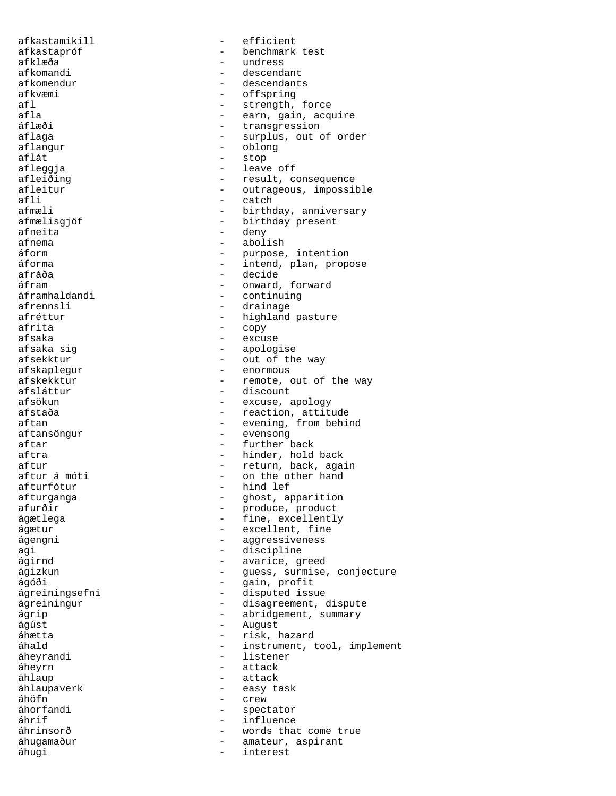afkastamikill - efficient afkastapróf - benchmark test afklæða - undress - undress - undress - undress - undress - undress - undress - undress - undress - undress afkomandi - descendant afkomendur - descendants afkvæmi - offspring<br>afl - strength afl - strength, force<br>afla - earn gain acqu afla - earn, gain, acquire<br>áflæði - earn, gain, acquire - transgression aflaga - surplus, out of order<br>aflangur - colong - colong aflangur - oblong stop afleggja - leave off - result, consequence afleitur - outrageous, impossible<br>afli - catch afli - catch afmæli<br>
afmælisgjöf<br>
- birthday present<br>
- birthday present - birthday present afneita - deny - deny - deny - deny - deny - deny - deny - deny - deny - deny - deny - deny - deny - deny - deny - deny - deny - deny - deny - deny - deny - deny - deny - deny - deny - deny - deny - deny - deny - deny - de afnema - abolish<br>áform - murpose áform - purpose, intention - intend, plan, propose afráða - decide - decide<br>áfram - - onward áfram  $\frac{1}{2}$  - onward, forward<br>áframhaldandi - continuing áframhaldandi - continuing<br>afrennsli - drainage - drainage afréttur  $-$  highland pasture afrita - copy afsaka - excuse - apologise afsekktur - out of the way afskaplegur - enormous afskekktur - remote, out of the way<br>afsláttur - discount - discount - discount afsökun - excuse, apology afstaða - reaction, attitude aftan - evening, from behind<br>aftansöngur - evensong - evensong - evensong aftar - further back aftra  $\qquad \qquad$  - hinder, hold back aftur - return, back, again aftur á móti - on the other hand afturfótur - hind lef afturfótur - hind lef - ghost, apparition afurðir - produce, product ágætlega - fine, excellently ágætur - excellent, fine ágengni en magazine aggressiveness agi - discipline ágirnd - avarice, greed ágizkun - guess, surmise, conjecture ágóði - gain, profit ágreiningsefni - disputed issue ágreiningur - disagreement, dispute ágrip - abridgement, summary ágúst - August áhætta - risk, hazard áhald - instrument, tool, implement<br>áheyrandi - listener - listener áheyrn - attack áhlaup - attack áhlaupaverk - easy task áhöfn - crew - spectator<br>- influence áhrif  $-$  influence áhrinsorð - words that come true áhugamaður - amateur, aspirant<br>áhugi áhugi - interest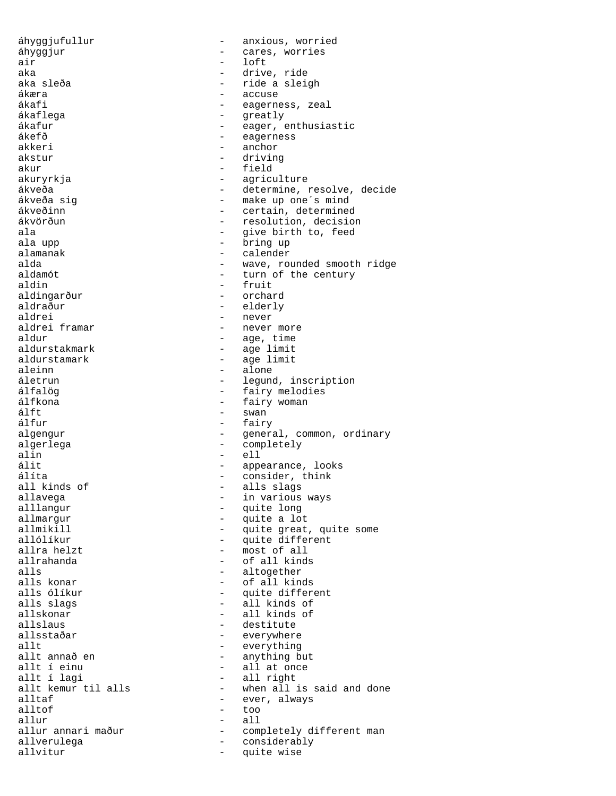áhyggjufullur - anxious, worried áhyggjur - cares, worries air - loft aka - drive, ride aka sleða - ride a sleigh<br>ákæra - ride a sleigh ákæra - accuse ákafi - eagerness, zeal<br>ákaflega - eagerness, zeal ákaflega - greatly - eager, enthusiastic ákefð - eagerness<br>akkeri - enchor - anchor akstur - driving akur - field akuryrkja - agriculture ákveða - determine, resolve, decide<br>ákveða sig - - - - - - - - - - - - make up one's mind ákveða sig - make up one´s mind ákveðinn - certain, determined ákvörðun - resolution, decision ala  $\begin{array}{ccc} - & - & \text{give birth to, feed} \\ \text{ala upp} & - & \text{bring up} \end{array}$ ala upp - bring up alamanak - calender<br>alda - wave rou alda - wave, rounded smooth ridge<br>aldamót - turn of the century aldamót - turn of the century<br>aldin - fruit aldin - fruit aldingarður - orchard - elderly aldrei - never<br>aldrei framar - never - never aldrei framar and the mever more<br>aldur - age, time aldur - age, time aldurstakmark - age limit<br>aldurstamark - age limit aldurstamark - age limit<br>aleinn - alone aleinn - alone - alone - alone - alone - alone - alone - alone - alone - alone - alone - alone - alone - alone áletrun - legund, inscription<br>álfalög - legund, inscription - fairy melodies álfkona - fairy woman álft - swan - fairy algengur - General, common, ordinary algerlega - completely alin -  $\epsilon$  -  $\epsilon$  -  $\epsilon$  -  $\epsilon$  -  $\epsilon$  -  $\epsilon$  -  $\epsilon$  -  $\epsilon$  -  $\epsilon$  -  $\epsilon$  -  $\epsilon$  -  $\epsilon$  -  $\epsilon$  -  $\epsilon$  -  $\epsilon$  -  $\epsilon$  -  $\epsilon$  -  $\epsilon$  -  $\epsilon$  -  $\epsilon$  -  $\epsilon$  -  $\epsilon$  -  $\epsilon$  -  $\epsilon$  -  $\epsilon$  -  $\epsilon$  -  $\epsilon$  -  $\epsilon$  -  $\epsilon$  -  $\epsilon$  -  $\epsilon$ álit - appearance, looks álíta - consider, think all kinds of  $\qquad \qquad$  - alls slags<br>allavega allavega - in various ways alllangur - quite long allmargur - quite a lot allmikill  $\begin{array}{ccc} - & - & \text{quite great, quite some} \\ - & - & \text{quite different} \end{array}$ allólíkur - quite different<br>allra helzt - most of all allra helzt<br>allrahanda - most of all kind<br>- of all kind - of all kinds alls - altogether alls konar - of all kinds alls ólíkur - quite different alls slags and the state of the state of all kinds of all kinds of all kinds of all kinds of all kinds of all kinds of all kinds of all kinds of all kinds of all kinds of all kinds of all kinds of all kinds of all kinds of allskonar - all kinds of allslaus - destitute allsstaðar - everywhere<br>allt - everything allt - everything allt annað en - anything but allt í einu - all at once allt í lagi - all right allt kemur til alls - when all is said and done<br>alltaf - ever. always - ever, always alltof  $\qquad \qquad$  too allur - all - completely different man allverulega - considerably allvitur - quite wise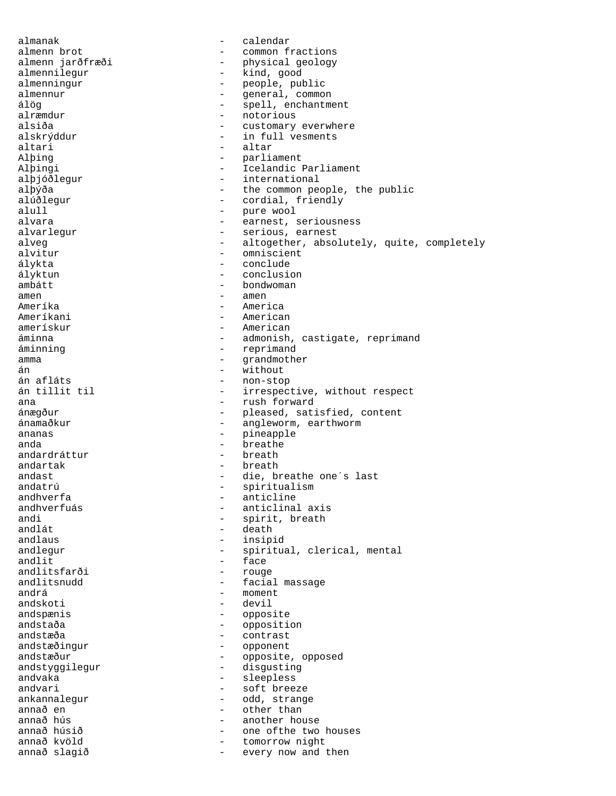almanak - calendar almenn brot - common fractions<br>almenn jarðfræði - - - - - - - - physical geology physical geology almennilegur - kind, good almenningur - people, public almennur common almennur - general, common álög<br>álög - spell, enchantment<br>alræmdur - notorious alræmdur - notorious customary everwhere alskrýddur - in full vesments altari - altar - parliament Alþingi - Icelandic Parliament alþjóðlegur - international alþýða - the common people, the public<br>alúðlegur - cordial, friendly - cordial, friendly alull - pure wool alvara  $\qquad \qquad \qquad -$  earnest, seriousness alvarlegur - serious, earnest alveg  $-$  altogether, absolutely, quite, completely alvitur alvitur - omniscient - omniscient - omniscient - omniscient - omniscient - omniscient - omniscient - omniscient - omniscient - omniscient - omniscient - omniscient - omniscient - omniscient - omniscient - omniscient - omni - conclude ályktun - conclusion ambátt - bondwoman amen - amen<br>Ameríka - Amerika - Amerika Ameríka - America Ameríkani - American amerískur - American áminna - admonish, castigate, reprimand áminning extensive terminand and the extension of the reprimand amma - grandmother án - without án afláts - non-stop - irrespective, without respect ana  $\qquad \qquad \qquad -$  rush forward ánægður - pleased, satisfied, content ánamaðkur - angleworm, earthworm ananas - pineapple anda - breathe - breathe - breathe - breathe - breathe - breathe - breathe - breathe - breathe - breathe - breath andardráttur andartak - breath andast - die, breathe one's last<br>
andatrú - - - - - - - - - spiritualism andatrú - spiritualism<br>
andhverfa - spiritualism<br>
- anticline andhverfa - anticline - anticline<br>andhverfuás - anticlina andhverfuás - anticlinal axis<br>andi - anticlinal axis andi - spirit, breath<br>andlát - death<br>- death andlát - death andlaus - insipid<br>andlegur - spiritu andlegur - spiritual, clerical, mental<br>andlit - face<br>face - face andlitsfarði - rouge andlitsnudd andlitsnudd - facial massage andrá - moment andskoti - devil andspænis - opposite andstaða - opposition<br>
andstæða - ontrast andstæða - contrast<br>andstæðingur - - contrast - opponent andstæður - opposite, opposed andstyggilegur - disgusting andvaka - sleepless<br>andvari - softbree - soft breeze ankannalegur - odd, strange annað en - other than annað hús - another house annað húsið - one ofthe two houses - tomorrow night annað slagið  $-$  every now and then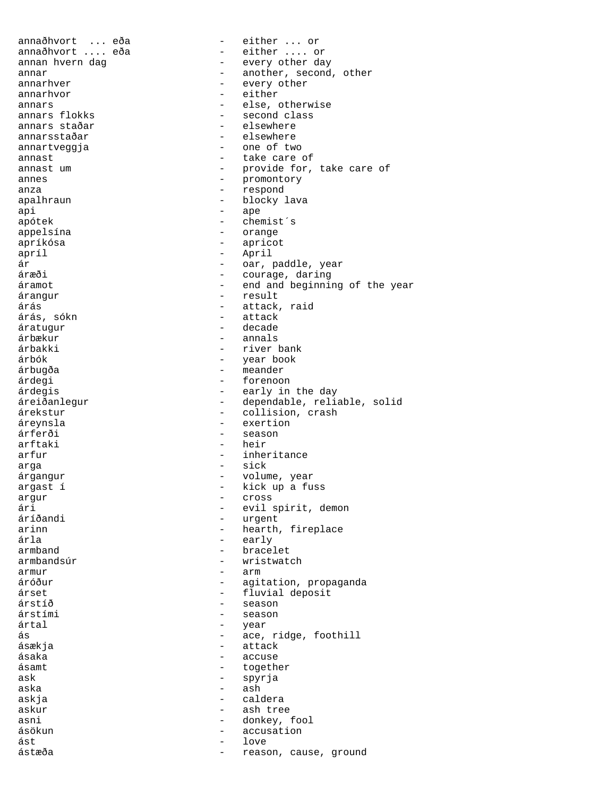annaðhvort ... eða - either ... or<br>annaðhvort .... eða - - either .... or annaðhvort .... eða annan hvern dag  $\qquad \qquad$  - every other day annar  $\overline{a}$  another, second, other annarhver - every other<br>annarhvor - either annarhvor annars  $\begin{array}{ccc} \text{annars} & \text{else, otherwise} \\ \text{annars flokks} & \text{else} \\ \end{array}$ annars flokks - second class - elsewhere annarsstaðar - elsewhere<br>annartveggja - - one of two annartveggja annast announce are of annast um  $-$  provide for, take care of annes - promontory anza - respond apalhraun - blocky lava api - ape apótek - chemist<sup>'</sup>s appelsína - orange apríkósa - apricot apríl - April ár - oar, paddle, year áræði - courage, daring - end and beginning of the year árangur - result árás - attack, raid árás, sókn - attack áratugur - decade árbækur - annals árbakki - river bank árbók - year book árbugða - meander árdegi - forenoon - early in the day áreiðanlegur - dependable, reliable, solid árekstur - collision, crash áreynsla - exertion árferði - season arftaki - heir arfur - inheritance arga - sick<br>árgangur - sick - sick árgangur  $\sim$  - volume, year argast í  $-$  kick up a fuss argur - cross ári - evil spirit, demon áríðandi - urgent - urgent<br>arinn - hearth arinn - hearth, fireplace<br>
arla - early árla - early armband<br>
armbandsúr<br>
- wristwater<br>
- wristwater - wristwatch armur  $-$  arm áróður - agitation, propaganda árset - fluvial deposit - season árstími - season - year ás - ace, ridge, foothill ásækja - attack - accuse ásamt - together ask  $-$  spyrja aska  $-$  ash askja - caldera askur - ash tree asni - donkey, fool ásökun - accusation ást - love ástæða - reason, cause, ground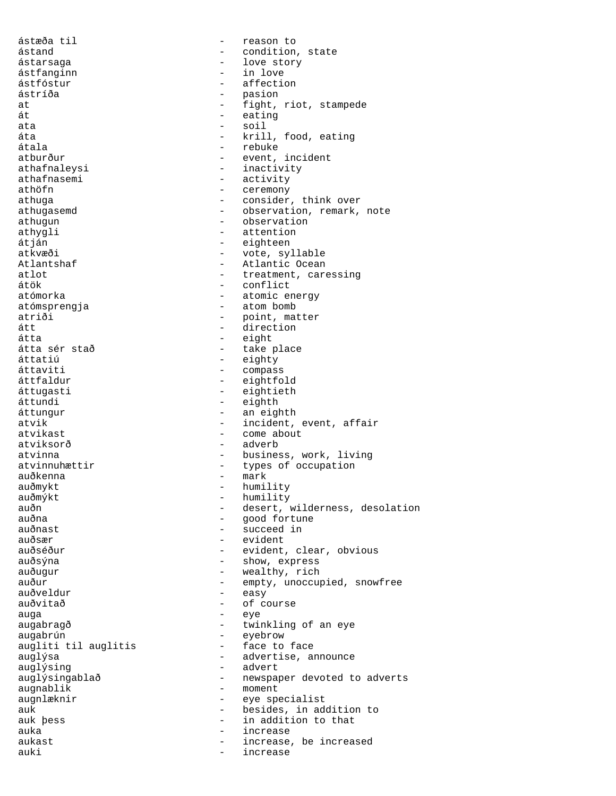ástæða til  $-$  reason to ástand - condition, state ástarsaga - love story ástfanginn - in love ástfóstur - affection – pasion<br>- fight. at - fight, riot, stampede át - eating - soil áta - krill, food, eating<br>átala - krill, food, eating átala - rebuke atburður - event, incident<br>athafnalevsi - inactivity - inactivity athafnasemi - activity athöfn - ceremony athuga - consider, think over athugasemd - observation, remark, note athugun - observation athygli - attention<br>
atján - eighteen<br>
- eighteen átján - eighteen atkvæði - vote, syllable<br>Atlantshaf - Atlantic Ocean - Atlantic Ocean atlot  $\overline{a}$  - treatment, caressing<br>  $\overline{a}$  - conflict átök - conflict<br>atómorka - conflict<br>- atomic er - atomic energy atómsprengja - atom bomb atriði - point, matter átt - direction átta - eight átta sér stað stað stað - take place<br>áttatiú - eighty áttatiú - eighty áttaviti - compass<br>áttfaldur - eightfo áttfaldur - eightfold<br>áttugasti - eightieth áttugasti - eightieth<br>áttundi - eighth - eighth áttungur - an eighth atvik - incident, event, affair<br>atvikast - come about - come about atviksorð - adverb atvinna <br/>
- business, work, living atvinnuhættir  $-$  types of occupation auðkenna - mark auðmykt - humility auðmýkt - humility<br>auðn - desert, auðn - desert, wilderness, desolation auðna - good fortune - succeed in auðsær - evident auðséður - evident, clear, obvious auðsýna - show, express auðugur - wealthy, rich auður - empty, unoccupied, snowfree<br>
- easy auðveldur - easy auðvitað - of course<br>auga - eve auga - eye augabragð - twinkling of an eye<br>
augabrún - twinkling of an eye augabrún<br>augliti til auglitis - eyebrow<br>- face to face augliti til auglitis auglýsa  $-$  advertise, announce auglýsing  $\overline{\phantom{a}}$  advert auglýsingablað - newspaper devoted to adverts augnablik - moment<br>augnlæknir - eve spe augnlæknir - eye specialist auk - besides, in addition to<br>auk bess - in addition to that auk þess  $\qquad \qquad -$  in addition to that auka - increase aukast - increase, be increased auki - increase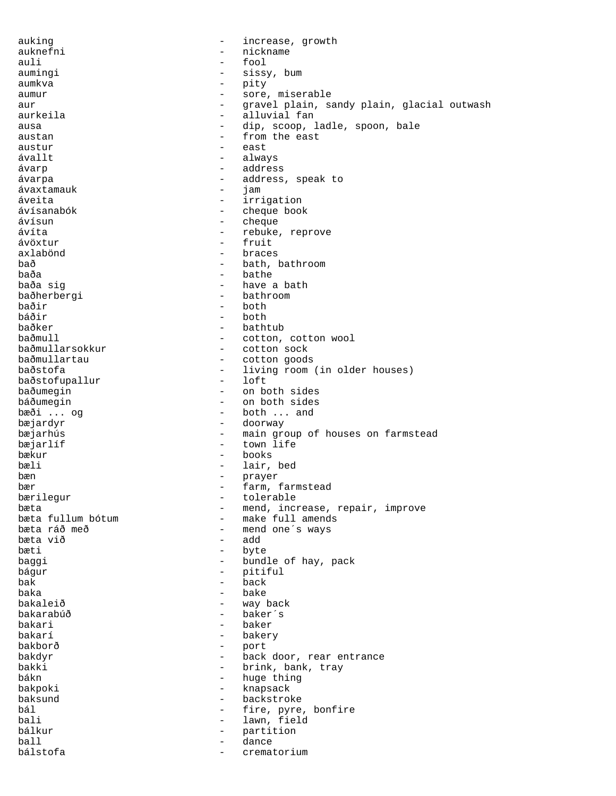auking  $-$  increase, growth auknefni - nickname auli - fool - fool - fool - fool - fool - fool - fool - fool - sissy - sissy, bum aumkva – pity – pity – pity – pity – pity – pity – pity – pity – pity – pity – pity – pity – pity – pity – pity – pity – pity – pity – pity – pity – pity – pity – pity – pity – pity – pity – pity – pity – pity – pity – pit aumur - sore, miserable aur aur - gravel plain, sandy plain, glacial outwash aurkeila - alluvial fan ausa - dip, scoop, ladle, spoon, bale austan - from the east<br>austur - east - east  $ávallt$   $-$  always ávarp - address ávarpa - address, speak to ávaxtamauk - jam áveita - irrigation ávísanabók - cheque book ávísun - cheque ávíta - rebuke, reprove<br>ávöxtur - rebuke, reprove ávöxtur - fruit axlabönd - braces bað - bath, bathroom baða - bathe - bathe - bathe - bathe - bathe - bathe - bathe - bathe - bathe - bathe - bathe - bathe - bathe -- have a bath<br>- bathroom baðherbergi baðir - both báðir - both baðker - bathtub - bathtub - bathtub - bathtub - cotton, baðmull<br>baðmullarsokkur - cotton, cotton wool<br>- cotton sock baðmullarsokkur - cotton sock<br>baðmullartau - - cotton qoods baðmullartau - cotton goods - living room (in older houses)<br>- loft baðstofupallur<br>baðumegin - on both sides báðumegin - on both sides bæði ... og  $-$  both ... and bæjardyr - doorway bæjarhús - main group of houses on farmstead bæjarlíf  $-$  town life bækur - books bæli - lair, bed bæn - prayer bær - farm, farmstead bærilegur - tolerable bæta  $\overline{\phantom{a}}$  - mend, increase, repair, improve bæta fullum bótum - make full amends bæta fullum bótum - make full amends<br>bæta ráð með - mend one's ways - mend one´s ways<br>- add bæta við bæti - byte baggi  $-$  bundle of hay, pack bágur - pitiful  $\overline{bak}$  -  $\overline{back}$ baka - bake - bake - bake - bake - bake - bake - bake - bake - bake - bake - bake - bake - bake - bake - bake bakaleið - way back bakarabúð - baker´s bakari - baker bakarí - bakery bakborð - port - back door, rear entrance bakki - brink, bank, tray<br>bákn - huge thing - huge thing bakpoki - knapsack - backstroke bál  $-$  fire, pyre, bonfire bali - lawn, field<br>bálkur - partition - partition ball - dance crematorium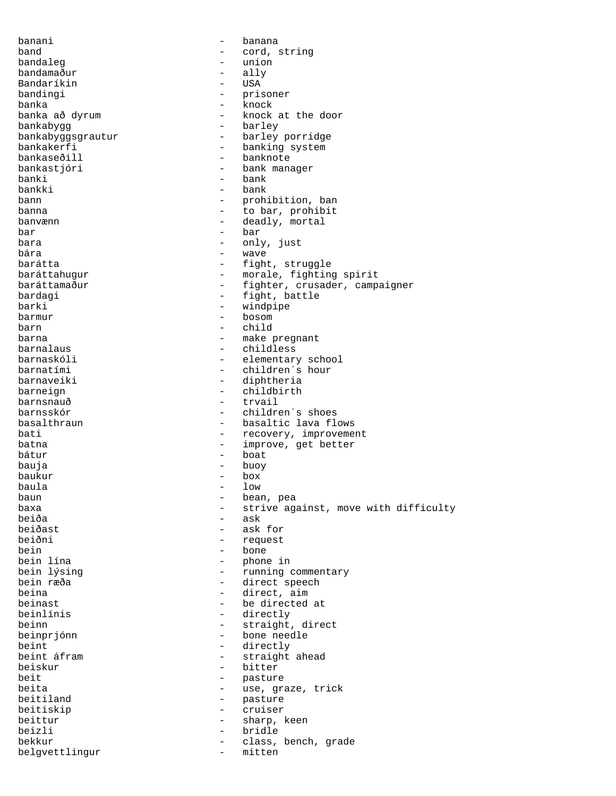banani - banana band - cord, string bandaleg  $-$  union bandamaður - ally Bandaríkin - USA bandingi  $-$  prisoner banka - knock banka að dyrum - knock at the door<br>bankabygg bankabygg - barley - barley porridge bankakerfi - banking system bankaseðill - banknote bankastjóri - bank manager banki - bank bankki - bank bann - prohibition, ban banna  $-$  to bar, prohibit banvænn - deadly, mortal<br>har - har - har  $bar$  - bar  $-$  bar  $-$  cnl bara - only, just bára - wave - wave - wave - wave - wave - wave - wave - wave - wave - wave - wave - wave -  $\sim$ barátta  $-$  fight, struggle baráttahugur - morale, fighting spirit baráttamaður - fighter, crusader, campaigner bardagi  $-$  fight, battle barki - windpipe barmur - bosom barn - child barna  $-$  make pregnant barnalaus - childless barnaskóli - elementary school - children´s hour barnaveiki - diphtheria barneign - childbirth barnsnauð - trvail barnsskór - children´s shoes basalthraun **-** basaltic lava flows bati  $-$  recovery, improvement batna  $-$  improve, get better bátur - boat bauja - buoy baukur - box baula - low baun - bean, pea baxa - strive against, move with difficulty beiða - ask<br>beiðast - ask - ask beiðast - ask for beiðni - request bein - bone<br>
bein lína - bone - bone - phone in bein lýsing  $-$  running commentary bein ræða - direct speech beina  $-$  direct, aim beinast  $\qquad \qquad$  - be directed at beinlínis - directly<br>heinn - straight beinn - straight, direct<br>beinprjónn - bone needle bone needle beint<br>
beint afram<br>
beint afram<br>
and the straight of the straight - straight ahead beiskur - bitter beit  $-$  pasture beita  $-$  use, graze, trick beitiland - pasture beitiskip - cruiser beittur - sharp, keen beizli - bridle bekkur - class, bench, grade belgvettlingur - mitten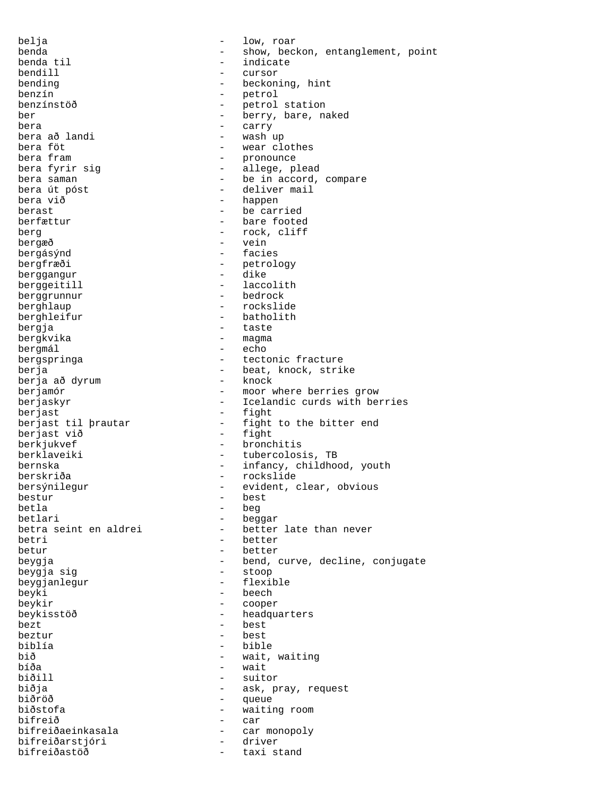belja - low, roar benda - show, beckon, entanglement, point<br>benda til - indicate - indicate bendill - cursor bending  $-$  beckoning, hint benzín - petrol benzínstöð - petrol station ber - berry, bare, naked<br>hera - carry bera - carry bera að landi - wash up bera föt - wear clothes - pronounce bera fyrir sig and the control of the plead bera fyrir sig bera saman  $-$  be in accord, compare bera út póst  $-$  deliver mail bera við  $-$  happen berast - be carried berfættur - bare footed berg - rock, cliff<br>bergæð - vein bergæð - vein - facies bergfræði - petrology<br>
berggangur - dike berggangur - dike berggeitill  $\qquad -$  laccolit<br>berggrunnur - bedrock berggrunnur<br>berghlaup - rockslide berghleifur - batholith bergja - taste bergkvika - magma bergmál - echo bergspringa  $-$  tectonic fracture berja<br>
berja - beat, knock, strike<br>
berja að dvrum - knock - knock berja að dyrum<br>berjamór berjamór - moor where berries grow - Icelandic curds with berries berjast<br>berjast til þrautar - fight<br>- fight - fight to the bitter end<br>- fight berjast við berkjukvef - bronchitis berklaveiki - tubercolosis, TB bernska - infancy, childhood, youth berskriða - rockslide bersýnilegur - evident, clear, obvious bestur - best betla - beg betlari - beggar<br>betra seint en aldrei - better - better late than never betri - better betur - better beygja - bend, curve, decline, conjugate<br>beygja sig - stoop - stoop beygja sig beygjanlegur - flexible beyki - beech beykir - cooper beykisstöð - headquarters  $\frac{1}{2}$  best  $\frac{1}{2}$  best beztur - best biblía - bible bið - wait, waiting - wait biðill - suitor biðja - ask, pray, request biðröð - queue biðstofa - waiting room bifreið - car bifreiðaeinkasala - car monopoly bifreiðarstjóri - driver bifreiðastöð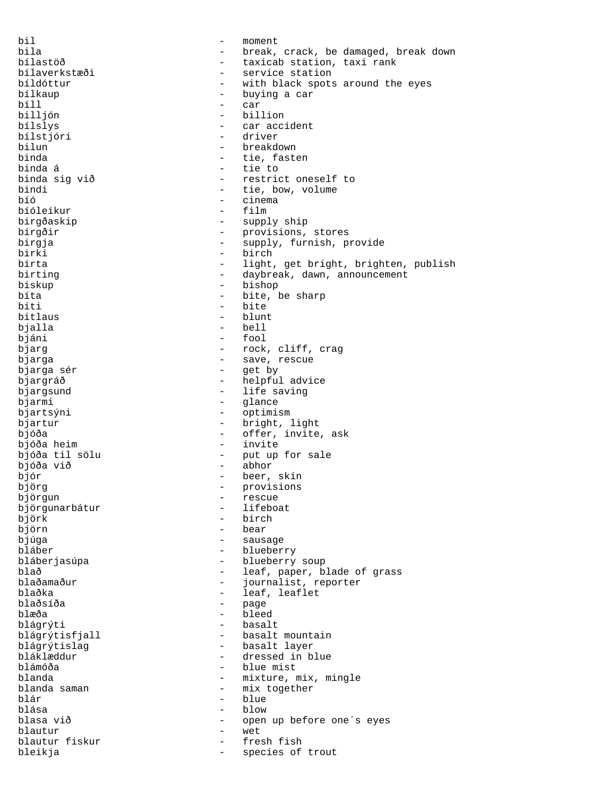bil - moment bila - break, crack, be damaged, break down bílastöð - taxicab station, taxi rank bílaverkstæði - service station bíldóttur - with black spots around the eyes<br>bílkaup - buying a car bílkaup - buying a car bíll - car billjón - billion - car accident<br>- driver bílstjóri bilun - breakdown<br>binda - tie faste - tie, fasten binda á - tie to binda sig við  $-$  restrict oneself to bindi - tie, bow, volume - cinema<br>- film bíóleikur birgðaskip - supply ship birgðir - provisions, stores birgja - supply, furnish, provide birki - birch - light, get bright, brighten, publish birting - daybreak, dawn, announcement biskup - bishop bíta - bite, be sharp<br>biti - bite - bite bitlaus - blunt bjalla - bell bjáni - fool bjarg  $-$  rock, cliff, crag bjarga - save, rescue - get by bjargráð  $-$  helpful advice bjargsund <a>>
- life saving<br/>
bjarmi - glance bjartsýni - optimism bjartur - bright, light bjóða - offer, invite, ask bjóða heim  $-$  invite bjóða til sölu - put up for sale bjóða við - abhor bjór - beer, skin björg - provisions - viljörgun<br>björgun - rescue<br>björgunarbátur - lifeboat björgunarbátur björk - birch - bear bjúga - sausage - sausage bláber - blueberry bláberjasúpa - blueberry soup blað - leaf, paper, blade of grass blaðamaður - journalist, reporter blaðka - leaf, leaflet<br>blaðsíða - mage blaðsíða - page blæða - bleed blágrýti - basalt blágrýtisfjall - basalt mountain<br>blágrýtislag - basalt layer blágrýtislag - basalt layer bláklæddur - dressed in blue - blue mist blanda  $-$  mixture, mix, mingle blanda saman - mix together<br>blár - blue - blue blása - blow blasa við  $-$  open up before one's eyes blautur - wet blautur fiskur - fresh fishur - fresh fishur - fresh fishur - fresh fishur - fresh fishur - fresh fishur - fresh fishur - fresh fishur - fresh fishur - fresh fishur - fresh fishur - fresh fishur - fresh fishur - fresh fish bleikja - species of trout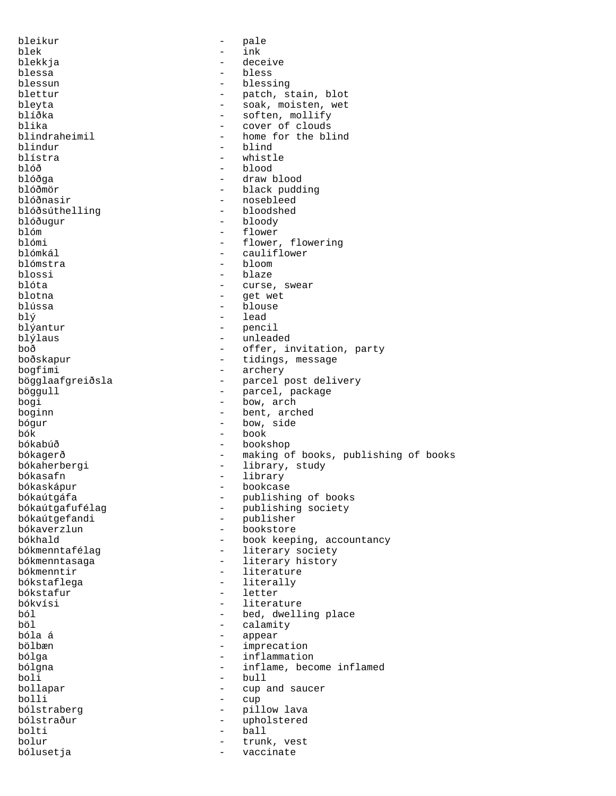bleikur - pale blek - ink blekkja - deceive blessa - bless blessun - blessing<br>blettur - patch, s blettur - patch, stain, blot bleyta - soak, moisten, wet blíðka - soften, mollify<br>blika - cover of clouds blika  $\qquad \qquad -$  cover of clouds<br>blindraheimil  $\qquad \qquad -$  home for the bl blindraheimil - home for the blind<br>hindur - hiind blindur - blind blístra - whistle blóð - blood blóðga - draw blood blóðmör - black pudding - nosebleed<br>- bloodshed blóðsúthelling blóðugur - bloody<br>blóm - flower blóm - flower blómi - flower, flowering<br>blómkál - cauliflower blómkál - cauliflower - bloom blossi - blaze<br>blóta - curse blóta - curse, swear blotna - get wet - blouse  $bl\circ$  - lead blýantur - lead - penc blýantur - pencil blýlaus - unleaded boð<br>
boðskapur<br>
boðskapur<br>
- tidings, message boðskapur - tidings, message<br>bogfimi - archery bogfimi - archery<br>bögglaafgreiðsla - parcel p - parcel post delivery böggull - parcel, package bogi - bow, arch boginn - bent, arched<br>
bógur - bow, side bógur - bow, side bók - book bókabúð - bookshop bókagerð - making of books, publishing of books bókaherbergi  $-$  library, study bókasafn - library bókaskápur - bookcase bókaútgáfa - publishing of books<br>bókaútgafufélag - - publishing society bókaútgafufélag - publishing society bókaútgefandi - publisher<br>bókaverzlun - bookstore bókaverzlun - bookstore bókhald - book keeping, accountancy<br>bókmenntafélag - - - - - - - - literary society - literary society bókmenntasaga - literary history bókmenntir  $-$  literature bókstaflega - literally bókstafur - letter bókvísi - literature - literature - literature - literature - literature - literature - literature - literature ból - bed, dwelling place böl - calamity bóla á - appear bölbæn - imprecation - inflammation bólgna  $-$  inflame, become inflamed boli - bull - cup and saucer bolli - cup<br>bólstraberg - pill - pillow lava<br>- upholstered bólstraður - upholstered bolti - ball bolur - trunk, vest bólusetja - vaccinate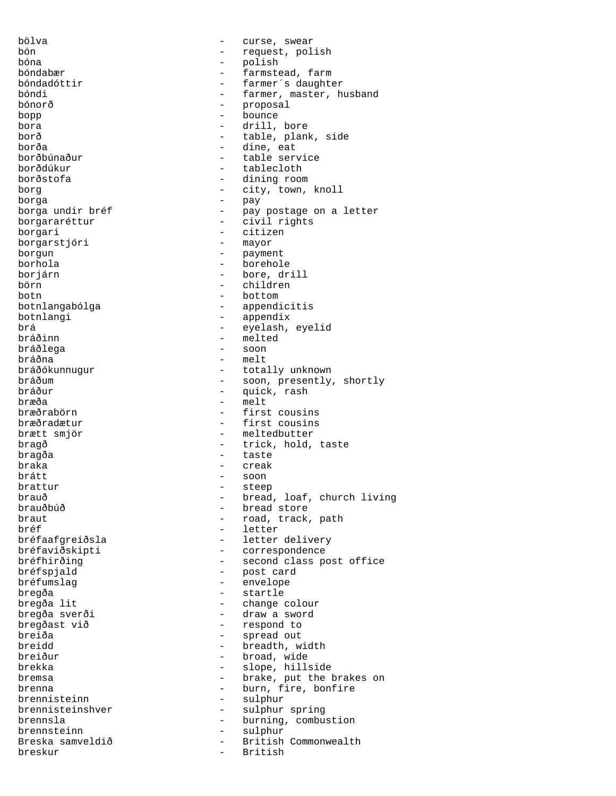bölva - curse, swear bón - request, polish bóna - polish bóndabær - farmstead, farm bóndadóttir - farmer´s daughter bóndi - farmer, master, husband<br>bónorð - farmer, master, husband - proposal<br>- bounge bopp - bounce - drill, bore borð - table, plank, side borða - dine, eat borðbúnaður - table service - tablecloth borðstofa - dining room borg  $-$  city, town, knoll borga - pay borga undir bréf - pay postage on a letter borgararéttur - civil rights borgari - citizen<br>borgarstióri - mayor borgarstjóri borgun - payment borhola - borehole borjárn - bore, drill börn - children botn - bottom botnlangabólga - appendicitis botnlangi - appendix brá - eyelash, eyelid - melted bráðlega - soon bráðna - melt bráðókunnugur - totally unknown bráðum - soon, presently, shortly<br>bráður - son, presently, shortly  $\frac{\partial u}{\partial x}$  bráður - quick, rash bræða - melt<br>bræðrabörn - melt - first - first cousins bræðradætur - first cousins brætt smjör - meltedbutter bragð  $-$  trick, hold, taste bragða - taste braka - creak brátt - soon brattur - steep brauð - bread, loaf, church living<br>brauðbúð - - bread store brauðbúð - bread store braut  $\begin{array}{ccc} b_{\text{rad}} & b_{\text{rad}} & b_{\text{rad}} \\ b_{\text{rad}} & b_{\text{rad}} & b_{\text{rad}} \end{array}$ bréf - letter - letter delivery bréfaviðskipti - correspondence bréfhirðing  $-$  second class post office bréfspjald - post card bréfumslag - envelope bregða - startle - startle - startle - startle - startle - startle - startle - startle - startle - startle - startle - startle - startle - startle - startle - startle - startle - startle - startle - startle - startle - sta - change colour bregða sverði - draw a sword bregðast við - respond to breiða - spread out<br>breidd - spread out - hreadth w breidd - breadth, width<br>
breidur - broad wide - broad, wide brekka - slope, hillside bremsa - brake, put the brakes on brenna  $-$  burn, fire, bonfire brennisteinn - sulphur brennisteinshver - sulphur spring<br>brennsla - burning, combu - burning, combustion<br>- sulphur brennsteinn - sulphur - sulphur<br>Breska samveldið - British - British Commonwealth<br>- British breskur - British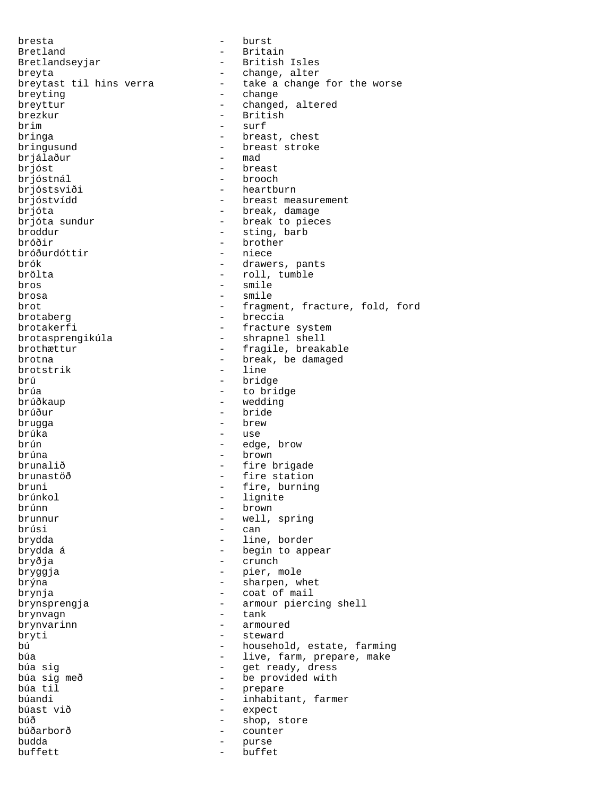bresta - burst Bretland - Britain Bretlandseyjar - British Isles breyta<br>breytast til hins verra - change, alter<br>- take a change - take a change for the worse breyting  $\qquad$  - change breyttur - changed, altered brezkur - changed, altered brezkur - British brezkur - British - British - British - British - Surf - surf bringa  $-$  breast, chest bringusund - breast stroke<br>briálaður - mad brjálaður brjóst - breast brjóstnál - brooch brjóstsviði - heartburn brjóstvídd - breast measurement brjóta  $\frac{1}{2}$ break, damage brjóta sundur  $\frac{1}{2}$  - break to piec brjóta sundur  $-$  break to pieces<br>broddur  $-$  sting, barb broddur - sting, barb - brother<br>- niece bróðurdóttir<br>brók - drawers, pants brölta - roll, tumble bros - smile brosa - smile brot  $-$  fragment, fracture, fold, ford brotaberg - breccia brotakerfi - fracture system brotasprengikúla - shrapnel shell brothættur - fragile, breakable brotna - break, be damaged brotstrik - 1ine brotstrik<br>brú brú - bridge<br>brúa - bridge - bridge brúa - to bridge<br>brúðkaup - to bridge - wedding brúður - bride brugga - brew brúka - use brún - edge, brow brúna - brown brunalið - fire brigade brunastöð - fire station bruni - fire, burning<br>brúnkol - lignite brúnkol - lignite brúnn - brown brunnur - well, spring<br>brúsi - can - can brydda - line, border brydda á **-** begin to appear bryðja - crunch bryggja - pier, mole brýna - sharpen, whet brynja - coat of mail brynsprengja - armour piercing shell<br>brynvagn - - tank - tank brynvagn - tank brynvarinn - armoured - armoured - armoured - armoured - armoured - armoured - armoured - armoured bryti - steward bú - household, estate, farming búa  $-$  live, farm, prepare, make búa sig - get ready, dress búa sig með - be provided with<br>búa til - prepare búa til - prepare - inhabitant, farmer búast við - expect búð - shop, store búðarborð - counter budda - purse buffett - buffet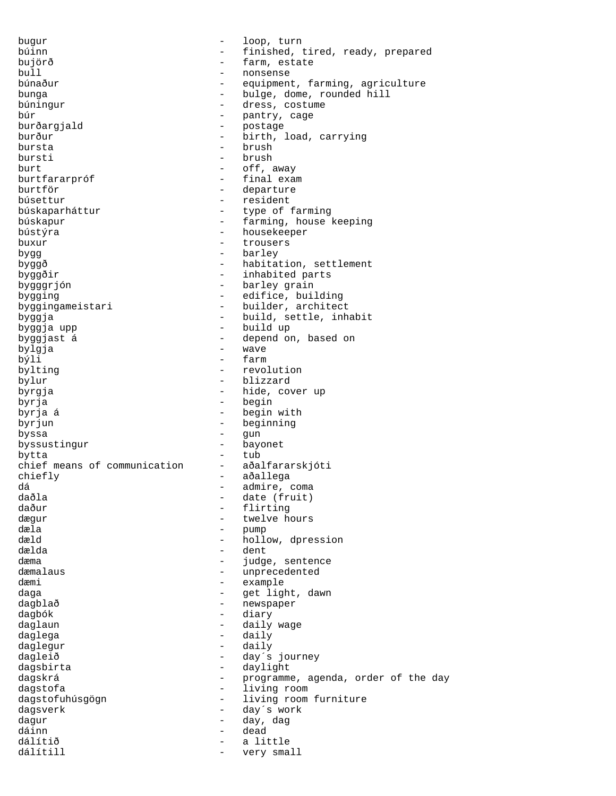bugur - loop, turn búinn - finished, tired, ready, prepared<br>
- farm estate<br>
- farm estate bujörð - farm, estate - nonsense búnaður - equipment, farming, agriculture bunga  $-$  bulge, dome, rounded hill búningur - dress, costume búr - pantry, cage burðargjald - postage burður - birth, load, carrying bursta - brush bursti - brush burt - off, away burtfararpróf <br/> - final exam burtför - departure búsettur - resident búskaparháttur - type of farming búskapur - farming, house keeping bústýra - housekeeper buxur - trousers bygg - barley byggð - habitation, settlement byggðir - inhabited parts bygggrjón  $-$  barley grain bygging  $-$  edifice, building byggingameistari - builder, architect byggja - build, settle, inhabit byggja upp - build up byggjast á - depend on, based on bylgja - wave býli - farm bylting  $-$  revolution bylur - blizzard byrgja - hide, cover up byrja - begin byrja á - begin with - beginning byssa - gun<br>byssustingur - bayonet - bayonet byssustingur bytta - tub chief means of communication chiefly - aðallega dá - admire, coma daðla - date (fruit) - flirting<br>- twelve.h dægur - twelve hours<br>dæla - twelve hours dæla - pump - hollow, dpression dælda - dent dæma  $-$  judge, sentence dæmalaus - unprecedented dæmi - example daga - Green Communication - get light, dawn dagblað - newspaper dagbók - diary daglaun - daily wage daglega - daily daglegur - daily dagleið - day´s journey dagsbirta - daylight dagskrá  $-$  programme, agenda, order of the day dagstofa - living room dagstofuhúsgögn - living room furniture dagsverk - day´s work dagur - day, dag dáinn - dead - a little<br>- verv sma dálítill  $-$  very small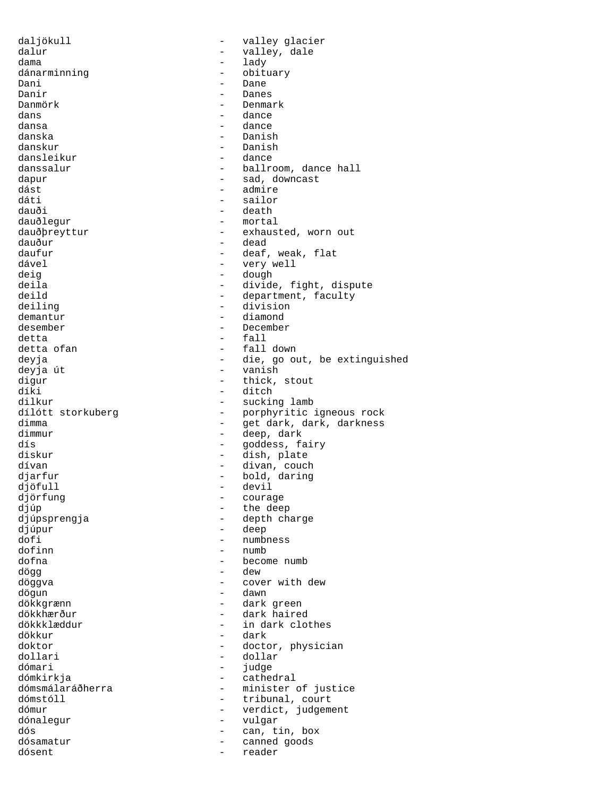daljökull - valley glacier dalur - valley, dale dama - lady dánarminning - obituary -Dani - Dane - Dane - Dane - Dane - Dane - Dane - Dane - Dane - Dane - Dane - Dane - Dane - Dane - Dane - Dane -Danir - Danes Danmörk - Denmark dans - dance<br>dansa - dance<br>dansa - dance dansa - dance danska - Danish - Danish<br>- dance dansleikur danssalur - ballroom, dance hall dapur - sad, downcast dást - admire dáti - sailor dauði - death<br>dauðlegur - mortal - mortal dauðlegur - mortal<br>dauðþreyttur - - exhaus dauðþreyttur - exhausted, worn out<br>dauður - dead dauður - dead - dead - dead - dead - dead - dead - dead - dead - dead - dead - dead - dead - dead - dead - dea<br>daufur - deaf - deaf - deaf - deaf - deaf - deaf - deaf - deaf - deaf - deaf - deaf - deaf - deaf - deaf - dea daufur - deaf, weak, flat - very well deig - dough deila - divide, fight, dispute<br>deild - department, faculty deild - department, faculty<br>deiling - division - division - division demantur diamond desember - December detta - fall - fall down deyja - die, go out, be extinguished deyja út - vanish digur - thick, stout<br>diki - ditch díki - ditch<br>dilkur - suckir - suckir dilkur - sucking lamb<br>dílótt storkuberg - - - - - - - - - porphyritic dílótt storkuberg  $\frac{1}{2}$  - porphyritic igneous rock<br>dimma dimma - get dark, dark, darkness<br>dimmur - deep, dark - deep, dark dís - goddess, fairy diskur - dish, plate dívan - divan, couch djarfur - bold, daring djöfull - devil - courage djúp - the deep<br>djúpsprengja - the deep - the deep djúpsprengja - depth charge djúpur - deep<br>dofi - deep<br>dofi - numbr dofi - numbness<br>dofinn - numb dofinn - numb<br>dofna - becom - become numb dögg - dew döggva - cover with dew dögun - dawn dökkgrænn - dark green dökkhærður - dark haired dökkklæddur - in dark clothes dökkur - dark doktor - doctor, physician<br>dollari - dollar - dollar - dollar dómari - judge dómkirkja<br>dómsmálaráðherra - eathedral<br>- minister dómsmálaráðherra - minister of justice<br>dómstóll - tribunal court - tribunal, court dómur - verdict, judgement<br>dónalegur - vulgar - vulgar dónalegur - vulgar dós - can, tin, box - canned goods<br>- reader dósent - reader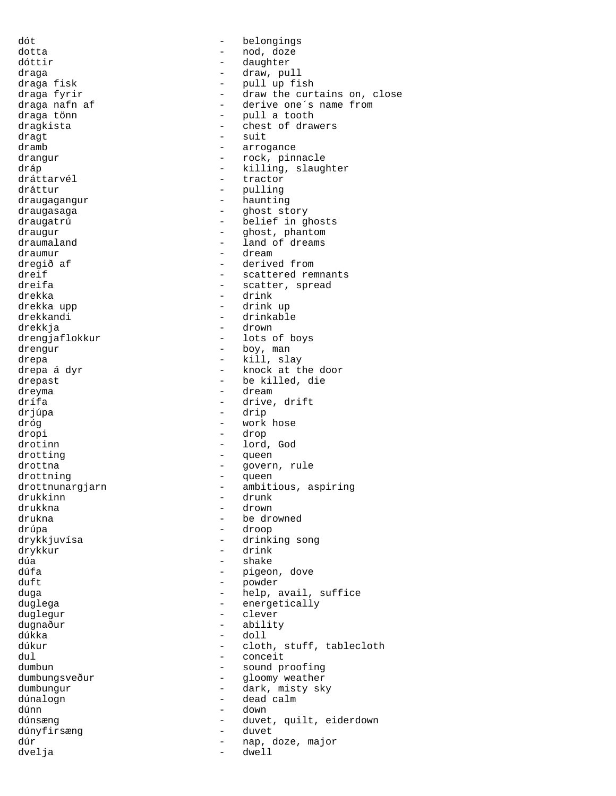dót - belongings dotta - nod, doze dóttir  $\qquad \qquad -$  daughter draga - draw, pull<br>draga fisk - draw, pull up fi draga fisk - pull up fish draga fyrir - draw the curtains on, close draga nafn af  $\frac{1}{10}$  - derive one's name from draga tönn draga tönn - pull a tooth - chest of drawers  $dragt$   $-$  suit dramb - arrogance drangur - rock, pinnacle dráp  $\frac{d}{dx}$  - killing, slaughter dráttarvél - tractor dráttur - pulling draugagangur - haunting draugasaga  $\qquad \qquad \qquad$  - ghost story draugatrú - belief in ghosts draugur - ghost, phantom<br>draumaland - land of dreams draumaland - land of dreams<br>draumur - dream - dream draumur - dream dregið af  $\overline{a}$  - derived from  $\overline{a}$  derived from  $\overline{a}$  - scattered rep dreif  $\overline{c}$  - scattered remnants<br>dreifa - scatter spread dreifa - scatter, spread drekka - drink - drink<br>drekka upp - drink - drink - drink up drekkandi - drinkable drekkja - drown drengjaflokkur - lots of boys drengur - boy, man drepa - kill, slay - knock at the door drepast - be killed, die bereden van drepast - be killed, die van drepast - bereden van drepast - bereden van drepast - bereden van drepast - bereden van drepast - bereden van drepast - bereden van drepast - bereden van dr - dream drífa - drive, drift drjúpa - drip dróg - work hose dropi - drop drotinn - lord, God drotting  $\qquad \qquad -$  queen drottna  $\qquad \qquad -$  govern, rule drottning  $\qquad \qquad -$  queen drottnunargjarn - ambitious, aspiring<br>drukkinn - drunk - drunk drukkinn - drunk drukkna - drown drukna - be drowned - droop drykkjuvísa - drinking song drykkur - drink - drink<br>dúa - shake - shake dúfa - pigeon, dove duft - powder duga - help, avail, suffice duglega - energetically<br>duglegur - clever duglegur - clever dugnaður - ability dúkka - doll dúkur - cloth, stuff, tablecloth<br>dul - conceit dul - conceit - sound proofing dumbungsveður - <br />
- <br />
gloomy weather<br />
dumbungsveður - <br />
dumbungsveður - <br />
dumbungsveður - <br />
dumbungsveður - <br />
dumbungsveður - <br />
dumbungsveður - <br /><br />
dumbungsveður - <br /><br dumbungur - dark, misty sky dúnalogn - dead calm dúnn - down dúnsæng - duvet, quilt, eiderdown dúnyfirsæng - duvet dúr - nap, doze, major dvelja - dwell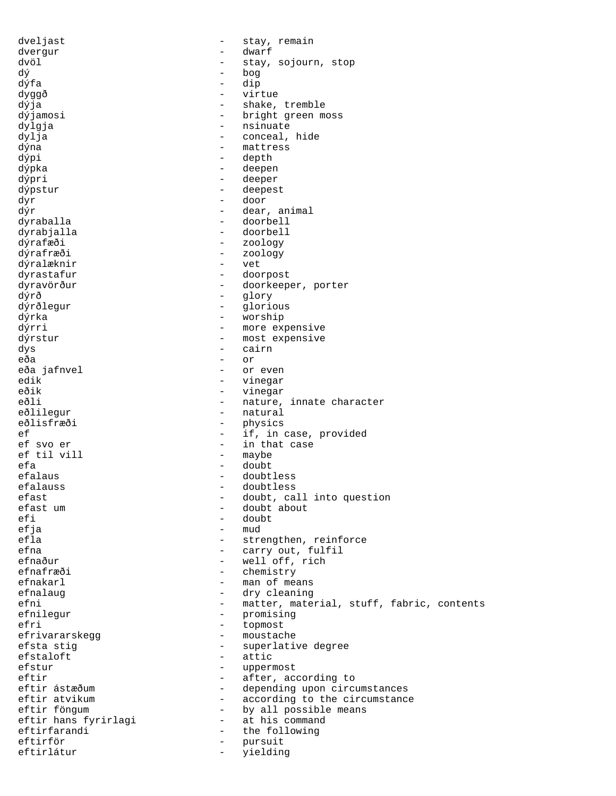dveljast - stay, remain dvergur - dwarf dvöl - stay, sojourn, stop dý - bog dýfa - dip dyggð - virtue dýja - shake, tremble<br>dýjamosi - shake, tremble<br>- bright green m - bright green moss dylgja - nsinuate dylja - conceal, hide dýna - mattress dýpi - depth dýpka - deepen dýpri - deeper dýpstur - deepest dyr - door dýr - dear, animal dyraballa - doorbell dyrabjalla - doorbell dýrafæði - zoology<br>dýrafræði - zoology - zoology - zoology<br>- vet dýralæknir dyrastafur - doorpost dyravörður - doorkeeper, porter dýrð - glory dýrðlegur - glorious dýrka - worship dýrri - more expensive dýrstur - most expensive<br>dys - cairn dys - cairn eða - or eða jafnvel - or even edik - vinegar - vinegar eðli  $-$  nature, innate character eðlilegur - natural<br>eðlisfræði - physics eðlisfræði - physics<br>ef - if.in - if, in case, provided ef svo er - in that case<br>
ef til vill - maybe ef til vill efa - doubt - doubt - doubt - doubt - doubt - doubt - doubt - doubt - doubt - doubt - doubt - doubt - doubt - - doubtless efalauss - doubtless efast  $\begin{array}{ccc}\n & - & \text{doubt, call into question} \\
 & - & \text{doubt about}\n\end{array}$ efast um - doubt about efi - doubt<br>efja - mud - mud efja – mud<br>efla – stre - strengthen, reinforce efna - carry out, fulfil<br>
efnaður - vell off. rich - well off, rich efnafræði - chemistry efnakarl - man of means efnalaug - dry cleaning efni - matter, material, stuff, fabric, contents efnilegur - promising<br>efri - topmost efri - topmost efrivararskegg en andere moustache efsta stig  $\begin{array}{ccc} - & \text{superlative degree} \\ - & \text{attr} \end{array}$ - attic efstur - uppermost eftir - after, according to eftir ástæðum - depending upon circumstances<br>eftir atvikum - according to the circumstanc - according to the circumstance eftir föngum by all possible means eftir hans fyrirlagi at his command eftir hans fyrirlagi eftirfarandi - the following eftirför - pursuit eftirlátur - yielding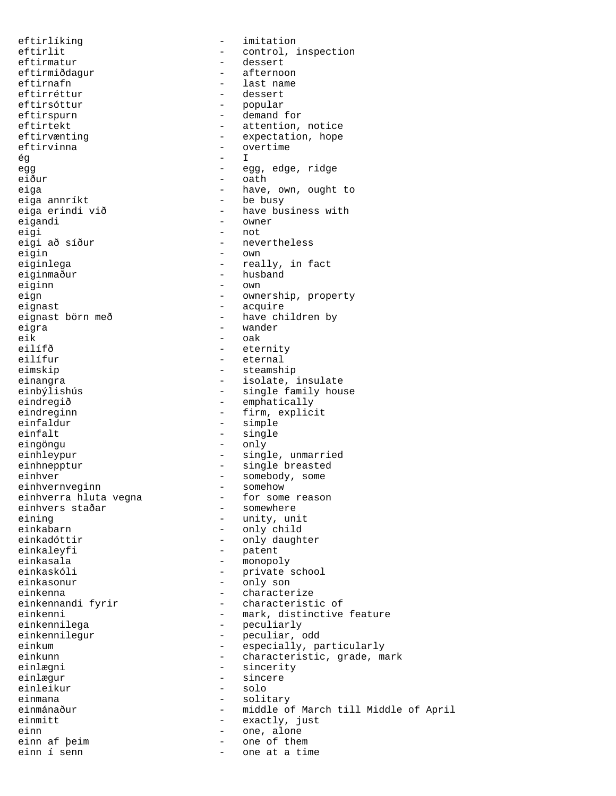eftirlíking  $-$  imitation eftirmatur - dessert eftirmiðdagur - afternoon eftirnafn - last name<br>eftirréttur - dessert eftirréttur - dessert eftirsóttur - popular eftirspurn - demand for eftirvinna - overtime<br>  $\frac{2}{3}$  - T ég - I egg edge, ridge eiður - oath eiga annríkt  $-$  be busy eigi - not<br>eigi að síður - neve eigi að síður - nevertheless<br>eigin - own eigin - own eiginlega - own - own - own eiginmaður - husband eiginn - own<br>eign - own<br>- owne eignast - acquire eigra - wander eik - oak<br>eilífð - eter eilífð - eternity eimskip - steamship eindregið  $-$  emphatically eindreginn - firm, explicit einfaldur - simple eingöngu - only einhnepptur - single breasted einhver - somebody, some<br>
einhvernveginn - somehow - somehow einhvernveginn - somehow einhverra hluta vegna - for some metabolisme einhvers staðar - somewhere einhvers staðar<br>eining eining - unity, unit einkadóttir  $\qquad \qquad -$  only daughter einkaleyfi - patent einkasala - monopoly einkaskóli - private school einkasonur - only son einkenna - characterize einkennilega - peculiarly<br>
einkennilegur - peculiar, einkennilegur - peculiar, odd<br>einkum - especially, pa einlægni - sincerity einlægur - sincere einleikur - solo einmana  $\qquad \qquad -$  solitary einmitt - exactly, just einn  $\frac{1}{2}$  - one, alone einn af þeim  $\frac{1}{2}$  - one of the einn af þeim  $\frac{1}{2}$  - one of them<br>
einn í senn  $\frac{1}{2}$  - one at a tir

eftirlit  $\qquad \qquad - \qquad \qquad \text{control, inspection}$ eftirtekt - attention, notice eftirvænting expectation, hope eiga - have, own, ought to eiga erindi við  $-$  have business with eigandi  $-$  owner - owner - really, in fact - ownership, property eignast börn með  $-$  have children by - eternal einangra - isolate, insulate - single family house - single einhleypur - single, unmarried - only child einkennandi fyrir - characteristic of einkenni <sup>-</sup> mark, distinctive feature<br>
einkennilega - - - - - - - peculiarly einkum - especially, particularly<br>
einkum - especially, particularly<br>
- characteristic, grade, ma - characteristic, grade, mark einmánaður **- middle of March till Middle of April** 

one at a time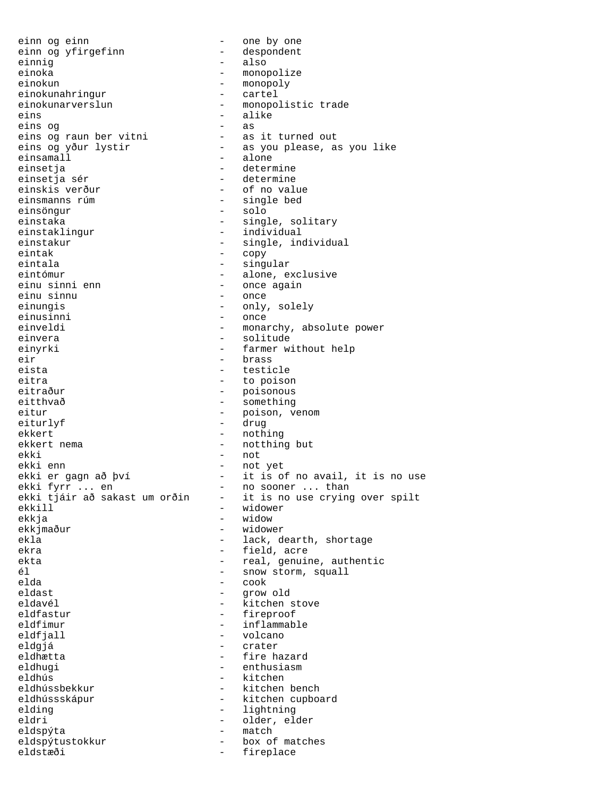einn og einn - one by one einn og yfirgefinn<br>einnig - also einoka - monopolize einokun - monopoly<br>
einokunahringur - cartel einokunahringur<br>einokunarverslun einokunarverslun - monopolistic trade<br>
eins - alike eins - alike eins og<br>eins og raun ber vitni eins og raun ber vitni - as it turned out eins og yður lystir - as you please, as you like einsamall - alone einsetja - determine einsetja sér  $-$  determine einskis verður  $-$  of no value einsmanns rúm - single bed einsöngur einstaka - single, solitary<br>einstaklingur - - - - - - - - individual - individual einstakur - single, individual<br>
eintak - copy - copy eintak - copy - singular eintómur - alone, exclusive einu sinni enn - once again einu sinnu einungis - only, solely einusinni - once einveldi - monarchy, absolute power einvera  $\qquad \qquad \qquad -$  solitude einyrki - farmer without help<br>eir - brass<br>- brass eir - brass eista - testicle eitra - to poison - poisonous eitthvað - something eitur - poison, venom<br>eiturlyf - drug - drug - drug ekkert - nothing ekkert nema  $-$  notthing but ekki - not - not - not - not - not - not - not - not - not - not - not - not - not - not - not - not - not - not - not - not - not - not - not - not - not - not - not - not - not - not - not - not - not - not - not - not ekki enn - not yet ekki er gagn að því - it is of no avail, it is no use<br>ekki fyrr ... en - no sooner ... than ekki fyrr ... en and - no sooner ... than<br>ekki tjáir að sakast um orðin - it is no use crying ekki tjáir að sakast um orðin - it is no use crying over spilt<br>ekkill - widower ekkill - widower ekkja - widow - widower ekla - lack, dearth, shortage ekra  $-$  field, acre ekta - real, genuine, authentic él - snow storm, squall elda - cook eldast - grow old - kitchen stove eldfastur - fireproof<br>eldfimur - inflammab eldfimur - inflammable<br>eldfjall - volcano eldfjall - volcano eldgjá - crater eldhætta - fire hazard - enthusiasm eldhús - kitchen - kitchen bench eldhússskápur - kitchen cupboard elding - lightning - lightning eldri - older, elder eldspýta - match eldspýtustokkur - box of matches eldstæði - fireplace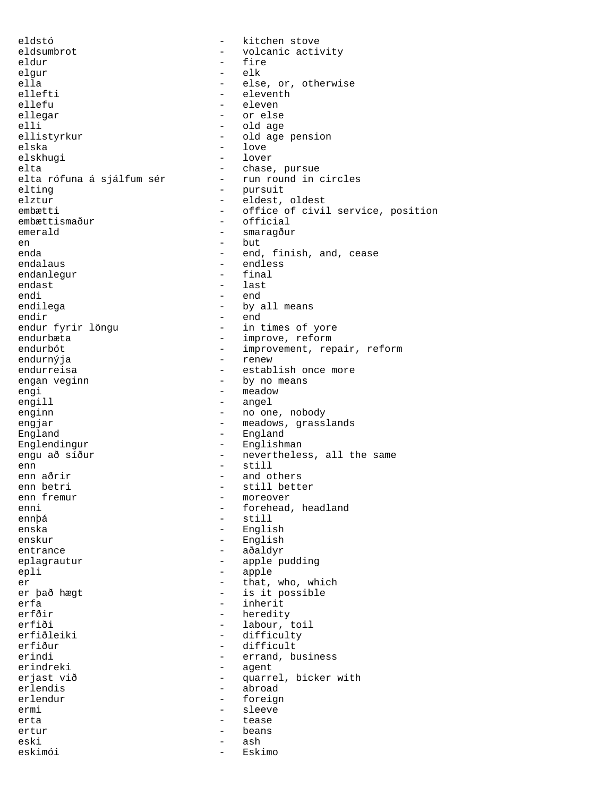eldstó  $-$  kitchen stove eldsumbrot - volcanic activity<br>eldur - fire<br>- fire eldur - fire elgur - electronic electronic electronic electronic electronic electronic electronic electronic electronic ele ella - else, or, otherwise<br>ellefti - eleventh - eleventh ellefti - eleventh - eleventh - eleventh - eleventh - eleventh - eleventh - eleventh - eleventh - eleventh - eleventh - eleventh - eleventh - eleventh - eleventh - eleventh - eleventh - eleventh - eleventh - eleventh - ele ellefu - eleven ellegar - or else elli - old age<br>ellistyrkur - old age<br>- old age - old age pension elska – love<br>elskhugi – lover – lover elskhugi elta - chase, pursue elta rófuna á sjálfum sér - run round in circles elting - pursuit elztur - eldest, oldest embætti - office of civil service, position<br>
- official<br>
- official  $-$  official emerald - smaragður - smaragður en die but die but die but die but die but die but die but die but die but die but die but die but die but die but die but die but die but die but die but die but die but die but die but die but die but die but die but die enda - end, finish, and, cease<br>endalaus - endless - endless<br>- final endanlegur endast - last - last - last - last - last - last - last - last - last - last - last - last - last - last - last - last - last - last - last - last - last - last - last - last - last - last - last - last - last - last - las endi - end - by all means endir - end - in times of yore endurbæta - improve, reform - improvement, repair, reform endurnýja - renew - establish once more engan veginn and the set of the by no means engi - meadow - meadow engill - angel enginn - no one, nobody engjar - meadows, grasslands England - England Englendingur - Englishman engu að síður - nevertheless, all the same enn - still enn aðrir - and others enn betri - still better enn fremur - moreover enni - forehead, headland<br>
ennþá - still ennþá - still - English enskur - English entrance - aðaldyr eplagrautur - apple pudding epli - apple er  $-$  that, who, which<br>er það hægt  $-$  is it possible - is it possible erfa - inherit<br>erfðir - hereditv erfðir - heredity erfiði - labour, toil<br>erfiðleiki - difficultv erfiðleiki - difficulty<br>erfiður - difficult erfiður - difficult<br>erindi - errand.b - errand, business erindreki - agent erjast við  $\begin{array}{ccc} - & - & - \\ - & - & - \end{array}$  bicker with erlendis erlendis - abroad - foreign ermi - sleeve erta eta erroren erroren ezkundua erroren batean erroren ezkundua erroren eginea erroren eginea erroren eginea ertur - beans eski - ash eskimói - Eskimo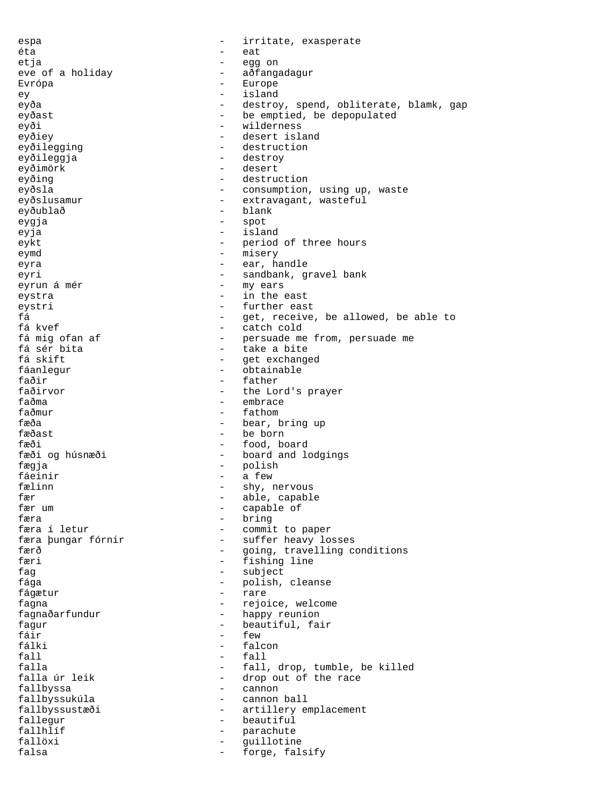espa - irritate, exasperate éta eat etja - egg on - aðfangadagur Evrópa - Europe ey - island eyða - destroy, spend, obliterate, blamk, gap eyðast - be emptied, be depopulated eyði - wilderness eyðiey - desert island eyðilegging - destruction eyðileggja - destroy - destroy<br>eyðimörk - desett eyðimörk - desert eyðing - destruction eyðsla - consumption, using up, waste eyðslusamur - extravagant, wasteful<br>evðublað - blank - blank eyðublað - blank - blank - blank - blank - blank - blank - blank - blank - blank - blank - blank - blank - bla eygja - spot eyja - island eykt - period of three hours eymd - misery eyra - ear, handle eyri - sandbank, gravel bank eyrun á mér  $\overline{a}$  metron and  $\overline{a}$  my ears eystra  $-$  in the east eystri - further east fá - get, receive, be allowed, be able to fá kvef - catch cold fá mig ofan af  $-$  persuade me from, persuade me fá sér bita fá sér bita - take a bite - get exchanged<br>- obtainable fáanlegur - obtainable<br>faðir - father - father faðir - father the Lord's prayer faðma - embrace faðmur - fathom fæða - bear, bring up fæðast - be born fæði - food, board fæði og húsnæði  $-$  board and lodgings fægja - polish fáeinir fælinn - shy, nervous fær - able, capable capable of færa 1999 – bring færa 1999 – bring færa 1999 – bring færa 1999 – bring færa 1999 – bring færa 1999 – bring færa 1999 – bring færa 1999 – bring færa 1999 – bring færa 1999 – bring færa 1999 – bring færa 1999 – bring færa 1 - commit to paper færa þungar fórnir - suffer heavy losses færð - going, travelling conditions<br>færi - fishing line - fishing line fag - subject fága - polish, cleanse fágætur - rare fagna  $-$  rejoice, welcome fagnaðarfundur - happy reunion<br>fagur - heautiful fa fagur - beautiful, fair<br>fáir - few - few fáir — few fálki - falcon fall - fall falla  $-$  fall, drop, tumble, be killed falla úr leik - drop out of the race fallbyssa - cannon fallbyssukúla - cannon ball fallbyssustæði - artillery emplacement fallegur - beautiful fallhlíf - parachute fallöxi - guillotine falsa  $-$  forge, falsify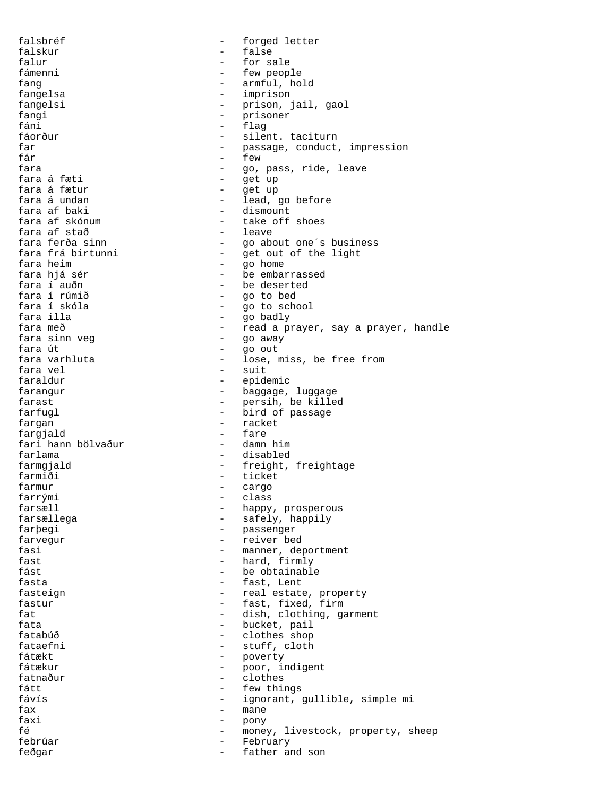falsbréf  $-$  forged letter falskur - false falur - for sale - few people fang  $-$  armful, hold fangelsa - imprison fangelsi - prison, jail, gaol<br>fangi - prisoner - prisoner fangi - prisoner - prisoner - prisoner - prisoner - prisoner - prisoner - prisoner - prisoner - prisoner - prisoner - prisoner - prisoner - prisoner - prisoner - prisoner - prisoner - prisoner - prisoner - prisoner - priso fáni - flag<br>fáorður - silen fáorður - silent. taciturn<br>far - sagar - passage conduct far  $-$  passage, conduct, impression<br>fár  $-$  few  $-$  few  $f$ ár  $f$ ara  $-$  few  $f$ ew  $g$ o. - go, pass, ride, leave fara á fæti  $-$  get up fara á fætur - get up - lead, go before<br>- dismount fara af baki - dismount fara af skónum - take off show take off show that the show that the show that the show that the show that the s<br>fara af stað - leave fara af stað<br>fara ferða sinn fara ferða sinn - go about one´s business fara frá birtunni - get out of the light<br>fara heim - qo home fara heim - go home fara hjá sér - be embarrassed fara í auðn - be deserted fara í rúmið - go to bed - go to school fara illa  $-$  go badly fara með  $-$  read a prayer, say a prayer, handle fara sinn veg - go away fara út - go out fara varhluta - lose, miss, be free from<br>fara vel - suit<br>- suit fara vel - suit - epidemic farangur en en en annexe d'any de la baggage, luggage farast  $-$  persih, be killed farfugl  $-$  bird of passage fargan - racket<br>fargand - fare - fare fargjald - fare fari hann bölvaður farlama - disabled farmgjald - freight, freightage<br>farmiði - freight, freightage<br>- ticket - ticket<br>- cargo farmur - cargo - class farsæll <br/>  $\hfill$  - happy, prosperous farsællega  $-$  safely, happily farþegi - passenger farvegur - reiver bed<br>fasi - manner de fasi  $-$  manner, deportment<br>fast  $-$  hard firmly - hard, firmly fást  $-$  be obtainable fasta  $-$  fast, Lent fasteign  $-$  real estate, property fastur  $-$  fast, fixed, firm fat  $-$  dish, clothing, garment fata fata - bucket, pail<br>fatabúð - bucket, pail fatabúð - clothes shop fataefni - stuff, cloth<br>fátækt - stuff, cloth - poverty<br>- poor i fátækur - poor, indigent<br>fatnaður - clothes fatnaður - clothes<br>fátt - few this fátt - few things - ignorant, gullible, simple mi fax - mane faxi - pony fé - money, livestock, property, sheep febrúar - February feðgar - father and son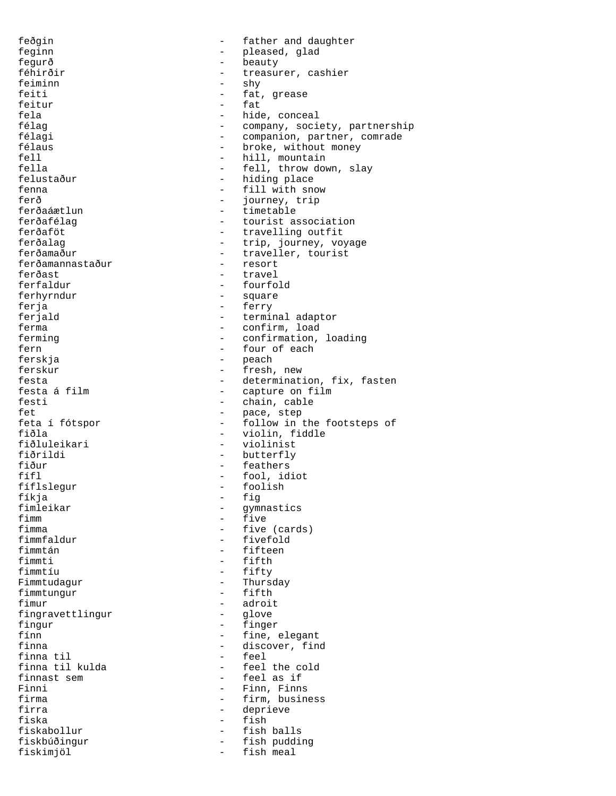feðgin - father and daughter feginn - pleased, glad<br>fegurð - beauty fegurð - beauty<br>féhirðir - treasu: - treasurer, cashier feiminn - shy<br>feiti - fat - fat, grease<br>- fat feitur<br>fela fela - hide, conceal<br>félag - hide, conceal<br>- company, soci - company, society, partnership félagi - companion, partner, comrade félaus - broke, without money<br>fell - hill mountain fell  $f$  - hill, mountain<br>fella - fell. throw dow - fell, throw down, slay felustaður - hiding place fenna  $-$  fill with snow ferð - journey, trip<br>ferðaáætlun - - timetable - timetable - timetable ferðafélag - tourist association<br>ferðaföt - travelling outfit ferðaföt - travelling outfit<br>ferðalag - trip, journey, vo ferðalag - trip, journey, voyage<br>ferðamaður - traveller, tourist - traveller, tourist<br>- resort ferðamannastaður ferðast - travel<br>ferfaldur - fourfo - fourfold ferhyrndur - square ferja - ferry ferjald  $-$  terminal adaptor ferma  $-$  confirm, load ferming  $-$  confirmation, loading fern  $\frac{1}{2}$  - four of each ferskja - peach ferskur - fresh, new festa<br>festa á film  $\begin{array}{ccc} - & \text{determination, fix, fasten} \\ - & \text{capture on film} \end{array}$ festa á film  $\begin{array}{ccc} - & - & - \\ - & - & - \end{array}$ capture on film - chain, cable fet - pace, step feta í fótspor - follow in the footsteps of<br>fiðla - siolin, fiddle - violin, fiddle fiðluleikari - violinist fiðrildi - butterfly<br>fiður - feathers fiður - feathers<br>fífl - fool, id fífl - fool, idiot - foolish fíkja - fig<br>fimleikar - fig - fig fimleikar - gymnastics<br>fimm - five fimm - five<br>fimma - five fimma - five (cards)<br>fimmfaldur - fivefold fimmfaldur - fivefold fimmtán - fifteen fimmti - fifth - fifty Fimmtudagur - Thursday fimmtungur fimur - adroit fingravettlingur fingur - finger fínn - fine, elegant finna  $\frac{1}{2}$  - discover, find<br>finna til - feel finna til  $-$  feel<br>finna til kulda  $-$  feel finna til kulda - feel the cold finnast sem  $\overline{r}$  - feel as if<br>Finni - Finn Finns Finni - Finn, Finns<br>firma - firm, busin - firm, business firra - deprieve fiska - fish fiskabollur - fish balls fiskbúðingur - fish pudding fiskimjöl - fish meal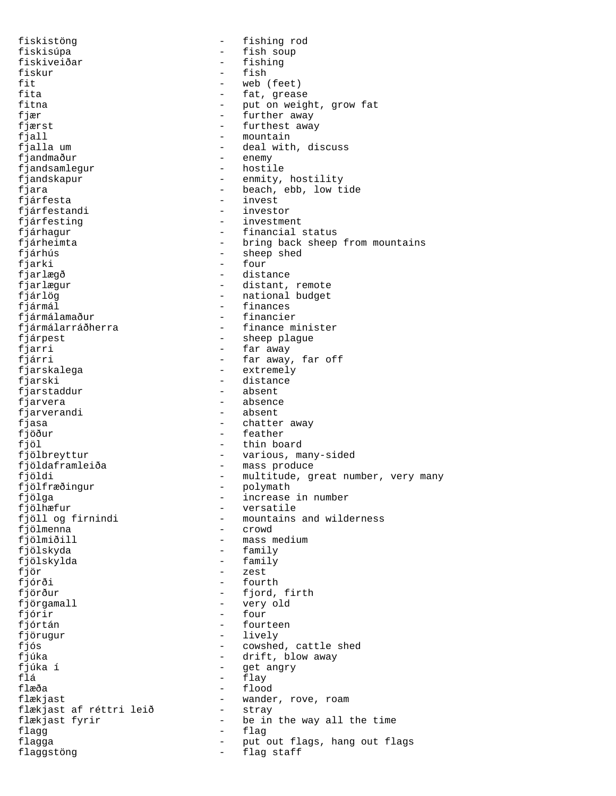fiskistöng - fishing rod fiskisúpa - fish soup fiskiveiðar - fishing fiskur - fish fit<br>fita - web (feet)<br>fita - fat, greas fita  $\begin{array}{ccc} - & \text{fat, grease} \\ - & \text{put on weigh} \end{array}$ fitna  $\begin{array}{cccc} - &$  put on weight, grow fat<br>fixer  $\begin{array}{cccc} - &$  further away fjær - further away<br>fjærst - furthest away - furthest away fjall - mountain fjalla um  $-$  deal with, discuss fjandmaður - enemy<br>fjandsamlegur - hostile fjandsamlegur fjandskapur - enmity, hostility fjara - beach, ebb, low tide<br>fjárfesta - invest - invest<br>- investor fjárfestandi - investor fjárfesting  $-$  investment fjárhagur - financial status<br>fjárheimta - financial status fjárheimta - bring back sheep from mountains<br>fjárhús - sheep shed fjárhús - sheep shed fjarki - four<br>fjarlægð - dista - distance fjarlægur - distant, remote fjárlög - national budget fjármál - finances fjármálamaður - financier fjármálarráðherra - finance minister fjárpest - sheep plague<br>fjarri - - - - - - - - - - far away -<br>Jarri - far away<br>fjárri - far away - far away, far off fjarskalega - extremely fjarski - distance - absent fjarvera - absence fjarverandi - absent fjasa - chatter away fjöður - feather fjöl - thin board fjölbreyttur - various, many-sided fjöldaframleiða - mass produce fjöldi - multitude, great number, very many<br>fjölfræðingur - polymath fjölfræðingur - polymath<br>fjölga - increase fjölga - increase in number<br>fjölhæfur - - - - versatile fjölhæfur - versatile<br>fjöll og firnindi - mountains fjöll og firnindi - mountains and wilderness<br>fjölmenna - crowd - crowd - crowd fjölmiðill - mass medium - family fjölskylda - family fjör - zest fjórði - fourth fjörður - fjord, firth fjörgamall - very old<br>fiórir - four - four fjórir - forlandi í stærf er stær forlandi stær forlandi stær forlandi stær forlandi stær forlandi stær forlandi<br>Forlandi stær forlandi stær forlandi stær forlandi stær for stær for stær for stær for stær for stær for stær fjórtán - fourteen fjörugur - lively<br>fjós - cowsheddig - cowsheddig - cowsheddig - cowsheddig - cowsheddig - cowsheddig - compare - compare - compare - compare - compare - compare - compare - compare - compare - compare - compare - compare fjós - cowshed, cattle shed - drift, blow away<br>- get angry fjúka í - get angry flá - flay flæða - flood flækjast<br>flækjast af réttri leið - stray<br>- stray flækjast af réttri leið<br>flækjast fyrir - be in the way all the time flagg - flag flagga - put out flags, hang out flags<br>flaggstöng - flag staff flaggstöng - flag staff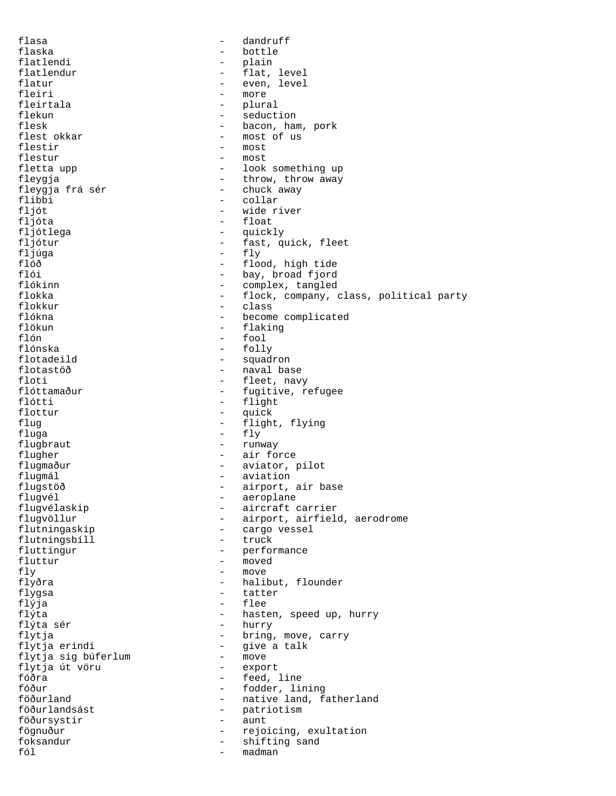flasa - dandruff flaska - bottle flatlendi - plain - flat, level flatur - even, level<br>fleiri - more fleiri - more<br>fleirtala - heirtala - plura fleirtala - plural flekun - seduction<br>flesk - bacon, har flesk - bacon, ham, pork<br>flest okkar - most of us flest okkar - most of us - most<br>- most flestur fletta upp  $\qquad \qquad -$  look something up fleygja - throw, throw away fleygja frá sér - chuck away flibbi - collar<br>fljót - vide ri fljót - wide river fljóta - float fljótlega - quickly<br>fljótur - fast, qu fljótur - fast, quick, fleet<br>fljúga - fly - fly fljúga – fly<br>flóð – flo flóð - flood, high tide<br>flói - hay broad fiord flói - bay, broad fjord<br>flókinn - complex, tangled flókinn - complex, tangled<br>flokka - flock company, flokka - flock, company, class, political party - class flókna <br/> - become complicated <br/> - become complicated flökun – flaking – flaking – flaking – flaking – flaking – flaking – flaking – flaking – flaking – flaking – flaking – flaking – flaking – flaking – flaking – flaking – flaking – flaking – flaking – flaking – flaking – fla flón - fool flónska - folly flotadeild - squadron flotastöð - naval base floti - fleet, navy<br>flóttamaður - fugitive, r - fugitive, refugee flótti - flight - quick flug - flight, flying  $fluqa$  -  $fly$ flugbraut - runway flugher - air force flugmaður - aviator, pilot flugmál - aviation flugstöð - airport, air base<br>flugvél - - aeroplane flugvél - aeroplane flugvélaskip - aircraft carrier<br>flugvöllur - airport, airfield flugvöllur - airport, airfield, aerodrome - cargo vessel<br>- truck flutningsbíll fluttingur - performance fluttur - moved fly - move flyðra - halibut, flounder flygsa - tatter flýja - flee flýta - hasten, speed up, hurry<br>flýta sér - hurry - hurry flýta sér - hurry flytja - bring, move, carry - give a talk<br>- move flytja sig búferlum - move flytja út vöru<br>fóðra fóðra - feed, line fóður - fodder, lining - native land, fatherland föðurlandsást - patriotism<br>föðursvstir - aunt föðursystir - aunt fögnuður - rejoicing, exultation<br>foksandur - - - - - - - - shifting sand foksandur - shifting sand<br>fól - madman madman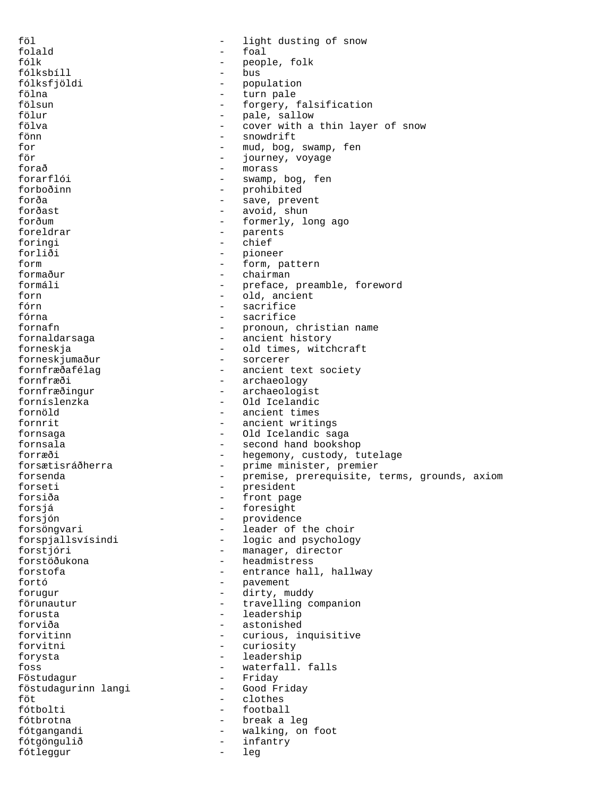föl - light dusting of snow folald - foal - people, folk fólksbíll - bus fólksfjöldi - population<br>fölna - turn pale fölna - turn pale fölsun - forgery, falsification<br>fölur - nale sallow fölur - pale, sallow<br>fölva - cover with a cover with a thin layer of snow fönn - snowdrift for  $-$  mud, bog, swamp, fen<br>för  $-$  iourney voyage för - journey, voyage - morass forarflói - swamp, bog, fen forboðinn - prohibited forða - save, prevent forðast - avoid, shun forðum - formerly, long ago foreldrar - parents<br>foringi - chief foringi<br>forliði forliði - pioneer<br>form - form n - form, pattern formaður - chairman formáli - preface, preamble, foreword<br>forn - old. ancient forn - old, ancient<br>
fórn - sacrifice - sacrifice fórna - sacrifice fornafn - pronoun, christian name fornaldarsaga - ancient history forneskja - old times, witchcraft<br>forneskjumaður - sorcerer forneskjumaður<br>fornfræðafélag - ancient text society fornfræði - archaeology<br>fornfræðingur - archaeologi - archaeologist forníslenzka - Old Icelandic fornöld - ancient times fornrit  $-$  ancient writings fornsaga - Old Icelandic saga fornsala - second hand bookshop forræði - hegemony, custody, tutelage forsætisráðherra - - prime minister, premier forsenda - premise, prerequisite, terms, grounds, axiom forseti - president forsiða - front page forsjá - foresight forsjón - providence - leader of the choir forspjallsvísindi - logic and psychology<br>forstjóri - manager, director - manager, director forstöðukona - headmistress - entrance hall, hallway fortó - pavement forugur - dirty, muddy förunautur - travelling companion<br>forusta - leadership - leadership<br>- astonished forviða - astonished forvitinn - curious, inquisitive<br>forvitni - curiosity forvitni - curiosity forysta - leadership foss  $-$  waterfall. falls Föstudagur - Friday föstudagurinn langi - Good Friday clothes fótbolti - football fótbrotna - break a leg fótgangandi - walking, on foot fótgöngulið - infantry fótleggur - leg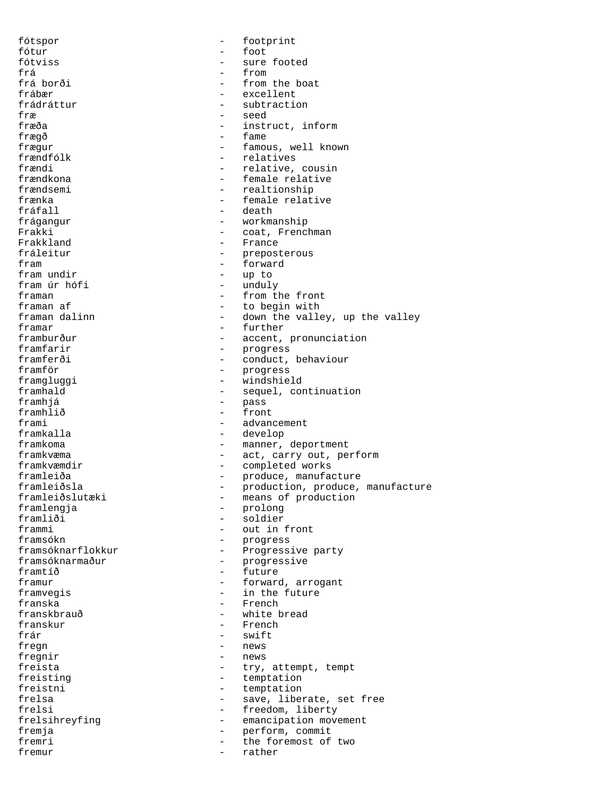fótspor - footprint fótur - foot sure footed frá - from frá borði - from the boat frábær - excellent<br>frádráttur - subtractio frádráttur - subtraction<br>fræ fræ - seed - instruct, inform frægð - fame frægur - famous, well known<br>frændfólk - relatives frændfólk - relatives - relative, cousin frændkona <br/> endlemational endlemation of temale relative frændsemi - realtionship<br>frænka - female relat frænka - female relative - death frágangur - workmanship<br>Frakki - coat, Frencl Frakki - coat, Frenchman<br>Frakkland - France - France Frakkland - France<br>
Frakkland - France<br>
fráleitur fráleitur - preposterous<br>fram - forward fram  $\frac{1}{2}$  - forward  $\frac{1}{2}$  - forward  $\frac{1}{2}$  - up to fram undir - up to fram úr hófi - unduly framan  $\overline{f}$  - from the front framan af  $\overline{f}$  - to begin with - to begin with framan dalinn  $\qquad \qquad$  - down the valley, up the valley framar - further framburður - accent, pronunciation<br>framfarir - - - - - - - - progress framfarir - progress framferði - conduct, behaviour framför - progress framgluggi - windshield<br>framhald - sequel, com - sequel, continuation framhjá - pass framhlið - front - front - frami - advan frami - advancement<br>framkalla - exercise - develop - develop framkoma <br/> - manner, deportment framkvæma - act, carry out, perform framkvæmdir - completed works framleiða - produce, manufacture framleiðsla - production, produce, manufacture framleiðslutæki - means of production framlengja - prolong framliði - soldier<br>frammi - out in frammi - out in front<br>framsókn - progress framsókn - progress framsóknarflokkur - Progressive party<br>framsóknarmaður - - Progressive - progressive framtíð - future framur - forward, arrogant framvegis  $-$  in the future franska - French - French - French - French - French - French - Statistic Statistic Statistic Statistic Statis<br>
1980 - French - Statistic Statistic Statistic Statistic Statistic Statistic Statistic Statistic Statistic Sta franskbrauð - white bread<br>franskur - French franskur - French - French - French - Swift - Swift - Swift - Swift - Swift - Swift - Swift - Swift - Swift - Swift - Swift - Swift - Swift - Swift - Swift - Swift - Swift - Swift - Swift - Swift - Swift - Swift - Swift frár - swift fregn - news<br>freqnir - news - news freista - try, attempt, tempt<br>
freisting - temptation<br>
- temptation - temptation freistni - temptation<br>frelsa - save liber - save, liberate, set free frelsi - freedom, liberty frelsihreyfing - emancipation movement<br>fremia fremja - perform, commit fremri - the foremost of two fremur - rather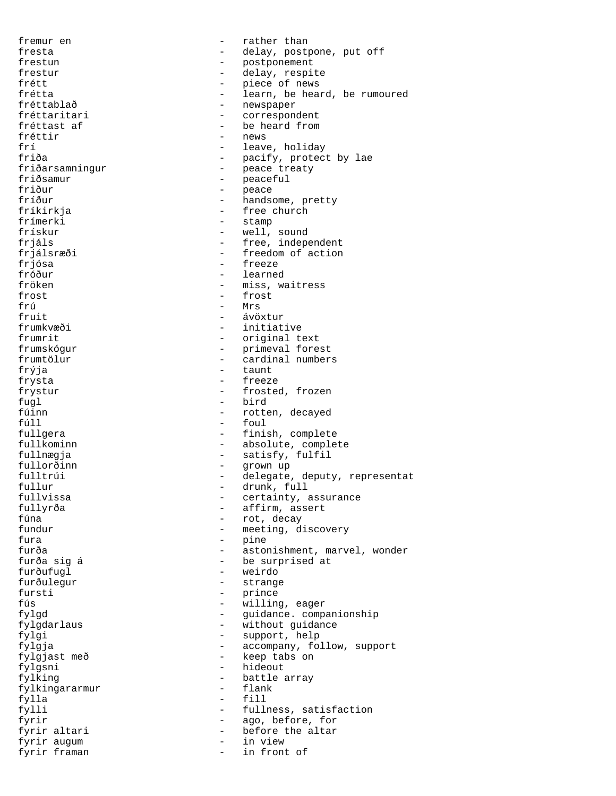fremur en  $-$  rather than fresta  $-$  delay, postpone, put off frestun - postponement frestur - delay, respite frétt  $-$  piece of news frétta - learn, be heard, be rumoured<br>fréttablað - learn, be heard, be rumoured fréttablað - newspaper<br>fréttaritari - correspon fréttaritari - correspondent - be heard from fréttir  $-$  news frí  $\frac{1}{2}$  - leave, holiday  $\frac{1}{2}$  - leave, holiday friða - pacify, protect by lae friðarsamningur - peace treaty friðsamur - peaceful friður - peace fríður - handsome, pretty<br>fríkirkja - - - - - - - free church - free church<br>- stamp frímerki heimigt stampet af stampet af stampet af stampet af stampet af stampet af stampet af stampet af stampet af stampet af stampet af stampet af stampet af stampet af stampet af stampet af stampet af stampet af stampet frískur - well, sound<br>frjáls - free, indep frjáls<br>frjálsræði - free, independent<br>frjálsræði - freedom of action frjálsræði - freedom of action<br>frjósa - freeze - freeze - freeze fróður - learned fröken - miss, waitress frost - frost frú - Mrs fruit - ávöxtur frumkvæði - initiative frumrit - original text frumskógur - primeval forest frumtölur - cardinal numbers<br>frýja - taunt - taunt frýja - taunt frysta - freeze frystur - frosted, frozen fugl - bird<br>
fúinn - rotte fúinn ann an t-march ann an t-march ann an t-march ann an t-march ann an t-march ann an t-march ann an t-march ann an t-march ann an t-march ann an t-march ann an t-march ann an t-march ann an t-march ann an t-march ann an fúll - foul fullgera  $-$  finish, complete fullkominn - absolute, complete fullnægja  $\begin{array}{ccc} - & \text{satisfy, fulfill} \\ \text{fullorðinn} & - & \text{arown} \end{array}$ fullorðinn - grown up fulltrúi  $-$  delegate, deputy, representat fullur - drunk, full fullvissa  $-$  certainty, assurance fullyrða - affirm, assert<br>fúna - affirm, assert fúna - rot, decay - meeting, discovery fura - pine furða - astonishment, marvel, wonder<br>furða sig á - - - - - - - be surprised at - be surprised at furðufugl - weirdo furðulegur - strange fursti - prince fús - willing, eager fylgd - guidance. companionship fylgdarlaus - without guidance fylgi - support, help fylgja - accompany, follow, support fylgjast með - keep tabs on fylgsni - hideout fylking - battle array fylkingararmur fylla - fill fylli  $-$  fullness, satisfaction fyrir  $-$  ago, before, for fyrir altari  $-$  before the altar fyrir augum - in view fyrir framan - in front of  $\sim$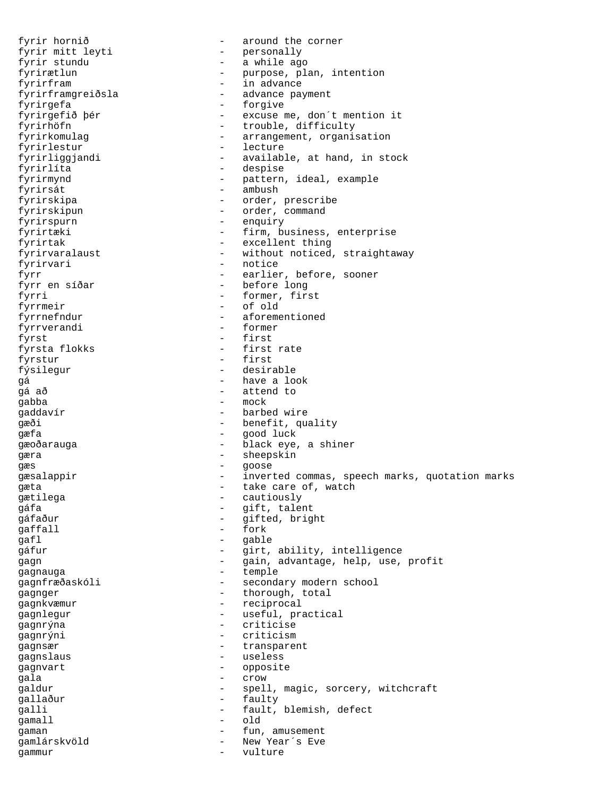fyrir hornið - around the corner fyrir mitt leyti - personally - a while ago fyrirætlun - purpose, plan, intention fyrirfram - in advance fyrirframgreiðsla - advance payment fyrirgefa - forgive - excuse me, don´t mention it fyrirhöfn - trouble, difficulty<br>fyrirkomulag - arrangement, organis - arrangement, organisation fyrirlestur - lecture fyrirliggjandi - available, at hand, in stock fyrirlíta - despise fyrirmynd - pattern, ideal, example fyrirsát - ambush fyrirskipa - order, prescribe fyrirskipun - order, command fyrirspurn - enquiry fyrirtæki  $-$  firm, business, enterprise fyrirtak - excellent thing fyrirvaralaust - without noticed, straightaway fyrirvari - notice fyrr - earlier, before, sooner fyrr en síðar - before long fyrri - former, first fyrrmeir - of old fyrrnefndur - aforementioned fyrrverandi - former fyrst - first fyrsta flokks - first rate fyrstur - first fýsilegur - desirable gá - have a look - attend to gabba - mock gaddavír - barbed wire gæði - benefit, quality gæfa - good luck gæoðarauga - black eye, a shiner - sheepskin<br>gæra - sheepskin<br>gæs - goose gæs en en en en en en en en en en goose gæsalappir  $-$  inverted commas, speech marks, quotation marks gæta  $-\atop 2^{n+1}$  cautiously  $-\atop 2^{n+1}$  cautiously gætilega - cautiously  $g$ áfa - gift, talent<br> $g$ áfaður - gifted brig gáfaður - gifted, bright gaffall - fork qafl - gable gáfur - girt, ability, intelligence gagn  $-$  gain, advantage, help, use, profit gagnauga - temple gagnfræðaskóli - secondary modern school gagnger - thorough, total gagnkvæmur - reciprocal<br>gagnlegur - useful pra gagnlegur - useful, practical<br>gagnrýna - criticise gagnrýna - criticise gagnrýni - criticism<br>cagnometricism - criticism gagnsær - transparent gagnslaus - useless<br>gagnvart - useless gagnvart - opposite qala - crow galdur - spell, magic, sorcery, witchcraft gallaður - faulty galli - fault, blemish, defect gamall - old gaman  $-$  fun, amusement gamlárskvöld - New Year´s Eve gammur - vulture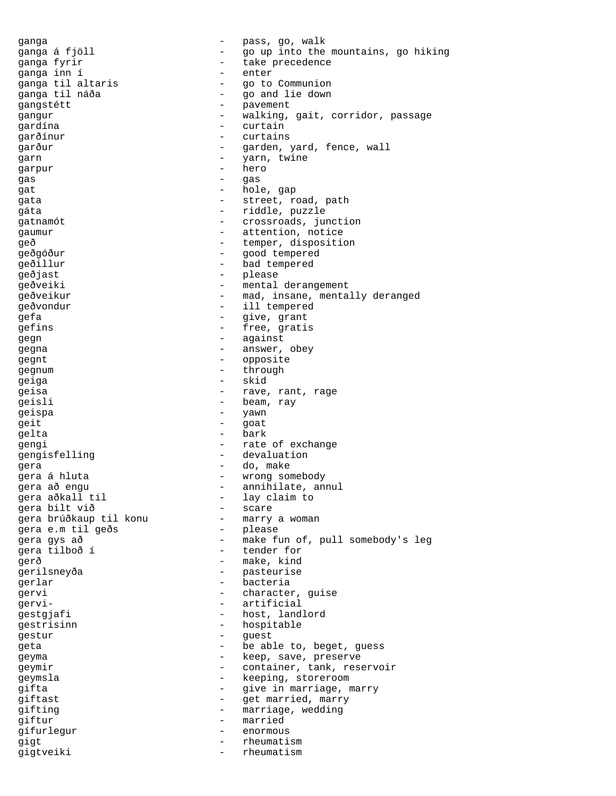ganga - pass, go, walk<br>ganga á fiöll - en interthe ganga á fjöll - compared - go up into the mountains, go hiking yanga fyrir<br>qanqa inn í take precedence ganga inn í - enter ganga til altaris - go to Communion ganga til náða - go and lie down gangstétt - pavement - pavement<br>gangur - walking. gangur - walking, gait, corridor, passage gardína - curtain garðínur - curtains garður - garden, yard, fence, wall<br>garn - varn twine garn - yarn, twine garpur - hero gas - gas - gas gat - hole, gap gata  $-$  street, road, path gáta  $-$  riddle, puzzle gatnamót  $\overline{c}$  - crossroads, junction gaumur - attention, notice geð - temper, disposition geðgóður - good tempered geðillur - bad tempered geðjast - please geðveiki - mental derangement geðveikur - mad, insane, mentally deranged geðvondur - ill tempered gefa - give, grant gefins - free, gratis gegn - against gegna - answer, obey gegnt - opposite<br>
aequim gegnum - through<br>
caica geiga - skid geisa  $-$  rave, rant, rage geisli - beam, ray geispa - yawn - yawn<br>geithead - yawn geit - goat gelta - bark gengi  $-$  rate of exchange gengisfelling - devaluation gera - do, make gera á hluta  $\qquad \qquad \bullet$  wrong somebody gera að engu  $\qquad \qquad$  - annihilate, annul gera aðkall til - lay claim to<br> - scare - scare - scare gera bilt við - scare gera brúðkaup til konu - marry a woman gera e.m til geðs gera gys að  $-$  make fun of, pull somebody's leg gera tilboð í - tender for gerð - make, kind gerilsneyða - pasteurise gerlar - bacteria gervi - character, guise gervi- - artificial gestgjafi - host, landlord<br>gestrisinn - hospitable gestrisinn - hospitable<br>
gestur - quest gestur - guest geta  $-$  be able to, beget, guess geyma - keep, save, preserve geymir - container, tank, reservoir geymsla - keeping, storeroom gifta - Government - give in marriage, marry qiftast - get married, marry gifting  $-$  marriage, wedding giftur - married gífurlegur - enormous gigt - rheumatism gigtveiki - rheumatism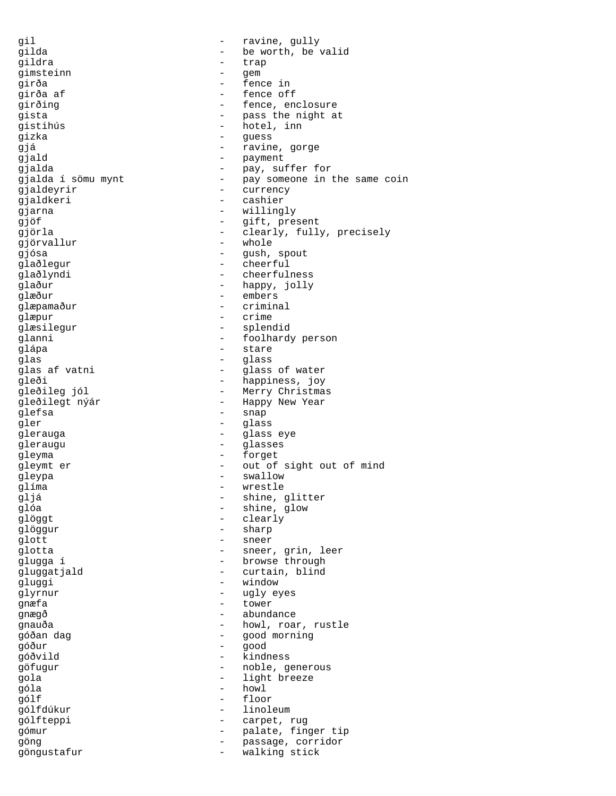gil  $-$  ravine, gully gilda - be worth, be valid<br>gildra - trap - trap gildra - trap gimsteinn - gem girða - fence in - fence in - fence in - fence in - fence in - fence in - fence in - fence in - fence in - fence in - fence in - fence in - fence in - fence in - fence in - fence in - fence in - fence in - fence in - fence girða af  $-$  fence off girðing  $-$  fence, enclosure gista  $-$  pass the night at gistihús - hotel, inn gizka - guess gjá **- ravine**, gorge - payment<br>gjalda - payment - pay, su - pay, suffer for gjalda í sömu mynt pay someone in the same coin gjaldeyrir - currency gjaldkeri - cashier gjarna - willingly<br>gjärna - willingly<br>aiöf - gjft pre gjöf - gift, present gjörla - clearly, fully, precisely gjörvallur gjósa - Gush, spout glaðlegur - cheerful glaðlyndi - cheerfulness qlaður - happy, jolly glæður - embers<br>qlæpamaður - criminal glæpamaður glæpur - crime glæsilegur - splendid glanni - foolhardy person glápa - stare - stare - stare - stare - stare - stare - stare - stare - stare - stare - stare - stare - stare - stare - stare - stare - stare - stare - stare - stare - stare - stare - stare - stare - stare - stare - stare glas - glass glass of water -<br>gleði - happiness, joy<br>gleðileg jól - Merry Christma - Merry Christmas gleðilegt nýár - Happy New Year glefsa - snap qler - glass glerauga - glass eye gleraugu - glasses gleyma - forget gleymt er - out of sight out of mind gleypa - swallow glíma - wrestle gljá - shine, glitter shine, glow glöggt - clearly glöggur - sharp qlott - sneer glotta - sneer, grin, leer glugga í  $-$  browse through gluggatjald - curtain, blind gluggi - window glyrnur - ugly eyes gnæfa - tower gnægð - abundance gnauða - howl, roar, rustle góðan dag - good morning góður - good góðvild - kindness göfugur - noble, generous gola - light breeze  $\overline{g}$ óla - howl - howl - howl - floor gólf - floor gólfdúkur - linoleum gólfteppi - carpet, rug gómur - palate, finger tip<br>qöng - passage corridor göng - passage, corridor göngustafur - walking stick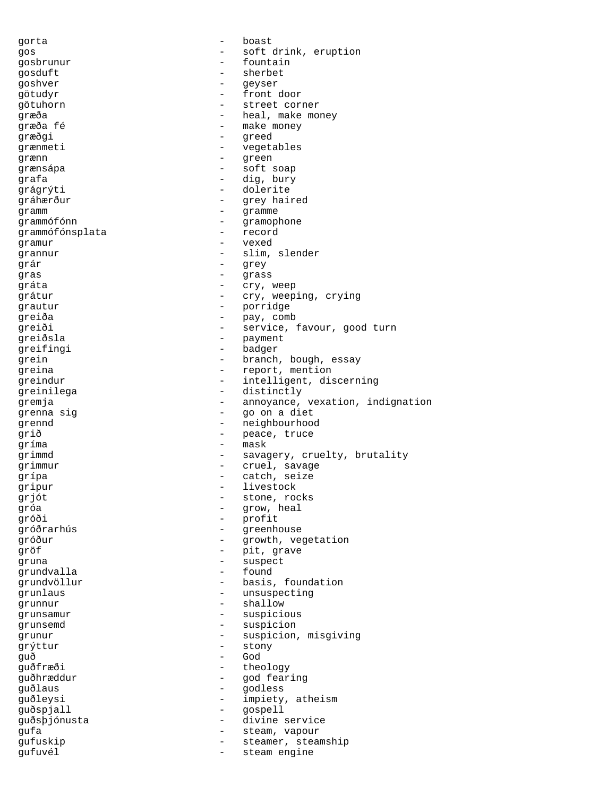gorta - boast gos  $-$  soft drink, eruption gosbrunur - fountain gosduft - sherbet goshver - geyser götudyr - front door götuhorn - street corner græða - heal, make money græða fé - make money græðgi - greed grænmeti - vegetables grænn - green grænsápa - soft soap grafa - dig, bury grágrýti - dolerite gráhærður - grey haired gramm - gramme - gramme grammófónn - gramophone grammófónsplata - record - record and - record - record - record - record - record - record - record - record gramur - vexed grannur - slim, slender grár - grey gras - grass gráta - cry, weep grátur - cry, weeping, crying grautur - porridge greiða - pay, comb greiði - service, favour, good turn greiðsla - payment greifingi - badager - badager - badager - badager - badager - badager - badager grein - branch, bough, essay greina  $-$  report, mention greindur - intelligent, discerning greinilega - distinctly gremja - annoyance, vexation, indignation grenna sig  $\qquad \qquad$  - go on a diet grennd - neighbourhood grið - peace, truce gríma - mask grimmd - savagery, cruelty, brutality grimmur - cruel, savage grípa - catch, seize gripur - livestock<br>gript - livestock<br>stone rou grjót - stone, rocks gróa - grow, heal gróði - profit gróðrarhús - greenhouse gróður - growth, vegetation gröf - pit, grave gruna - suspect grundvalla - found grundvöllur - basis, foundation grunlaus - unsuspecting grunnur - shallow grunsamur - suspicious<br>grunsemd - suspicion grunsemd - suspicion<br>
grunur - suspicion<br>
- suspicion grunur - suspicion, misgiving<br>
The stony<br>
The stony<br>
Stony<br>
Stony grýttur - stony - stony - stony - stony - stony - stony - stony - stony - stony - stony - stony - stony - stony - stony - stony - stony - stony - stony - stony - stony - stony - stony - stony - stony - stony - stony - ston guð - God guðfræði - theology guðhræddur - god fearing<br>guðlaus - godless guðlaus - godless guðleysi - impiety, atheism guðspjall - gospell guðsþjónusta - divine service gufa - steam, vapour<br>qufuskip - steamer steam gufuskip - steamer, steamship gufuvél - steam engine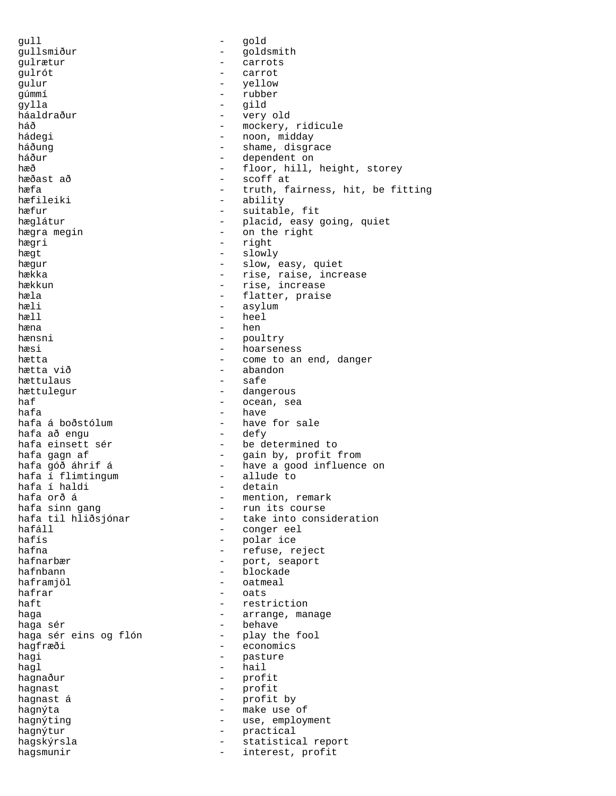gull - gold gullsmiður - goldsmith<br>gulrætur - carrots gulrætur - carrots gulrót - carrot gulur - yellow - yellow gúmmí - rubber gylla - gild háaldraður - very old háð - mockery, ridicule - noon, midday háðung  $-$  shame, disgrace háður - dependent on hæð - dependent on hæð - floor, hill, hæð - floor, hill, height, storey<br>hæðast að - scoff at - scoff at hæfa - truth, fairness, hit, be fitting<br>hæfileiki - ability - ability hæfileiki - ability<br>hæfur - suitable - suitable, fit hæglátur - placid, easy going, quiet<br>hægra megin hægra megin en som the right hægri - right hægt - slowly hægur - slow, easy, quiet hækka - rise, raise, increase hækkun - rise, increase hæla - flatter, praise - asylum hæll - heel hæna - hen<br>hænsni - hen - hen hænsni - poultry hæsi - hoarseness<br>hætta - hoarseness<br>hætta - come to an hætta  $-$  come to an end, danger hætta við  $-$  abandon - abandon<br>- safe hættulaus<br>hættulegur - dangerous haf  $\overline{\phantom{a}}$  - ocean, sea hafa - have - have for sale<br>- defy hafa að engu hafa einsett sér  $-$  be determined to hafa gagn af - gain by, profit from - have a good influence on<br>- allude to hafa í flimtingum - allude to hafa í haldi<br>hafa orð á hafa orð á - mention, remark hafa sinn gang<br>hafa til hliðsjónar - take into cons hafa til hliðsjónar  $-$  take into consideration<br>hafáll  $-$  conger eel hafáll - conger eel<br>hafís - conger eel<br>- polar ice - polar ice hafna  $-$  refuse, reject hafnarbær - port, seaport hafnbann - blockade haframjöl - oatmeal hafrar - oats - restriction haga  $-$  arrange, manage haga sér - behave haga sér eins og flón - play the fool hagfræði - economics hagi  $-$  pasture  $haq1$  - hail hagnaður - profit hagnast - profit hagnast á  $-$  profit by hagnýta - make use of hagnýting  $-$  use, employment hagnýtur - practical hagskýrsla - statistical report<br>hagsmunir - interest profit hagsmunir - interest, profit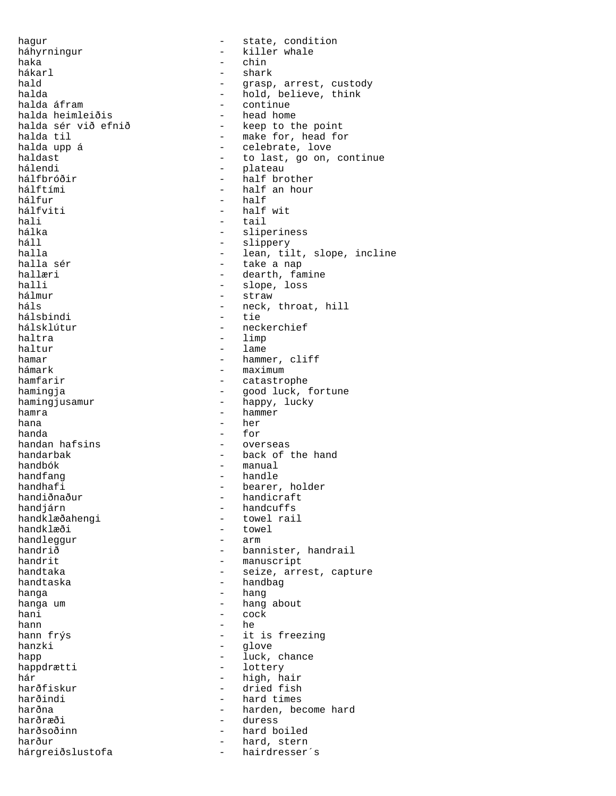hagur - state, condition háhyrningur - killer whale haka - chin hákarl - shark hald  $\begin{array}{ccc} 1 & - & - & - \\ - & - & - \end{array}$  arrest, custody hald believe. halda - hold, believe, think - continue<br>- head home halda heimleiðis<br>halda sér við efnið halda sér við efnið  $-$  keep to the point halda til  $-$  make for, head for halda til - make for, head for halda upp á  $\begin{array}{ccc} - & - & - \\ - & - & - \end{array}$  celebrate, love haldast haldast  $\begin{array}{ccc} - & + & + \\ - & - & - \end{array}$  to last, go on, continue hálendi - plateau hálfbróðir - half brother hálftími - half an hour hálfur - half hálfviti - half wit hali - tail hálka - sliperiness háll - slippery halla - lean, tilt, slope, incline halla sér  $\begin{array}{ccc} - & \text{take a nap} \\ - & \text{dearth} \\ - & \text{dearth} \\ \end{array}$ hallæri - dearth, famine<br>halli - slope loss halli - slope, loss<br>hálmur - straw - straw hálmur - straw - straw - straw - straw - straw - straw - straw - straw - straw - straw - straw - straw - straw - straw - straw - straw - straw - straw - straw - straw - straw - straw - straw - straw - straw - straw - straw - neck, throat, hill<br>- tie hálsbindi<br>hálsklútur - neckerchief haltra - limp - lame hamar - hammer, cliff<br>hámark - maximum - maximum hámark - maximum hamfarir  $-$  catastrophe hamingja - good luck, fortune hamingjusamur - happy, lucky hamra  $-$  hammer hana - her - for handan hafsins  $\qquad \qquad -$  overseas handarbak - back of the hand<br>handbók - manual - manual handbók - manual handfang - handle handhafi - bearer, holder<br>handiðnaður - handicraft handiðnaður - handicraft<br>handjárn - handcuffs handjárn<br>handklæðahengi - handcuffs<br>- towel rai handklæðahengi - towel rail<br>handklæði - towel - towel - towel<br>- arm handleggur<br>handrið handrið - bannister, handrail<br>handrit - manuscript - manuscript handtaka  $-$  seize, arrest, capture handtaska - handbag - handbag hanga - hang hanga um  $-$  hang about hani - cock hann ann an Chaidh ann an t-an an t-an an t-an an t-an an t-an an t-an an t-an an t-an an t-an an thann frýs  $-$  it is freezing<br>hanzki  $-$  qlove - glove happ - luck, chance - lottery hár - high, hair harðfiskur - dried fish<br>harðindi - hard times - hard times harðna - harden, become hard<br>harðræði - harden, become hard - duress harðsoðinn - hard boiled harður<br>hárgreiðslustofa - hairdresser's hárgreiðslustofa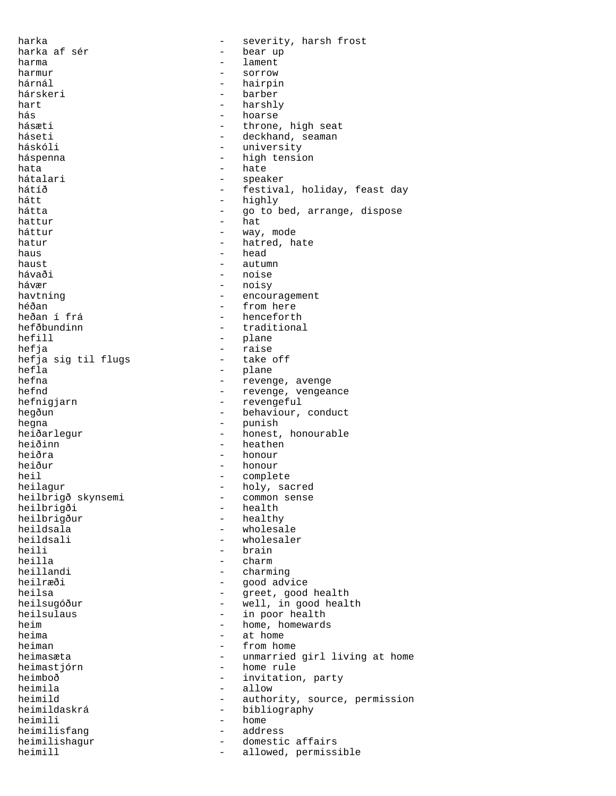harka - severity, harsh frost harka af sér  $-$  bear up harma - lament harmur - sorrow hárnál - hairpin - barber hart - harshly<br>hás - hoarse hás - hoarse hásæti - throne, high seat<br>háseti - deckhand seaman háseti - deckhand, seaman - university háspenna - high tension hata hate hate hate hátalari - speaker hátíð - festival, holiday, feast day<br>hátt - highly - highly hátt - highly - go to bed, arrange, dispose hattur - hat - way, mode hatur - hatred, hate<br>haus - head  $\begin{array}{cccc}\n\text{haus} & & & & & \\
\text{haus} & & & & & \\
\text{haust} & & & & & \\
\end{array}$ - autumn hávaði - noise<br>hávær - noise - noise hávær - noisy havtning  $\overline{a}$  - encouragement<br>héðan - from here héðan - from here - from here - from here - from here - from here - from here - from here - from here - from h<br>hencefortl heðan í frá - henceforth hefðbundinn - traditional<br>hefill - plane hefill - plane - plane<br>hefja - raise - raise<br>- take off hefja sig til flugs<br>hefla hefla - plane - plane - plane - plane - plane - plane - plane - plane - plane - plane - plane - plane - plane - plane - plane - plane - plane - plane - plane - plane - plane - plane - plane - plane - plane - plane - plane hefna - revenge, avenge<br>hefnd - revenge vengea - revenge, vengeance hefnigjarn - revengeful hegðun - behaviour, conduct hegna - punish heiðarlegur - honest, honourable heiðinn - heathen heiðra - honour - honour - honour - honour - honour - honour - honour - honour - honour - honour - honour - honour - honour - honour - honour - honour - honour - honour - honour - honour - honour - honour - honour - honour heiður - honour - honour - honour - honour - honour - honour - honour - honour - honour - honour - honour - honour - honour - honour - honour - honour - honour - honour - honour - honour - honour - honour - honour - honour heil - complete heilagur - holy, sacred<br>heilbrigð skynsemi - common sense heilbrigð skynsemi - common sense<br>heilbrigði - health heilbrigði - health<br>heilbrigður - health heilbrigður - healthy<br>heildsala - wholesa heildsala - wholesale<br>heildsali - wholesale heildsali - wholesaler<br>heili - brain - brain heili - brain<br>heilla - charm - charm heillandi - charming heilræði - good advice heilsa - greet, good health heilsugóður - well, in good health heilsulaus - in poor health<br>heim - home, homewards heim - home, homewards<br>heima - at home heima - at home heiman - from home<br>heimasæta - from home - heimasæta - unmarried girl living at home heimastjórn - home rule<br>heimhoð - invitation heimboð - invitation, party<br>heimila - allow heimila - allow - authority, source, permission heimildaskrá - bibliography heimili - home<br>heimilisfang - home<br>- address heimilisfang heimilishagur - domestic affairs<br>heimill - allowed permiss heimill  $-$  allowed, permissible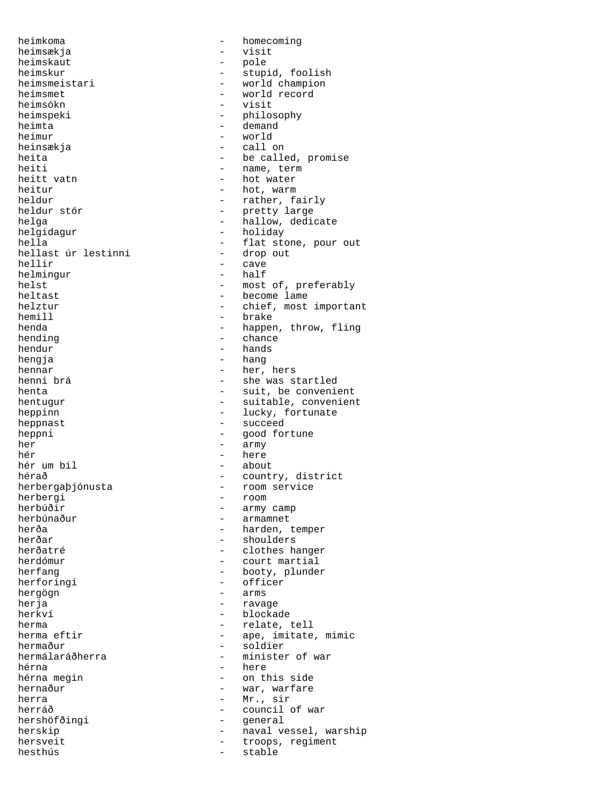heimkoma - homecoming heimsækja – visit<br>heimskaut – pole – pole heimskaut heimsmet - world record<br>heimsókn - visit heimsókn – visit<br>heimspeki – bhilos heimspeki - philosophy<br>heimta - demand - demand heimur - world heinsækja - call on heitt vatn  $-$  hot water heitur - hot, warm<br>heldur - rather, fa helgidagur - holiday<br>hella - flat sto hellast úr lestinni<br>hellir helmingur heltast - become lame<br>helztur - chief. most hemill - brake hending  $-$  chance  $\begin{tabular}{ccc} hendur & \hspace{1.5cm} & - & hands \end{tabular}$ hengja - hang hennar - her, hers heppnast - succeed heppni - good fortune her - army hér - here hér um bil<br>hérað herbergaþjónusta - room service<br>herbergi - room - room herbergi - room - room<br>herbúðir - army herbúðir - army camp herbúnaður - armamnet<br>herða - harden i herðar - shoulders<br>herðatré - shoulders herforingi - officer hergögn - arms herja - ravage herkví - blockade herma  $\frac{1}{2}$  - relate, tell<br>herma eftir  $\frac{1}{2}$  - ape, imitate hermaður - soldier<br>hermálaráðherra - - ministei hérna - here hernaður - war, warfare herra  $-$  Mr., sir hersveit - troops, regiment<br>hesthús - stable hesthús - stable

heimskur - stupid, foolish<br>heimsmeistari - world champion heimsmeistari - world champion<br>heimsmet - world record - demand heita - be called, promise<br>heiti - hame, term - name, term heldur  $-$  rather, fairly heldur stór  $-$  pretty large - pretty large helga - hallow, dedicate<br>helgidagur - holiday - holiday - flat stone, pour out<br>- drop out - cave<br>- half helst - most of, preferably<br>heltast - become lame - chief, most important henda - happen, throw, fling henni brá - she was startled henta - suit, be convenient<br>hentuqur - suitable, convenien - suitable, convenient heppinn - lucky, fortunate hérað - country, district<br>herbergaþjónusta - - room service herða - harden, temper<br>herðar - harden, temper<br>- shoulders herðatré - clothes hanger<br>herdómur - court martial - court martial herfang  $-$  booty, plunder herma eftir  $\qquad -$  ape, imitate, mimic<br>hermaður - soldier - minister of war - on this side herráð - council of war - general herskip - naval vessel, warship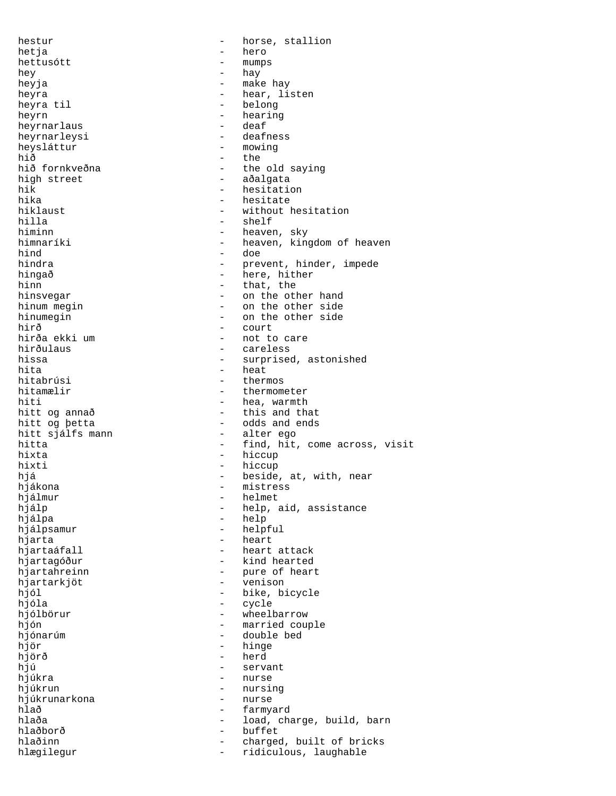hestur - horse, stallion hetja - hero hettusótt - mumps hey - hay heyja - make hay heyra  $-$  hear, listen<br>heyra til  $-$  belong - belong<br>- hearing heyrn - hearing heyrnarlaus - deaf heyrnarleysi heysláttur – mowing<br>hið – the hið - the - the old saying high street  $-$  aðalgata hik - hesitation<br>hika - hesitate - hesitate - hesitate hiklaust - without hesitation<br>hilla - shelf - shelf hilla - shelf - shelf - shelf - shelf - shelf - shelf - shelf - shelf - shelf - shelf - shelf - shelf - shelf - shelf - shelf - shelf - shelf - shelf - shelf - shelf - shelf - shelf - shelf - shelf - shelf - shelf - shelf himinn - heaven, sky<br>himnaríki - heaven, kino himnaríki - heaven, kingdom of heaven<br>hind - doe hind - doe - prevent, hinder, impede hingað - here, hither hinn - that, the hinsvegar and the other hand hinum megin  $\qquad \qquad$  - on the other side hinumegin - on the other side hirð - court - not to care hirðulaus - careless hissa - surprised, astonished<br>hita - heat - heat hita - heat hitabrúsi - thermos<br>hitamælir - thermome - thermometer hiti - hea, warmth<br>hitt og annað - this and th hitt og annað  $\qquad \qquad -$  this and that hitt og þetta - odds and ends<br>- alter ego hitt sjálfs mann hitta  $-$  find, hit, come across, visit hixta - hiccup hixti - hiccup hjá - beside, at, with, near hjákona - mistress hjálmur - helmet hjálp - help, aid, assistance hjálpa - help hjálpsamur - helpful hjarta - heart - heart attack<br>- kind hearted hjartagóður - kind hearted hjartahreinn - pure of heart hjartarkjöt - venison hjól - bike, bicycle hjóla - cycle hjólbörur - wheelbarrow hjón - married couple hjónarúm - double bed hjör - hinge hjörð - herd hjú - servant hjúkra - nurse - nurse hjúkrun - nursing hjúkrunarkona hlað - farmyard hlaða - load, charge, build, barn hlaðborð - buffet hlaðinn - charged, built of bricks hlægilegur - ridiculous, laughable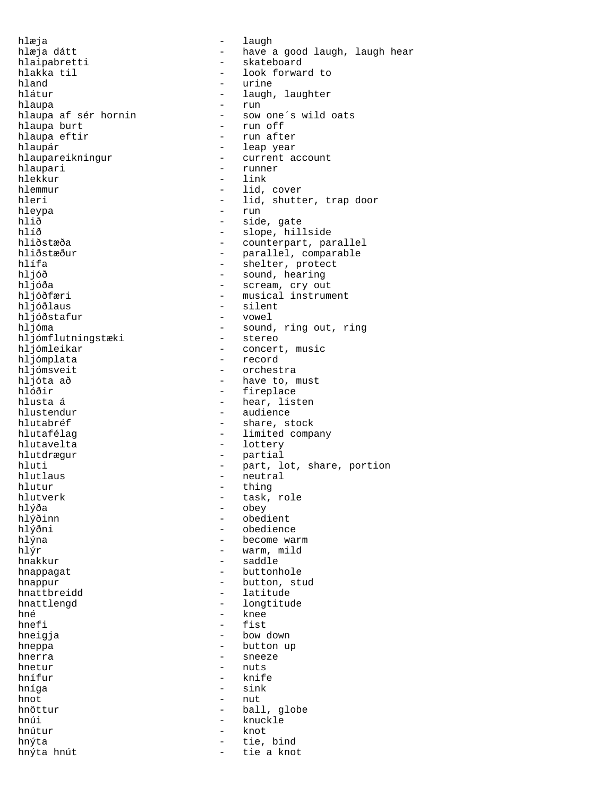hlæja - laugh hlaipabretti - skateboard<br>hlakka til - look forwar hlakka til - look forward to hland - urine<br>hlátur - laugh, hlátur - laugh, laughter hlaupa - run hlaupa af sér hornin - sow one´s wild oats<br>hlaupa burt - run off hlaupa burt  $\begin{array}{ccc} - & run \text{ off} \\ - & run \text{ off} \end{array}$ nlaupár - leap year<br>hlaupareikningur - current a hlaupari - runner hlekkur - link hlemmur - lid, cover hleypa - run hlið - side, gate<br>hlíð - slope, hil hlíð - slope, hillside hliðstæður - parallel, comparable<br>hlífa - shelter, protect hlífa - shelter, protect hljóð - sound, hearing hljóða - scream, cry out hljóðlaus - silent hlióðstafur - silent - silent - silent - silent - silent - silent - silent - silent - silen hljóðstafur hljómflutningstæki<br>hljómleikar hljómleikar - concert, music<br>hljómplata - record hljómplata - record<br>hljómsveit - orchest hljómsveit - orchestra<br>hljóta að - have to, m hljóta að  $\begin{array}{ccc} - & \text{have to, must} \\ - & \text{five to} \\ \end{array}$ hlóðir - fireplace hlusta á  $\overline{a}$  - hear, listen<br>hlustendur - audience hlutabréf  $-$  share, stock hlutafélag  $-$  limited company hlutavelta - lottery hlutdrægur - partial - partial - partial - partial - partial - partial - partial - partial - partial - partial - partial - partial - partial - partial - partial - partial - partial - partial - partial - partial - partial hlutur - thing<br>hlutverk - task, hlutverk - task, role hlýða - obey hlýðinn - obedient hlýðinn - obedient hlýðni hlýna - become warm  $h\overline{15r}$  - warm, mild hnakkur - saddle hnappagat - buttonhole hnappur - button, stud hnattbreidd - latitude hnattlengd - longtitude hné <sup>-</sup> knee - knee - knee - knee - knee - knee - knee - knee - knee - knee - knee - knee - knee - knee - knee - knee - knee - knee - knee - knee - knee - knee - knee - knee - knee - knee - knee - knee - knee - knee - knee hnefi - fist<br>hneigja - bow - bow hneppa - button up hnerra - sneeze hnetur - nuts hnífur - knife hníga - sink hnot - nut hnöttur - ball, globe hnúi - knuckle hnútur - knuckle hnútur - knuckle - knuckle - knuckle - knuckle - knuckle - knuckle - knuckle hnýta  $-\text{tie}$ , bind  $-\text{tie}$ , a kno $\text{tr}(t)$  a kno $\text{tr}(t)$ hnýta hnút  $-$  tie a knot

hlæja dátt - have a good laugh, laugh hear - run after - current account hleri - lid, shutter, trap door hliðstæða - counterpart, parallel - musical instrument hljóma - sound, ring out, ring hljómflutningstæki - stereo - audience hluti - part, lot, share, portion<br>hlutlaus - - - - - - - neutral - neutral - obedience - bow down - knot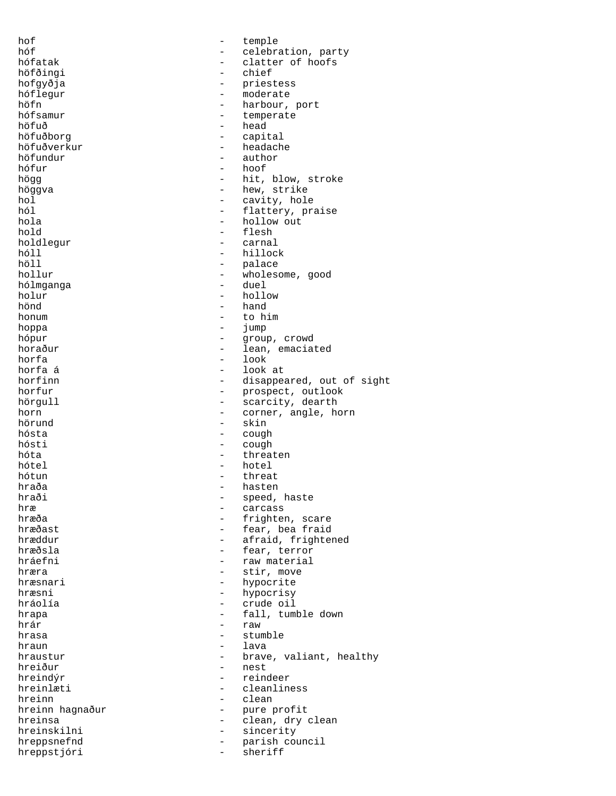hof - temple hóf - celebration, party clatter of hoofs<br>chief höfðingi - chief - chief - chief - chief - chief - chief - chief - chief - chief - chief - chief - chief - chief - chief - chief - chief - chief - chief - chief - chief - chief - chief - chief - chief - chief - chief - chi hofgyðja - priestess hóflegur - moderate höfn - harbour, port<br>hófsamur - harbour, port hófsamur - temperate - head höfuðborg - capital höfuðverkur - headache - headache - headache - headache - headache - headache - headache - headache - headache - headache - headache - headache - headache - headache - headache - headache - headache - headache - headache höfundur - author - hoof högg  $-$  hit, blow, stroke höggva - hew, strike hol - cavity, hole<br>
hol - flattery, pr hól - flattery, praise hola - hollow out - flesh<br>- carnal holdlegur<br>hóll hóll - hillock höll - palace - wholesome, good<br>- duel hólmganga<br>holur holur - hollow hand honum - to him hoppa - jump hópur - group, crowd horaður - lean, emaciated<br>horfa - look - look horfa - look horfa á  $\overline{a}$  - look at horfinn  $\overline{a}$  - look at horfinn horfinn - disappeared, out of sight<br>horfur - prospect, outlook horfur - prospect, outlook<br>hörgull - scarcity, dearth - scarcity, dearth horn - corner, angle, horn - corner, angle, horn - corner, angle, horn - corner, angle, horn - corner, angle, horn - corner, angle, horn - corner, angle, horn - corner, angle, horn - corner, angle, horn - corner, angle, ho hörund - skin cough hósti - cough hóta - threaten hótel - hotel hótun - threat hraða - hasten hraði - speed, haste<br>hræ hræ - carcass<br>hræða - carcass - carcass hræða - frighten, scare<br>hræðast - fear bea fraid hræðast - fear, bea fraid<br>hræðdur - fear, bea fraid hræddur - afraid, frightened<br>hræðsla - fear terror hræðsla - fear, terror - raw material hræra  $-$  stir, move hræsnari - hypocrite hræsni - hypocrisy hráolía - crude oil hrapa - fall, tumble down<br>hrár - raw - raw hrár - raw hrasa - stumble<br>hraun - lava hraun - lava<br>hraustur - brave - brave, valiant, healthy hreiður - nest hreindýr - reindeer hreinlæti - cleanliness hreinn - clean hreinn hagnaður - pure profit hreinsa - clean, dry clean<br>hreinskilni - sincerity sincerity hreppsnefnd - parish council hreppstjóri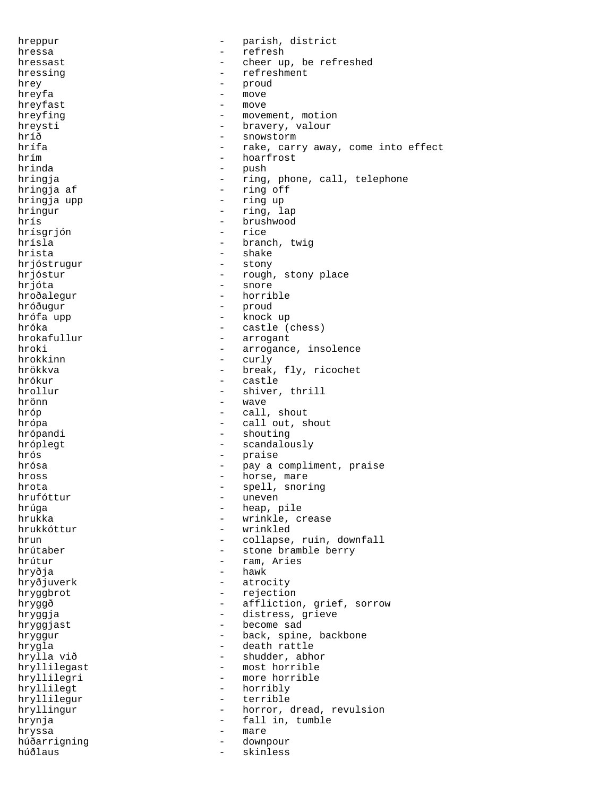hreppur - parish, district hressa - refresh hressast  $\qquad \qquad -$  cheer up, be refreshed hressing  $-$  refreshment hrey - proud<br>hreyfa - move hreyfa - move hreyfast hreyfing  $-$  movement, motion<br>hreysti - bravery, valour - bravery, valour hríð - snowstorm<br>hrífa - rake cari hrífa - rake, carry away, come into effect<br>hrím - hoarfrost hrím - hoarfrost - push hringja - ring, phone, call, telephone hringja af  $-$  ring off hringja upp - ring up hringur - ring, lap hrís - brushwood hrísgrjón<br>hrísla hrísla - branch, twig - shake<br>- stony hrjóstrugur hrjóstur - rough, stony place hrjóta - snore hroðalegur - horrible hróðugur - proud hrófa upp  $-$  knock up hróka - castle (chess)<br>hrokafullur - castle (chess) - arrogant hroki - arrogance, insolence<br>hrokkinn - curly - curly hrokkinn - curly<br>hrökkva - break hrökkva - break, fly, ricochet hrókur - castle - shiver, thrill hrönn - wave hróp - call, shout hrópa  $-$  call out, shout hrópandi - shouting hróplegt - scandalously hrós - praise hrósa - pay a compliment, praise hross - horse, mare hrota - spell, snoring hrufóttur - uneven hrúga - heap, pile - heap, pile - heap, pile - heap, pile - heap, pile - heap - heap - heap - heap - heap - he<br>- heap - heap - heap - heap - heap - heap - heap - heap - heap - heap - heap - heap - heap - heap - heap - heap hrukka - wrinkle, crease hrukkóttur - wrinkle, crease - wrinkle, crease - wrinkled - wrinkled hrun - collapse, ruin, downfall<br>hrútaber - stone bramble berry - stone bramble berry hrútur - ram, Aries hryðja - hawk hryðjuverk - atrocity hryggbrot - rejection hryggð - affliction, grief, sorrow hryggja - distress, grieve hryggjast - become sad hryggur - back, spine, backbone hrygla - death rattle - shudder, abhor hryllilegast - most horrible hryllilegri - more horrible hryllilegt - horribly hryllilegur - terrible hryllingur - horror, dread, revulsion hrynja - fall in, tumble hryssa the matrix of the matrix  $\sim$ húðarrigning - downpour húðlaus - skinless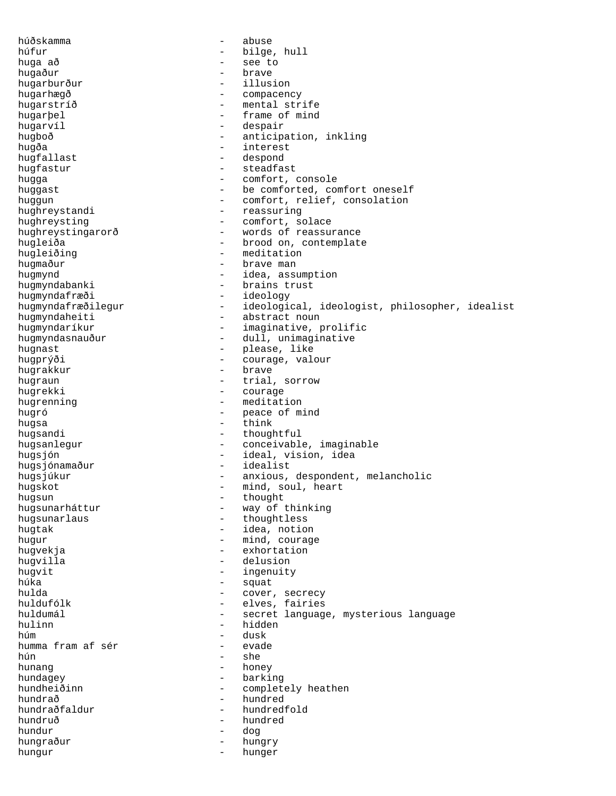húðskamma - abuse húfur - bilge, hull huga að - see to hugaður - brave hugarburður hugarhægð - compacency hugarstríð - mental strife hugarþel - frame of mind - despair hugboð - anticipation, inkling hugða - interest hugfallast - despond hugfastur - steadfast hugga - comfort, console huggast  $-$  be comforted, comfort oneself huggun - comfort, relief, consolation hughreystandi - reassuring hughreysting  $-$  comfort, solace hughreystingarorð - words of reassurance hugleiða - brood on, contemplate - meditation hugmaður - brave man hugmynd<br>
hugmyndabanki<br>
- brains trust<br>
- brains trust - brains trust hugmyndafræði - ideology<br>hugmyndafræðilegur - ideologi - ideological, ideologist, philosopher, idealist hugmyndaheiti - abstract noun hugmyndaríkur - imaginative, prolific hugmyndasnauður - dull, unimaginative hugnast - please, like hugprýði - courage, valour hugrakkur - brave hugrakkur - brave - brave hugraun - brave - brave - brave - brave - brave - brave - brave hugraun - trial, sorrow<br>hugrekki - courage - courage - courage hugrenning extending the meditation hugró - peace of mind hugsa - think hugsandi - thoughtful hugsanlegur - conceivable, imaginable hugsjón - ideal, vision, idea hugsjónamaður - idealist<br>hugsjúkur - - anxious, - anxious, despondent, melancholic hugskot - mind, soul, heart hugsun - thought hugsunarháttur - way of thinking hugsunarlaus - thoughtless<br>hugtak - idea, notio - idea, notion hugur - mind, courage hugvekja - exhortation hugvilla - delusion hugvit - ingenuity húka - squat hulda - cover, secrecy huldufólk - elves, fairies<br>huldumál - elves, fairies huldumál - secret language, mysterious language hulinn  $-\text{hidden}$ húm - dusk humma fram af sér - evade hún - she - honey hundagey - barking<br>hundheiðinn - complet hundheiðinn - completely heathen<br>hundrað - hundred hundrað - hundred hundraðfaldur - hundredfold hundruð - hundred hundruð - hundred hundred - dog - dog - dog - dog - dog - dog - dog - dog - dog - dog - dog - dog - dog - dog - dog - dog - dog - dog - dog - dog - dog - dog - dog - dog - dog - dog - dog - dog - dog - d hundur - dog hungraður - hungry hungur - hunger - hunger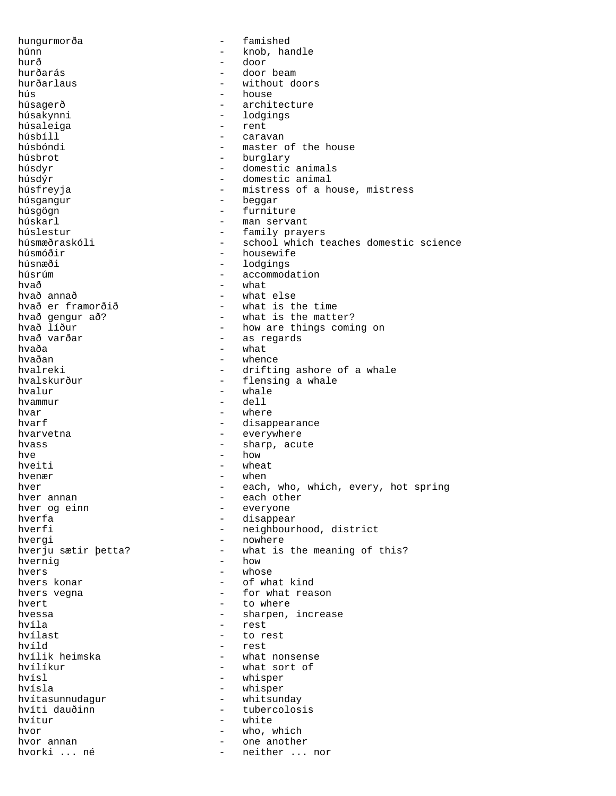hungurmorða - famished húnn - knob, handle hurð - door hurðarás - door beam hurðarlaus - without doors<br>hús - house - house hús - house húsagerð - architecture - lodgings<br>- rent húsaleiga<br>húsbíll húsbíll - caravan húsbóndi - master of the house<br>húsbrot - hurglary húsbrot - burglary - burglary - burglary - burglary - burglary - burglary - burglary - burglary - burglary - burglary - burglary - burglary - burglary - burglary - burglary - burglary - burglary - burglary - burglary - bur - domestic animals húsdýr - domestic animal húsfreyja  $-$  mistress of a house, mistress húsgangur - beggar húsgögn - furniture húskarl - man servant húslestur - family prayers<br>húsmæðraskóli - - school which t húsmæðraskóli - school which teaches domestic science<br>húsmóðir - housewife húsmóðir<br>húsnæði - housewife<br>- lodgings húsnæði - lodgings húsrúm  $\begin{array}{ccc} - & \text{accommodation} \\ - & \text{wech} \end{array}$ hvað - what hvað annað - what else - what is the time hvað gengur að? - mindandir við hvað líður stært - mindandir hvað líður stært - how are things comin hvað líður - how are things coming on<br>hvað varðar - - - - - - - - - - - as regards - as regards<br>- what hvaða - what hvaðan - whence hvalreki - drifting ashore of a whale<br>hvalskurður - - - - - - - - - flensing a whale hvalskurður - flensing a whale<br>hvalur - whale hvalur - whale hvammur - dell hvar - where<br>hvarf - disam - disappearance hvarvetna hvarvetna - everywhere hvass  $\qquad \qquad -$  sharp, acute hve  $-$  how  $$ hveiti - wheat hvenær - when hver  $-$  each, who, which, every, hot spring<br>hver annan  $-$  each other hver annan - each other hver og einn andre større everyone blever og einn andre større everyone blev en som en som en som en som en so<br>Also blever en som en som en som en som en som en som en som en som en som en som en som en som en som en som hverfa - disappear - neighbourhood, district hvergi - nowhere - what is the meaning of this?<br>- how hvernig hvers - whose hvers konar and the set of what kind hvers vegna  $-$  for what reason hvert to where the set of the set of the set of the set of the set of the set of the set of the set of the set o hvessa <br/> - sharpen, increase hvíla - rest hvílast - to rest hvíld - rest hvílik heimska - what nonsense<br>hvílíkur - what sort of hvílíkur - what sort of<br>hvísl - whisper hvísl - whisper - whisper hvítasunnudagur - whitsunday hvíti dauðinn <br />
- tubercolosis hvítur - white hvor  $\begin{array}{ccc} - & \text{who, which} \\ \text{hvor annan} & - & \text{one another} \end{array}$ one another hvorki ... né  $-$  neither ... nor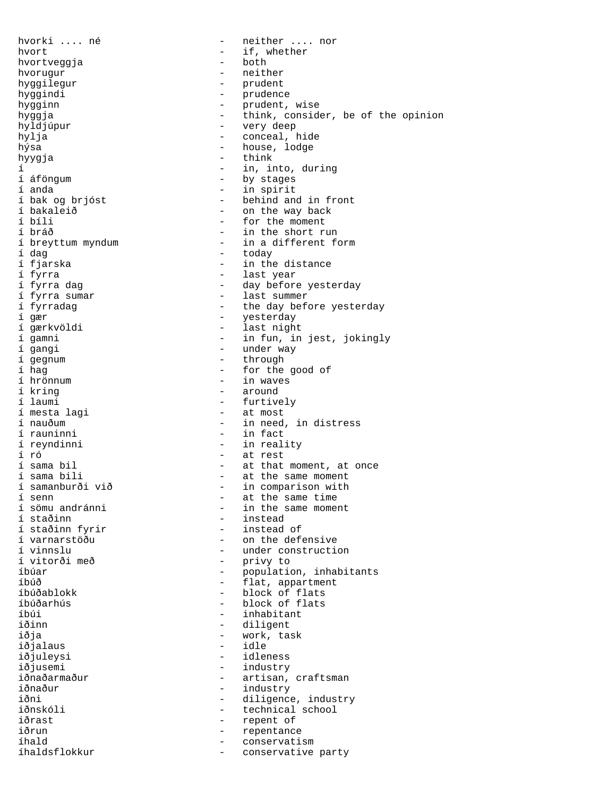hvorki .... né  $-$  neither .... nor hvort - if, whether hvortveggja hvorugur - neither hyggilegur - prudent hyggindi - prudence hygginn - prudent, wise hyggja - think, consider, be of the opinion hyldjúpur - very deep hylja - conceal, hide hýsa  $-$  house, lodge hyygja - think í - in, into, during í áföngum - by stages í anda<br>1 bak og brjóst - in spirit<br>1 behind and í bak og brjóst - behind and in front í bakaleið - on the way back í bíli  $\frac{1}{2}$  - for the moment for  $\frac{1}{2}$  - for the moment for  $\frac{1}{2}$  - in the short run in the short run in the short run in the short run in the short run in the short run in the short run in the short run in th í bráð - in the short run í breyttum myndum - in a different form<br>í dag - today í dag - today í fjarska - in the distance í fyrra  $\frac{1}{2}$  fyrra dag  $\frac{1}{2}$  fyrra dag  $\frac{1}{2}$  fyrra dag  $\frac{1}{2}$  fyrra dag  $\frac{1}{2}$  fyrra dag  $\frac{1}{2}$  fyrra dag  $\frac{1}{2}$  fyrra dag  $\frac{1}{2}$  fyrra dag  $\frac{1}{2}$  fyrra dag  $\frac{1}{2}$  fyrra dag  $\frac{1}{2}$  fyrr í fyrra dag - day before yesterday i fyrra sumar and the last summer<br>i fyrradag and the day bef - the day before yesterday í gær - yesterday í gærkvöldi - last night í gamni - in fun, in jest, jokingly - under way<br>- through í gegnum - through í hag - for the good of í hrönnum - in waves í kring - around í laumi - furtively<br>í mesta lagi - at most í mesta lagi - at most í nauðum - in need, in distress - in fact í reyndinni - in reality í ró - at rest í sama bil  $-$  at that moment, at once<br>
í sama bili  $-$  at the same moment í sama bili - at the same moment<br>í samanburði við - in comparison with í samanburði við - in comparison with í senn - at the same time í sömu andránni - in the same moment - instead<br>- instead of í staðinn fyrir<br>í varnarstöðu í varnarstöðu - on the defensive í vinnslu - under construction - privy to íbúar - population, inhabitants íbúð - flat, appartment íbúðablokk - block of flats íbúðarhús - block of flats íbúi - inhabitant - diligent<br>- work, ta iðja - work, task<br>iðjalaus - menni - vidle iðjalaus<br>iðjuleysi - idleness iðjusemi - industry iðnaðarmaður - artisan, craftsman<br>iðnaður - - - - - - - - - - industry iðnaður - industry<br>iðni - diligence - diligence, industry iðnskóli - technical school iðrast - repent of<br>iðrun - repentance - repentance íhald - conservatism íhaldsflokkur - conservative party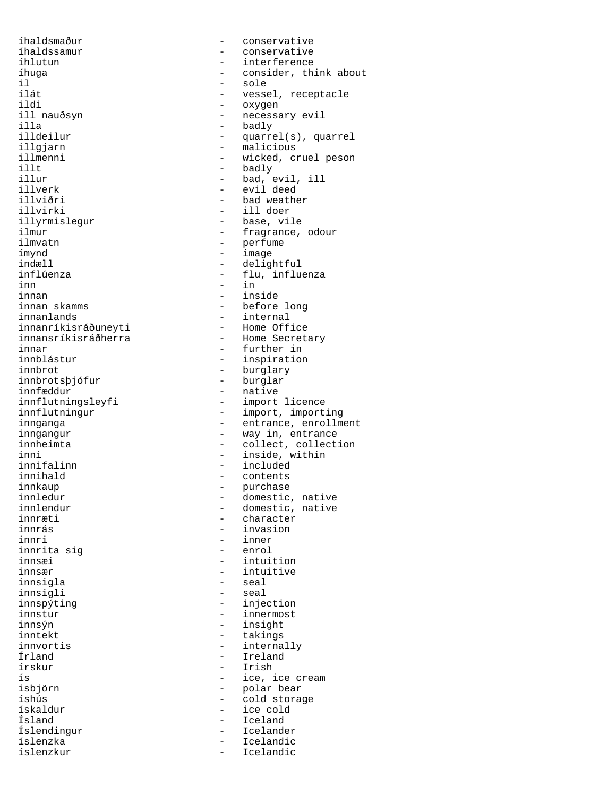íhaldssamur - conservative íhlutun - interference il - sole ildi - oxygen ill nauðsyn - necessary evil illa - badly illgjarn - malicious<br>illmenni - wicked.c: illt - badly illverk - evil deed illviðri - bad weather illvirki - ill doer<br>illyrmislegur - - - - - - - base, vil illyrmislegur - base, vile<br>ilmur - fragrance, ilmvatn - perfume ímynd - image indæll - delightful inn - in<br>innan - ins innan - inside innanlands - internal innanríkisráðuneyti<br>innansríkisráðherra innansríkisráðherra - Home Secretary<br>innar - further in innar - further in innblástur - inspiration innbrotsþjófur<br>innfæddur innfæddur<br>innflutningsleyfi<br>- import - import inni - inside, within<br>innifalinn - included - included innifalinn - included<br>
innihald - contents innihald - contents innkaup - purchase innræti - character innri - inner innrita sig<br>innsæi innsær - intuitive innsigla - seal innsigli - seal innspýting - injection innstur - innermost<br>innsýn - insight - insight innsýn - insight<br>inntekt - insight - insight inntekt - takings<br>innvortis - takings - takings innvortis - internally Írland - Ireland ís - ice, ice cream isbjörn - polar bear ískaldur - ice cold Ísland - Iceland Íslendingur - Icelander íslenzka - Icelandic

íhaldsmaður - conservative íhuga - consider, think about il - consider, think about il - sole ílát - vessel, receptacle illdeilur - quarrel(s), quarrel<br>illgiarn - - - - - - - malicious illmenni - wicked, cruel peson<br>illt - badlv - badlv - bad, evil, ill ilmur - imagrance, odour<br>ilmvatn - fragrance, odour<br>- perfume - flu, influenza - before long - burglary<br>- burglar - import licence innflutningur - import, importing innganga - entrance, enrollment inngangur - way in, entrance innheimta - collect, collection innledur - domestic, native innlendur - domestic, native<br>innræti - character - invasion - intuition - Irish - cold storage Icelandic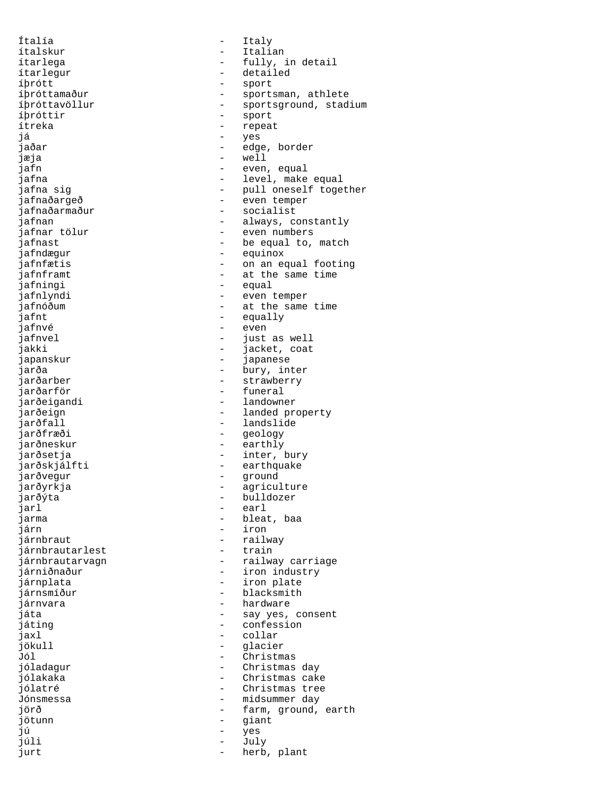Ítalía - Italy ítalskur - Italian ítarlegur - detailed íþrótt - sport íþróttir - sport - sport - sport - sport - sport - sport - sport - sport - sport - sport - sport - sport - spo já - yes jæja - well -<br>jafnaðarmaður - socialist<br>jafnan - always, co jafndægur - equinox jafningi - equal jafnt - equally jafnvé - even japanskur - japanese jarðarber - strawberry<br>jarðarför - strawberry - strawberry jarðeigandi - landowner jarðfall - landslide jarðneskur - earthly jarðskjálfti - earthquake jarðvegur - ground jarðýta - bulldozer jarl - earl jarma - bleat, baa<br>járn - - - - - - - - - - - - - iron járnbraut - railway<br>iárnbrautarlest - rain - rain iárnbrautarlest járnplata - iron plate járnsmíður - blacksmith járnvara - hardware játing - confession jaxl - collar jökull - glacier Jól - Christmas jötunn – giant – giant – giant – giant – giant – giant – giant – giant – giant – giant – giant – giant – giant – giant – giant – giant – giant – giant – giant – giant – giant – giant – giant – giant – giant – giant – giant jú - yes júli - July jurt - herb, plant

ítarlega - fully, in detail íþróttamaður - sportsman, athlete<br>íþróttavöllur - sportsground, stad íþróttavöllur - sportsground, stadium<br>íþróttir - sport - sport - repeat jaðar - edge, border jafn - even, equal jafna  $-$  level, make equal jafna sig  $\qquad \qquad$  - pull oneself together jafnaðargeð - even temper jafnan - always, constantly<br>jafnar tölur - even numbers jafnar tölur - even numbers<br>jafnast - be equal to, jafnast  $\frac{1}{1}$  - be equal to, match  $\frac{1}{1}$  - equinox - on an equal footing jafnframt  $-$  at the same time jafnlyndi - even temper - at the same time - just as well<br>- jacket, coat<br>- japanese jakki - jacket, coat jarða - bury, inter<br>jarðarber - bury, inter - funeral jarðeign - landed property<br>iarðfall - landslide - landslide - geology jarðsetja - inter, bury jarðyrkja - agriculture - iron járnbrautarvagn en megalem - railway carriage járniðnaður **-** iron industry játa - say yes, consent<br>játing - say - confession - Christmas day jólakaka - Christmas cake<br>jólatré - Christmas tree jólatré - Christmas tree - midsummer day jörð - farm, ground, earth<br>jötunn - siant - siant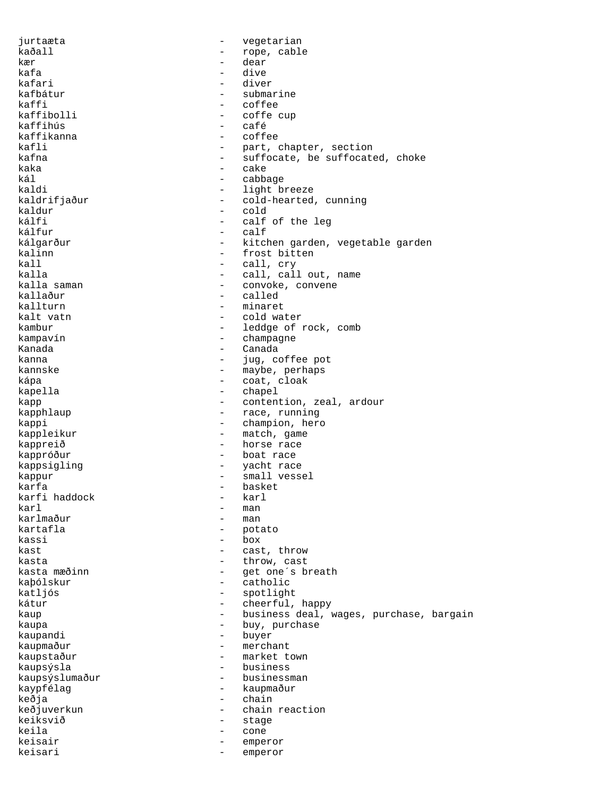jurtaæta - vegetarian kaðall - rope, cable kær - dear kafa - dive kafari - diver kafbátur - submarine kaffi - coffee<br>kaffibolli - coffee kaffibolli - coffe cup - café<br>- coffee kaffikanna kafli - part, chapter, section<br>kafna - suffocate be suffocate - suffocate, be suffocated, choke kaka  $-$  cake kál - cabbage kaldi - light breeze<br>kaldrifjaður - - cold-hearted, - cold-hearted, cunning<br>- cold kaldur - cold - calf of the leg<br>- calf kálfur - calf kálgarður - kitchen garden, vegetable garden<br>kalinn - frost bitten kalinn - frost bitten<br>
kall - frost bitten<br>
- call, cry kall - call, cry kalla  $\begin{array}{ccc} \text{kalla} & - & \text{call, call out, name} \\ \text{kalla saman} & - & \text{convoke. convene} \end{array}$ kalla saman  $\begin{array}{ccc} 1 & - & \text{convoke, convene} \\ 1 & - & \text{colled} \end{array}$ kallaður - called<br>kallturn - - minaret minaret kalt vatn  $\qquad \qquad -$  cold water kambur - leddge of rock, comb kampavín - champagne Kanada  $\qquad \qquad -$  Canada  $\qquad \qquad -$  Canada  $\qquad \qquad \qquad \qquad \qquad \qquad \qquad$ kanna  $-$  jug, coffee pot kannske - maybe, perhaps<br>kána - maybe, perhaps<br>coat cloak kápa - coat, cloak<br>kapella - chapel - chapel - chapel kapp  $\begin{array}{ccc} \text{kapp} & - & \text{contention, real, ardour} \\ \text{kapphlaup & - & \text{race, running} \end{array}$ - race, running kappi - champion, hero kappleikur - match, game kappreið - horse race kappróður  $\overline{\phantom{a}}$  - boat race kappsigling - yacht race kappur - small vessel karfa - basket karfi haddock - karl karl - man karlmaður - man - man kartafla - man - man - man - man - man - man - man - man - man - man - man - man - man -- potato kassi - box kast  $\qquad \qquad -$  cast, throw kasta  $\qquad \qquad -$  throw, cast kasta mæðinn - get one's breath<br>kabólskur - catholic kaþólskur - catholic<br>
katliós - spotlight katljós - spotlight kátur - cheerful, happy<br>
kaup - cheerful, happy<br>
- business deal, when the business deal, when the chemical control of the chemical control of the chemical control of the chemical control of the chemical control of the che kaup - business deal, wages, purchase, bargain<br>
kaupa - business deal, wages, purchase kaupa - buy, purchase kaupandi<br>kaupmaður kaupmaður - merchant - market town kaupsýsla - business kaupsýslumaður - businessman kaypfélag - kaupmaður keðja - chain keðjuverkun - chain reaction<br>
keiksvið - stage keiksvið - stage keila - cone - cone keisair - emperor keisari - emperor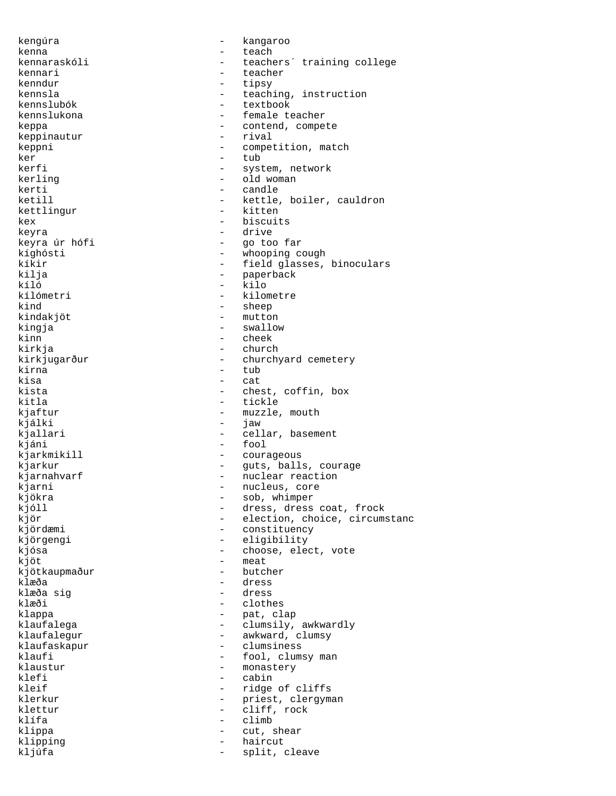kengúra - kangaroo kenna - teach<br>kennaraskóli - teach kennaraskóli - teachers´ training college kennari - teacher kenndur - tipsy<br>kennsla - teach kennsla - teaching, instruction<br>
kennslubók - textbook - textbook kennslubók - textbook - female teacher keppa - contend, compete <br> keppinautur - rival - rival keppinautur keppni - competition, match ker - tub<br>kerfi - svst - system, network kerling  $-$  old woman kerti - candle ketill  $-$  kettle, boiler, cauldron kettlingur - kitten<br>kex - hiscuit kex - biscuits keyra - drive keyra úr hófi - go too far kíghósti - whooping cough<br>kíkir - field glasses. kíkir - field glasses, binoculars kilja - paperback kíló – kilo<br>kílómetri – kilo kílómetri – kilometre<br>kind – sheep - sheep kindakjöt - mutton kingja - swallow kinn - cheek kirkja - church - church<br>kirkjugarður - - church - churchyard cemetery kirna - tub - tub - tub - tub - tub - tub - tub - tub - tub - tub - tub - tub - tub - tub - tub - tub - tub - tub - tub - tub - tub - tub - tub - tub - tub - tub - tub - tub - tub - tub - tub - tub - tub - tub - tub - tub kisa - cat - chest, coffin, box kitla - tickle kjaftur - muzzle, mouth<br>kiálki - iaw - iaw kjálki - jaw kjallari  $-$  cellar, basement kjáni - fool kjarkmikill - courageous kjarkur - guts, balls, courage kjarnahvarf - nuclear reaction kjarni  $\qquad \qquad$  - nucleus, core kjökra - sob, whimper kjóll - dress, dress coat, frock kjör - election, choice, circumstanc<br>kjördæmi - constituency - constituency kjörgengi - eligibility kjósa  $-$  choose, elect, vote  $k \overrightarrow{0} t$  - meat kjötkaupmaður - butcher klæða - dress klæða sig - dress klæði - clothes klappa - pat, clap klaufalega  $\qquad \qquad - \qquad \qquad \text{clumsily, awkwardly}$ klaufalegur - awkward, clumsy<br>klaufaskapur - clumsiness klaufaskapur - clumsiness<br>klaufi - fool, clums - fool, clumsy man klaustur - monastery<br>klefi - cabin klefi - cabin<br>kleif - ridge - ridge of cliffs klerkur - priest, clergyman klettur - cliff, rock klífa - climb klippa - cut, shear klipping - haircut - split, cleave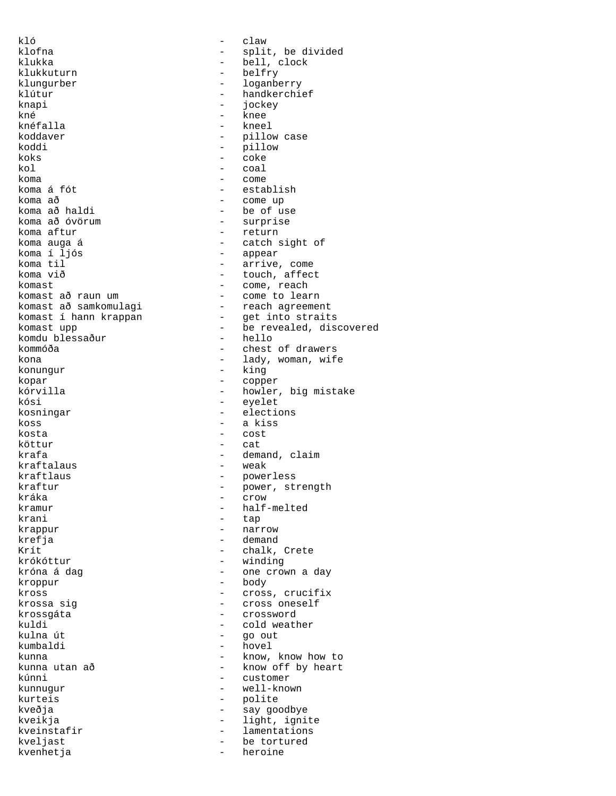kló - claw klukka - bell, clock<br>klukkuturn - belfry - belfry klukkuturn - belfrywer klungurber - loganberry klútur - handkerchief<br>
knapi - jockey<br>
- jockey knapi - jockey kné - knee koddaver - pillow case koddi - pillow koks - coke koma - come - come - come - come - come - come - come - come - come - come - come - come - come - come - come - come - come - come - come - come - come - come - come - come - come - come - come - come - come - come - come koma á fót - establish koma að - come up koma að óvörum<br>koma aftur koma aftur<br>koma auga á samada en la return<br>- catch s koma í ljós - appear koma til  $\sim$  - arrive, come koma við - touch. affect komast - come, reach komast í hann krappan komdu blessaður<br>kommóða konungur - king kopar - copper kósi - eyelet kosningar - elections koss - a kiss kosta - cost köttur – cat kraftalaus kraftlaus - powerless kráka - crow - crow kramur - half-melted<br>krani - tap - tap krani - tap - tap - tap - tap - tap - tap - tap - tap - tap - tap - tap - tap - tap - tap - tap - tap - tap - tap - tap - tap - tap - tap - tap - tap - tap - tap - tap - tap - tap - tap - tap - tap - tap - tap - tap - tap krefja - demand Krít - chalk, Crete - chalk, Crete - chalk, Crete - chalk, Crete - chalk - chalk - chalk - chalk - chalk - cha kroppur - body krossgáta - crossword kuldi - cold weather<br>
kulna út - cold weather<br>
- qo out kulna út - go out kumbaldi - hovel kúnni - customer kunnugur - well-known kurteis - polite kveðja - say goodbye kveinstafir - lamentations kveljast - be tortured kvenhetja

klofna - split, be divided<br>klukka - split, be divided - kneel kol - coal - be of use<br>- surprise koma auga á - catch sight of - touch, affect komast að raun um  $-$  come to learn<br>komast að samkomulagi  $-$  reach agreeme - reach agreement<br>- get into straits komast upp  $\begin{array}{ccc} & -1 & -1 & -1 \\ & -1 & -1 & -1 \\ & -1 & -1 & -1 \\ & -1 & -1 & -1 \\ \end{array}$  hello - chest of drawers kona  $\qquad \qquad -$  lady, woman, wife - howler, big mistake krafa - demand, claim<br>kraftalaus - weak - weak kraftur - power, strength<br>
kráka - crow - crow - narrow - winding króna á dag  $\qquad \qquad$  - one crown a day kross = cross, crucifix<br>krossa sig = cross oneself - cross oneself kunna - know, know how to - know off by heart kveikja - light, ignite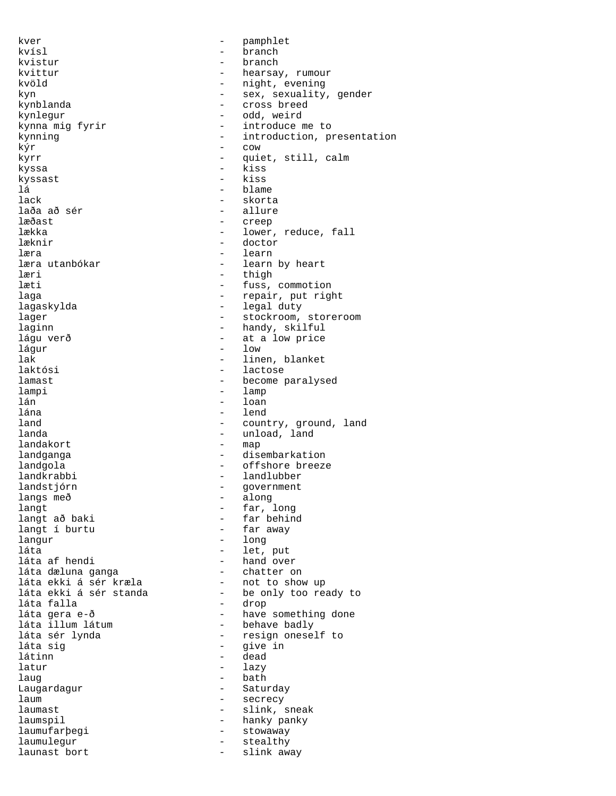kver en band af begynne i begynne i begynne i begynne i begynne i begynne i begynne i begynne i begynne i begynne kvísl – branch kvistur - branch kvittur - hearsay, rumour kvöld - night, evening kyn sex, sexuality, gender kynblanda - cross breed kynlegur - odd, weird - introduce me to kynning  $-$  introduction, presentation  $k\circ r$  - cow kyrr - quiet, still, calm kyssa - kiss kyssast - kiss lá - blame - skorta<br>- allure laða að sér<br>læðast læðast - creep lækka - lower, reduce, fall<br>læknir - doctor - doctor læknir - doctor læra - learn - learn by heart læri - thigh<br>læti - fuss læti - fuss, commotion - repair, put right lagaskylda - legal duty lager 1.1 and 1.1 and 1.1 and 1.1 and 1.1 and 1.1 and 1.1 and 1.1 and 1.1 and 1.1 and 1.1 and 1.1 and 1.1 and 1.1 and 1.1 and 1.1 and 1.1 and 1.1 and 1.1 and 1.1 and 1.1 and 1.1 and 1.1 and 1.1 and 1.1 and 1.1 and 1.1 and laginn - handy, skilful lágu verð - at a low price lágur - low lak - linen, blanket<br>laktósi - lactose - lactose laktósi - lactose <br>lamast - lecome p lamast - become paralysed lampi - lamp lán - loan lána - lend land  $\qquad \qquad -$  country, ground, land landa - unload, land<br>- map landakort landganga  $-$  disembarkation landgola - offshore breeze landkrabbi - landlubber landstjórn - government langs með - along langt<br>
langt að baki<br>
- far behin - far behind<br>- far away langt í burtu langur - long láta - let, put - hand over<br>- chatter on láta dæluna ganga - chatter on láta ekki á sér kræla - not to show up láta ekki á sér standa - be only too ready to láta falla - drop láta gera e-ð - - - have something done<br>láta illum látum - - - behave badly láta illum látum - behave badly láta sér lynda - resign oneself to láta sig - give in - dead latur - lazy laug bath - bath Laugardagur - Saturday laum - secrecy laumast - slink, sneak laumspil - hanky panky laumufarþegi - stowaway laumulegur - stealthy<br>launast bort - slink aw launast bort  $-$  slink away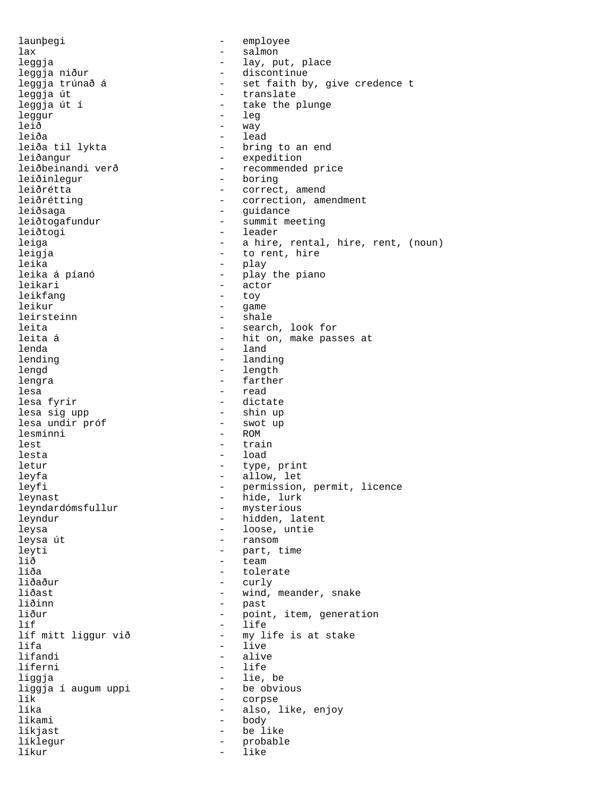launþegi - employee lax - salmon leggja  $-$  lay, put, place - January<br>1997 - Leggja niður - Henriks - discontinue<br>1997 - Set faith by - set faith by, give credence t leggja út - translate leggja út í - take the plunge leggur<br>leið - way leiða - lead<br>leiða til lykta - hring - bring to an end leiðangur - expedition<br>leiðbeinandi verð - recommended - recommended price leiðinlegur - boring leiðrétta - correct, amend leiðrétting  $-$  correction, amendment leiðsaga - Gregoriann - guidance leiðtogafundur - summit meeting leiðtogi - leader leiga - a hire, rental, hire, rent, (noun) leigja  $-$  to rent, hire leika - play leika á píanó  $-$  play the piano leikari - actor leikfang extensive to the top of the top of the top of the top of the top of the top of the top of the top of the top of the top of the top of the top of the top of the top of the top of the top of the top of the top of th leikur - game leirsteinn - shale leita  $-$  search, look for leita á  $-$  hit on, make passes at lenda - land lending  $-$  landing lengd - length lengra  $-$  farther lesa - read lesa fyrir  $-$  dictate lesa sig upp - shin up lesa undir próf<br>lesminni - swot - ROM lesminni lest - train lesta - load letur - type, print leyfa - allow, let leyfi - permission, permit, licence --<sub>2---</sub><br>leynast - hide, lurk<br>leyndardómsfullur - mysterious leyndardómsfullur leyndur - hidden, latent leysa (1999) - loose, untie leysa (1999) - loose, untie leysa (1999) - loose en van Somme John State (1999) - loose en van Somme John State (1999) - loose en van Somme John State (1999) - loose en van Somme John State (199 - ransom leyti - part, time lið - team líða <br/> - tolerate - tolerate <br/> - tolerate <br/> - tolerate <br/> - tolerate <br/> - tolerate <br/> - tolerate <br/>  $\,$ liðaður - curly liðast - wind, meander, snake liðinn - past<br>liður - poin liður - point, item, generation<br>líf<br>- life líf - life líf mitt liggur við - my life is at stake lifa - live - live - live - live - live - live - live - live - live - live - live - live - live - live - live lifandi - alive - life liggja - lie, be liggja í augum uppi<br>lík - corpse líka  $-$  also, like, enjoy líkami - body líkjast - be like líklegur - probable líkur - like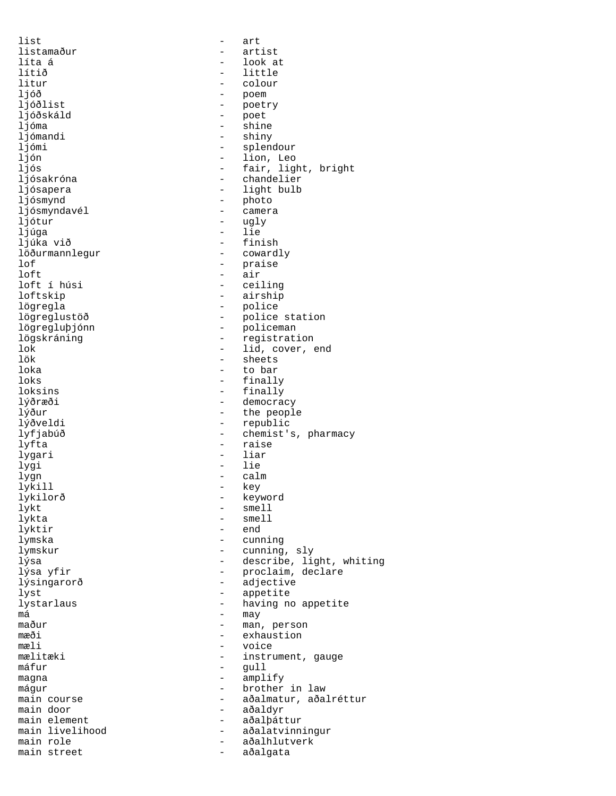list - art listamaður - artist<br>líta á - look a líta á - look at lítið - little litur - colour ljóð - poem - poetry ljóðskáld - poet<br>ljóma - shin - shine ljómandi - shiny ljómi - splendour ljón - lion, Leo ljós - fair, light, bright ljósakróna - chandelier ljósapera  $-$  light bulb ljósmynd - photo ljósmyndavél - camera ljótur<br>ljúga ljúga - lie - finish<br>- cowardly löðurmannlegur<br>lof lof - praise<br>loft - air loft - air<br>loft í húsi - cei - ceiling loftskip - airship lögregla - police lögreglustöð - police station lögregluþjónn - policeman lögskráning - registration lok - lid, cover, end lök - sheets loka - to bar loks - finally - finally lýðræði - democracy lýður - the people - republic lyfjabúð - chemist's, pharmacy lyfta - raise lygari - liar<br>lygi - liar<br>lygi - lie lygi - lie lygn - calm<br>lykill - key lykill lykilorð - keyword lykt - smell lykta - smell - end lymska - cunning lymskur - cunning, sly lýsa - describe, light, whiting lýsa yfir - proclaim, declare lýsingarorð - adjective lyst - appetite - appetite - appetite - appetite - appetite - appetite - appetite - appetite - appetite - appe lystarlaus - having no appetite<br>má  $m$ á  $-$  may  $-$  may maður - man, person<br>mæði - exhaustion mæði - exhaustion<br>mæli - voice - voice mæli - voice - instrument, gauge máfur - gull magna  $-$  amplify mágur - brother in law main course  $-$  aðalmatur, aðalréttur main door - aðaldyr main element - aðalþáttur main livelihood <br />  $\qquad \qquad$  - aðalatvinningur main role - aðalhlutverk main street - aðalgata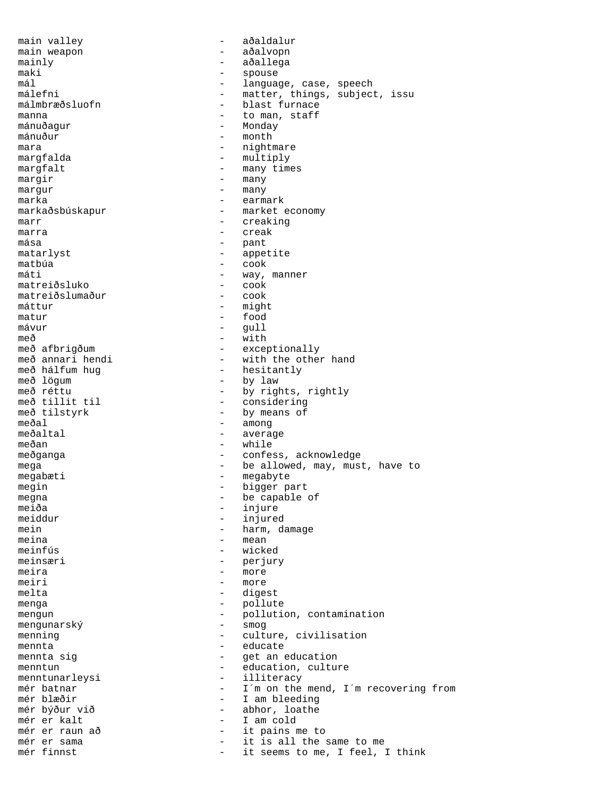main valley  $-$  aðaldalur main weapon - aðalvopn mainly  $-$  aðallega maki - spouse mál - language, case, speech málefni - matter, things, subject, issu<br>málmbræðsluofn - blast furnace - blast furnace manna - to man, staff - Monday mánuður - month mara - nightmare - multiply margfalt - many times margir - many margur - many marka - earmark markaðsbúskapur - market economy marr - creaking marra - creak mása - pant matarlyst - appetite - cook máti - way, manner<br>matreiðsluko - cook - cook matreiðsluko - cook<br>matreiðslumaður - cook matreiðslumaður<br>máttur - might matur  $\qquad \qquad -$  food<br>mávur  $\qquad \qquad -$  qull - gull með - with með afbrigðum - exceptionally með annari hendi - vith the other með annari hendi - with the other hand<br>með hálfum hug - hesitantly með hálfum hug - hesitantly með lögum - by law<br>með réttu - by rigl með réttu  $-$  by rights, rightly  $-$  considering með tillit til - considering<br>með tilstyrk - by means of með tilstyrk - by means of<br>meðal - among meðal - among<br>meðaltal - avera - average meðan - while meðganga - confess, acknowledge mega - be allowed, may, must, have to megabæti - megabyte megin - bigger part megna - be capable of meiða - injure - injure - meiða - meidur meiddur - injured<br>mein - harm, d - harm, damage meina - mean - wicked meinsæri - perjury meira - more meiri - more<br>melta - dige melta - digest menga - pollute mengun - pollution, contamination<br>mengunarský - smog<br>- smog  $m$ engunarský menning extending the culture, civilisation mennta<br>mennta sig<br>
- get an example and the set of the set of the set of the set of the set of the set of the set of the set of the set of the set of the set of the set of the set of the set of the set of the set of the se - get an education menntun - education, culture menntunarleysi - illiteracy mér batnar - I´m on the mend, I´m recovering from - I am bleeding mér býður við - abhor, loathe mér er kalt - I am cold mér er raun að - it pains me to mér er sama - it is all the same to me it seems to me, I feel, I think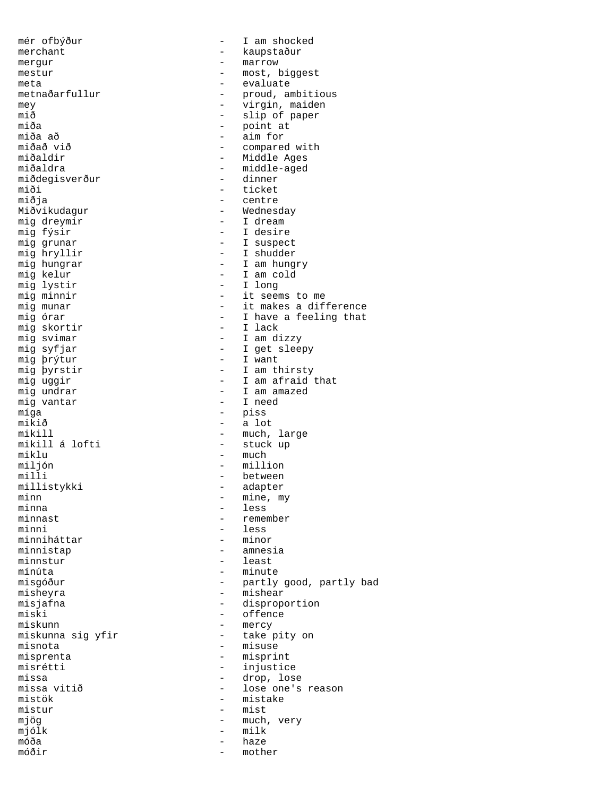mér ofbýður  $-$  I am shocked merchant - kaupstaður mergur - marrow<br>mestur - most, *k* - most, biggest meta - evaluate - proud, ambitious<br>- virgin maiden mey - virgin, maiden mið - slip of paper<br>miða - slip of paper miða - point at miða að - aim for miðað við - compared with miðaldir - Middle Ages<br>miðaldra - - Middle-aged - middle-aged miðdegisverður - dinner miði - ticket<br>miðja - centre miðja - centre Miðvikudagur - Wednesday<br>mig dreymir - T dream mig dreymir<br>mig fýsir - I dream<br>- I desire mig fýsir<br>mig grunar - I desire<br>- I suspec mig grunar  $-$  I suspect mig hryllir  $-$  I shudder mig hryllir - I shudder<br>mig hungrar - I am hung mig hungrar - I am hungry<br>mig kelur - I am cold mig kelur  $-$  I am cold<br>mig lystir  $-$  I long mig lystir  $\begin{array}{ccc} - & 1 \text{ long} \\ - & \text{it seen} \end{array}$ mig minnir  $\begin{array}{ccc} \texttt{mig} & \texttt{minmin} \\ \texttt{mig} & \texttt{mung} \\ \texttt{mig} & \texttt{mung} \\ \end{array}$  - it makes a dif - it makes a difference mig órar  $-$  I have a feeling that mig skortir  $-$  I lack mig skortir<br>mig svimar mig svimar - I am dizzy - I get sleepy<br>- I want mig þrýtur<br>mig þyrstir mig þyrstir  $\begin{array}{ccc} \n\text{mig pyrstir} \\
\text{mig uggir} \\
\end{array}$  - I am thirsty mig uggir  $\begin{array}{cccc} \text{mig } \text{uggir} \\ \text{mig } \text{undrar} \end{array}$  - I am afraid that - I am amazed<br>- I need mig vantar míga - piss  $miki\delta$  - a lot  $miki\mathbb{1}$  - much. - much, large mikill á lofti stuck up miklu - much - much - much - much - much - much - much - much - much - much - much - much - much - much - much miljón - million milli - between - adapter minn  $\overline{\phantom{a}}$  mine, my  $\overline{\phantom{a}}$  mine, my  $\overline{\phantom{a}}$  mine,  $\overline{\phantom{a}}$  mine,  $\overline{\phantom{a}}$  my  $\overline{\phantom{a}}$ minna - less minnast - remember - less<br>- minor minniháttar minnistap - amnesia minnstur - least mínúta - minute misgóður - heftir - partly good, partly bad misheyra - mishear misjafna - disproportion<br>miski - offence miski - offence<br>miskunn - mercy miskunn - mercy<br>miskunna sig yfir - take miskunna sig yfir - take pity on misnota - take pity on misnota misnota - misuse - misprint misrétti - injustice missa  $\frac{1}{2}$  - drop, lose missa vitið  $\frac{1}{2}$  - lose one's - lose one's reason mistök – mistake mistur – mistake mistur – mist - mist mjög - much, very mjólk - milk móða - haze móðir - mother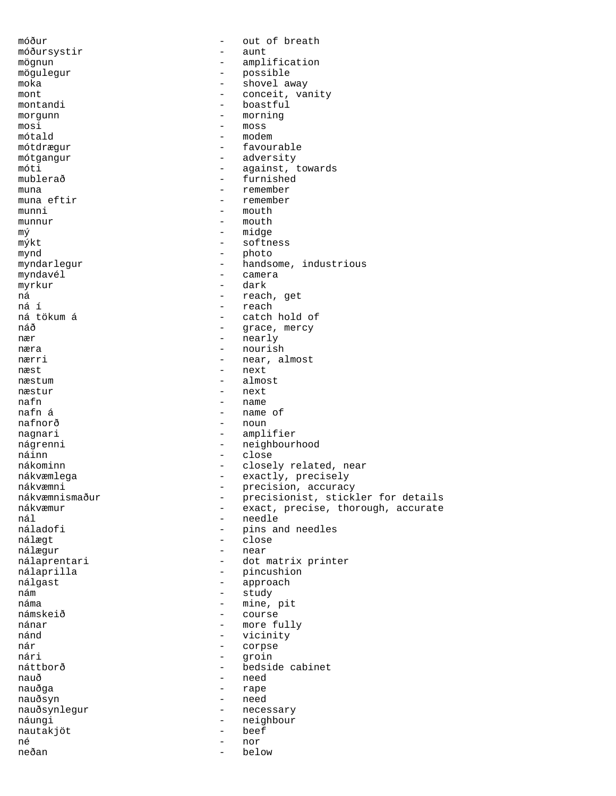móður - out of breath móðursystir - aunt mögnun - amplification<br>mögulegur - possible - possible mögulegur - possible moka - shovel away mont - conceit, vanity montandi - boastful - boastful<br>morqunn - morning morgunn - morning<br>mosi - moss - moss mosi - moss<br>mótald - mode mótald - modem - modem - modem - modem - modem - modem - modem - modem - modem - modem - modem - modem - modem - favourable mótgangur - adversity<br>
móti - against i - against, towards mublerað - furnished muna - remember<br>muna eftir - remember - remember muna eftir  $\begin{array}{ccc} - &$  remember<br>munni - mouth munni - mouth - mouth - mouth - mouth munnur – mouth  $m\circ$  – mouth  $m\circ$  – midge mý - midge mýkt - softness mynd<br>myndarlegur - photo<br>- hands - handsome, industrious myndavél - camera myrkur - dark ná - reach, get ná í - reach ná tökum á - catch hold of - grace, mercy  $n$ ær - nearly  $-$  nearly  $-$  nearly  $-$  nearly  $-$  nourist næra - nourish<br>nærri - near a nærri - near, almost<br>
næst - next<br>
- next næst - next - next - next - next - next - next - next - next - next - next - next - next - next - next - next - next - next - next - next - next - next - next - next - next - next - next - next - next - next - next - next næstum - almost - next nafn - name nafn á - name of - noun nagnari - amplifier nágrenni - neighbourhood náinn - close nákominn - close - close - close - close - close - close - close - close - close - close - close nákominn - closely related, near<br>nákvæmlega - - - - - - - - - - - - exactly, precisely nákvæmlega - exactly, precisely<br>nákvæmni - exactly, precisely nákvæmni - precision, accuracy nákvæmnismaður - precisionist, stickler for details nákvæmur - exact, precise, thorough, accurate nál - needle náladofi - pins and needles<br>nálægt - close - close nálægt - close nálægur - near - dot matrix printer nálaprilla - pincushion nálgast - approach nám - study náma - mine, pit<br>námskeið - mine, pit námskeið - course nánar - more fully nánd - vicinity nár - corpse nári - groin<br>náttborð - bedsid - bedside cabinet nauð - need - rape nauðsyn - need nauðsynlegur - necessary náungi - neighbour<br>nautakiöt - heef - beef nautakjöt - beef né - nor neðan - below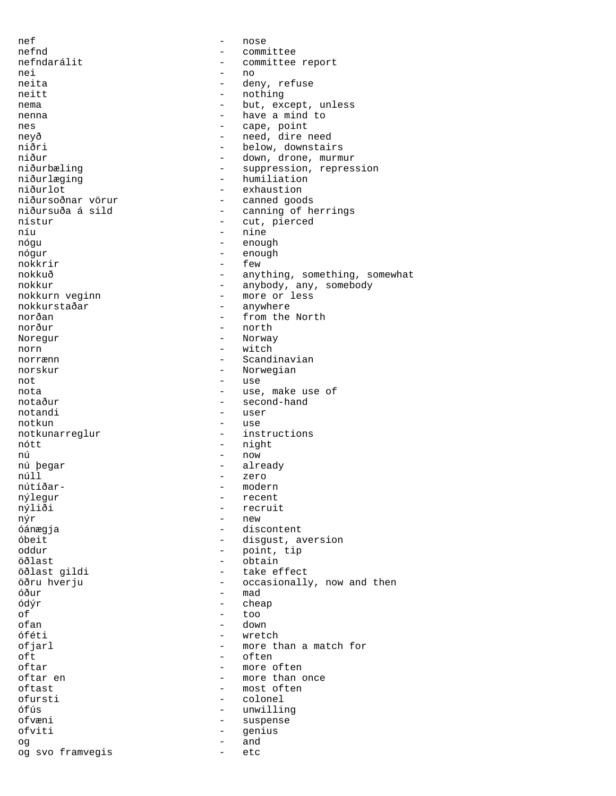nef - nose nefnd - committee nefndarálit - committee report nei - no neita - deny, refuse<br>
- deny, refuse<br>
- nothing neitt - nothing<br>nema - but exc nema  $-$  but, except, unless nenna have a mind to nes  $-$  cape, point neyð - need, dire need niðri - below, downstairs<br>niður - down drone murm niður - down, drone, murmur<br>niðurbæling - suppression, repres - suppression, repression niðurlæging - humiliation niðurlot - exhaustion<br>niðursoðnar vörur - - exhaustion<br>- canned good niðursoðnar vörur - canned goods niðursuða á sild - canning of herrings<br>nístur - cut, pierced nístur - cut, pierced<br>níu - nine - nine níu - nine - nine - nine - nine - nine - nine - nine - nine - nine - nine - nine - nine - nine - nine - nine nógu - enough nógur - enough<br>nokkrir - few nokkrir - few nokkuð - anything, something, somewhat<br>
- anyhody any somehody nokkur - anybody, any, somebody<br>nokkurn veginn - more or less - more or less<br>- anvwhere nokkurstaðar norðan - from the North norður - north Noregur - Norway norn - witch<br>norrænn - Scand norrænn  $-$  Scandinavian norskur - Norwegian not - use - use, make use of notaður - second-hand notandi - user<br>notkun - use notkun notkunarreglur - instructions nótt - night nú - now - already núll - zero nútíðar- - modern nýlegur - recent nýliði - recruit<br>nýr - recruit nýr - new - discontent óbeit - disgust, aversion<br>
oddur<br>
- point tip oddur - point, tip - obtain öðlast gildi - take effect öðru hverju - occasionally, now and then óður – mad – mad – mad – mad – mad – mad – mad – mad – mad – mad – mad – mad – mad – mad – mad – mad – mad – mad – mad – mad – mad – mad – mad – mad – mad – mad – mad – mad – mad – mad – mad – mad – mad – mad – mad – mad – ódýr - cheap of - too ofan - down - down - down óféti - wretch ofjarl - more than a match for<br>
oft - often oft - often<br>oftar - more c oftar - more often<br>oftar en - more than  $\alpha$ - more than once oftast - most often<br>
ofursti - colonel<br>
- colonel - colonel ófús - unwilling ofvæni - suspense ofviti - genius og - and og svo framvegis - etc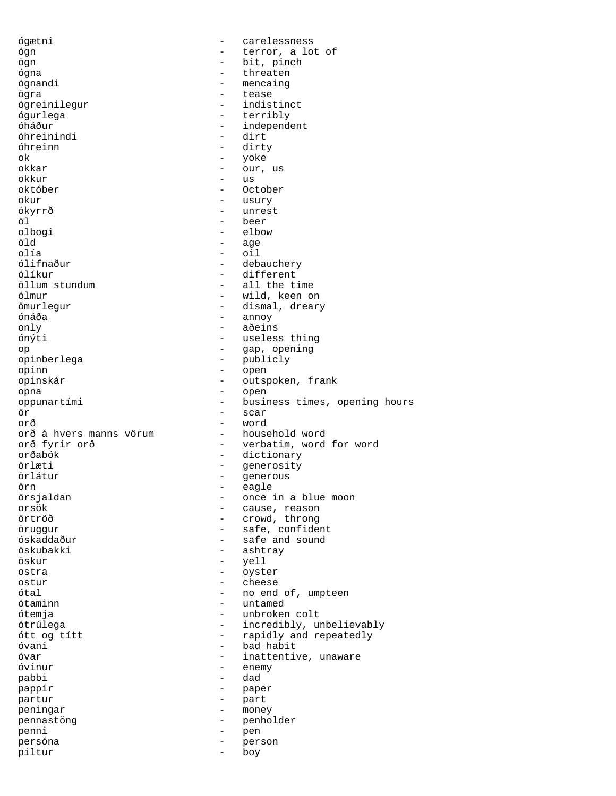ógætni - carelessness ógn - terror, a lot of ögn - bit, pinch ógna - threaten ógnandi - mencaing ögra - tease ógreinilegur ógurlega - terribly – independent<br>- dirt óhreinindi óhreinn - dirty ok - yoke - our, us okkur - us október - October okur - usury - usury ókyrrð - unrest öl - beer olbogi - elbow - elbow - elbow - elbow - elbow - elbow - elbow - elbow - elbow - elbow - elbow - elbow - elbow - elebow - elebow - elebow - elebow - elebow - elebow - elebow - elebow - elebow - elebow - elebow - elebow - e öld - age olía - oil ólifnaður - debauchery<br>ólíkur - debauchery - different ólíkur - different<br>öllum stundum - all the t - all the time ólmur - wild, keen on ömurlegur - dismal, dreary ónáða - annoy only - aðeins - useless thing op - gap, opening opinberlega - publicly<br>
opinn<br>
- open opinn - open<br>opinskár - outsj - outspoken, frank<br>- open opna - open oppunartími - business times, opening hours ör - scar orð<br>orð á hvers manns vörum household word orð á hvers manns vörum orð fyrir orð  $-$  verbatim, word for word orðabók - dictionary örlæti - generosity örlátur - generous örn - eagle örsjaldan - once in a blue moon orsök - cause, reason örtröð - crowd, throng öruggur - safe, confident - safe and sound öskubakki - ashtray öskur - yell ostra - oyster ostur - cheese ótal - no end of, umpteen ótaminn — untamed<br>Ótemia — unbroker — unbroker ótemja - unbroken colt ótrúlega - incredibly, unbelievably ótt og títt - rapidly and repeatedly óvani - bad habit - inattentive, unaware óvinur - enemy pabbi - dad pappír - paper partur - part peningar - money pennastöng - penholder penni - pen persóna - person piltur - boy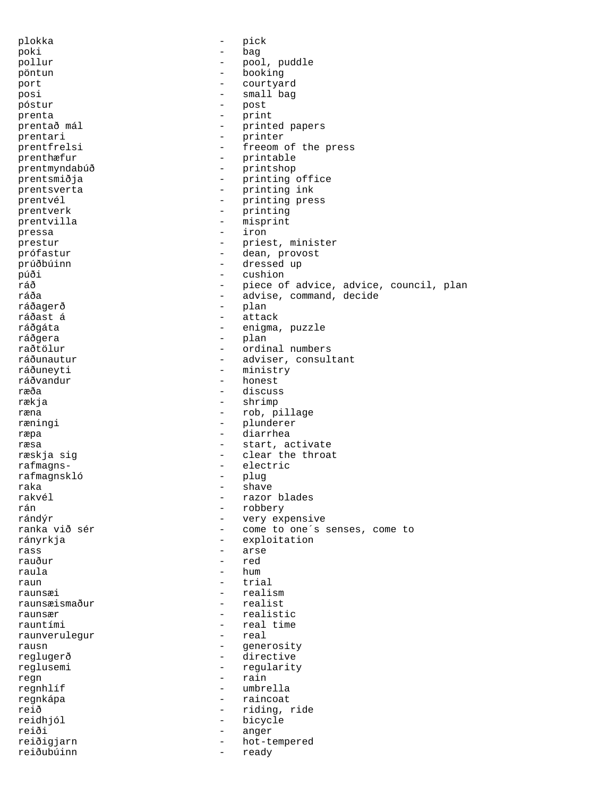plokka - pick poki - bag pollur - pool, puddle pöntun - booking port - courtyard posi - small bag póstur - post prenta - print printed papers prentari - printer -<br>prentfrelsi - freeom of the press prenthæfur - printable prentmyndabúð - printshop prentsmiðja - printing office prentsverta - printing ink<br>prentvél - printing pre prentvél - printing press prentverk - printing<br>
prentvilla - misprint prentvilla - misprint pressa – iron in the set of the set of the set of the set of the set of the set of the set of the set of the set of the set of the set of the set of the set of the set of the set of the set of the set of the set of the set prestur - priest, minister<br>
prestur - deep provect prófastur - dean, provost prúðbúinn - dressed up púði - cushion ráð - piece of advice, advice, council, plan ráða - advise, command, decide - plan ráðast á **- attack** ráðgáta - enigma, puzzle ráðgera - plan raðtölur - ordinal numbers ráðunautur - adviser, consultant ráðuneyti - ministry - ministry<br>ráðvandur - honest ráðvandur - honest - discuss rækja - shrimp ræna  $-$  rob, pillage ræningi  $-$  plunderer ræpa - diarrhea ræsa  $-$  start, activate ræskja sig en medlear the throat rafmagns- - electric rafmagnskló - plug raka - shave - shave - shave - shave - shave - shave - shave - shave - shave - shave - shave - shave - shave rakvél - razor blades rán - robbery rándýr - very expensive ranka við sér  $-$  come to one´s senses, come to rányrkja - exploitation rass - arse rauður - red raula - hum raun - trial raunsæi - realism raunsæismaður - realistist raunsær - realistic<br>rauntími - realistic rauntími - real time<br>raunverulequr - real time<br>- real raunverulegur - real rausn - generosity reglugerð - directive reglusemi - regularity regn - rain regnhlíf - umbrella - raincoat reið - riding, ride reidhjól - bicycle reiði - anger reiðigjarn - hot-tempered reiðubúinn - ready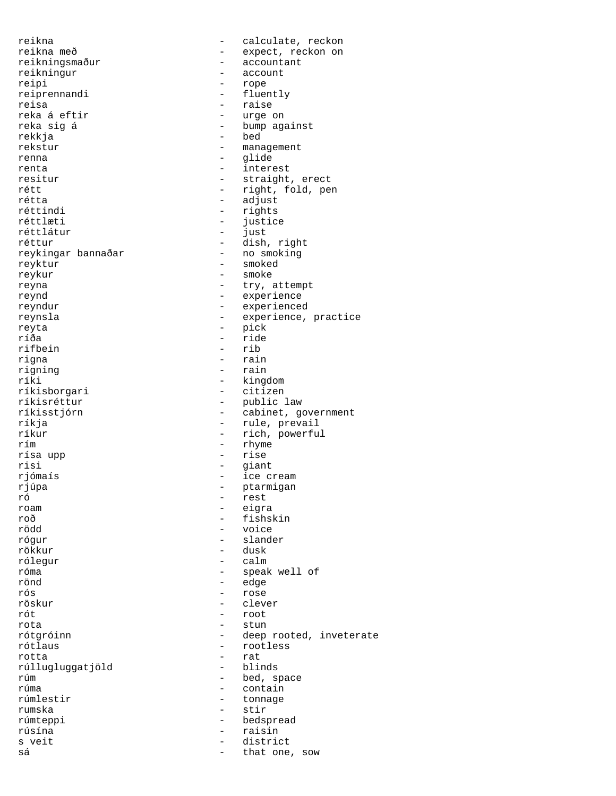reikna - calculate, reckon reikna með  $-$  expect, reckon on reikningsmaður  $-$  accountant - accountant reikningur - account reipi - rope - rope - rope - rope - rope - rope - rope - rope - rope - rope - rope - rope - rope - rope - rope - rope - rope - rope - rope - rope - rope - rope - rope - rope - rope - rope - rope - rope - rope - rope - rope reiprennandi<br>reisa reisa - raise reka á eftir  $\begin{array}{ccc} 1 & - & - \\ - & - & \end{array}$  wrge on reka sig á  $\begin{array}{ccc} - & - \\ - & \end{array}$  bump ag. - bump against rekkja - bed - management renna - glide renta  $-$  interest resitur - straight, erect rétt - right, fold, pen rétta - adjust réttindi - rights - justice<br>- just réttlátur - just - dish, right<br>- no smoking reykingar bannaðar reyktur - smoked reykur - smoke reyna  $-$  try, attempt reynd - experience reyndur - experienced reynsla - experience, practice reyta - pick - ride<br>- rib rifbein<br>rigna rigna - rain<br>rigning - rain - rain rigning  $\overline{r}$  - rain<br>ríki - king - kingdom<br>- citizen ríkisborgari<br>ríkisréttur ríkisréttur - public law<br>ríkisstjórn - - cabinet, qu - cabinet, government ríkja - rule, prevail<br>ríkur - rich, powerfu - rich, powerful rím - rhyme rísa upp - rise risi - giant rjómaís - ice cream rjúpa - ptarmigan - ptarmigan<br>ró - rest ró - rest roam - eigra roð - fishskin<br>rödd - voice - voice rödd - voice rógur - slander rökkur - dusk rólegur - calm róma - speak well of rönd - edge rós - rose röskur - clever rót - root rota - stun<br>
rótgróinn - a deep rótgróinn - deep rooted, inveterate<br>
rótlaus - rootless rótlaus - rootless - rat<br>- blinds rúllugluggatjöld<br>rúm rúm - bed, space<br>rúma - contain rúma - contain<br>rúmlestir - tonnage - tonnage rumska - stir rúmteppi - bedspread<br>rúsína - raisin rúsína - raisin s veit  $-$  district sá  $-$  that one, sow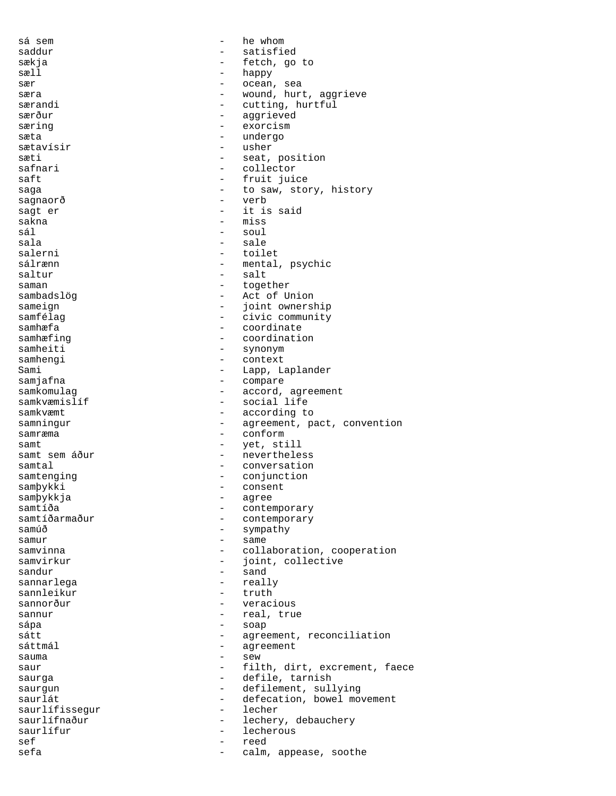sá sem  $-$  he whom saddur - satisfied sækja - fetch, go to sæll – happy sær - ocean, sea - wound, hurt, aggrieve<br>- cutting, hurtful særandi - cutting, hurtful<br>særður - cutting, hurtful - aggrieved særing  $-$  exorcism sæta en andergo - undergo sætavísir  $-$  usher sæti - seat, position<br>safnari - collector - collector saft - fruit juice saga  $-$  to saw, story, history sagnaorð - verb - it is said<br>- miss sakna - miss sál - soul sala - sale<br>salerni - toil - toil salerni - toilet sálrænn - mental, psychic<br>saltur - salt - salt saman - together sambadslög - Act of Union sameign - joint ownership samfélag  $-$  civic community samhæfa - coordinate samhæfing  $\sim$  - coordination samheiti - synonym<br>samhengi - context samhengi - context Sami - Lapp, Laplander samjafna - compare samkomulag - accord, agreement samkvæmislíf - social life - according to samningur - agreement, pact, convention samræma - conform samt - yet, still samt sem áður  $-$  nevertheless samtal - conversation samtenging  $\overline{\phantom{a}}$  - conjunction<br>sambykki - consent samþykki - consent samþykkja<br>samtíða samtíða - contemporary<br>samtíðarmaður - contemporary samtíðarmaður - contemporary<br>samúð - sympathy - sympathy samur - same<br>samvinna - colla - collaboration, cooperation samvirkur - joint, collective  $\begin{tabular}{ccc}  $\texttt{sandur} & \texttt{--} & \texttt{sand} \end{tabular}$$ sannarlega - really sannleikur sannorður - veracious sannur - real, true<br>sána - soap sápa - soap sátt - agreement, reconciliation<br>sáttmál - agreement - agreement sauma - sew saur - filth, dirt, excrement, faece saurga - defile, tarnish - defilement, sullying saurlát - defecation, bowel movement saurlífissegur - lecher saurlífnaður - lechery, debauchery<br>saurlífur - lecherous - lecherous - lecherous sef - reed sefa - calm, appease, soothe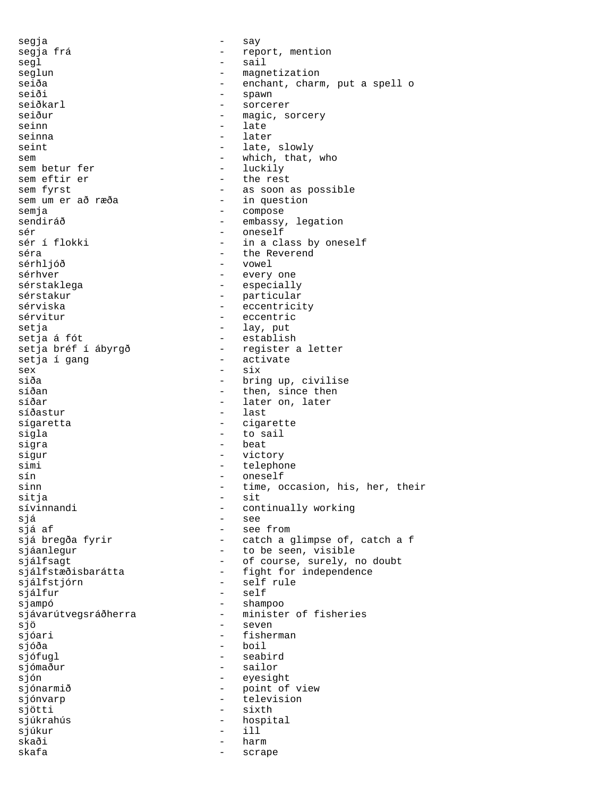segja - say segja frá de component de component a report, mention segja frá anyon a report, mention segja frá anyon a report a report of the sail segl - sail seglun - magnetization<br>seiða - enchant, char seiða - enchant, charm, put a spell o<br>seiði - spawn seiði - spawn - spawn<br>seiðkarl - sorcei seiðkarl - sorcerer<br>seiður - magic, so seiður - magic, sorcery<br>seinn - late - late seinna - later seint - late, slowly sem  $-$  which, that, who sem betur fer  $-$  luckily sem betur fer sem eftir er - the rest sem fyrst - as soon as possible - in question semja - compose sendiráð - embassy, legation sér - oneself sér í flokki - in a class by oneself<br>séra - the Reverend séra - the Reverend - vowel sérhver - every one sérstaklega  $-$  especially sérstakur - particular sérviska  $\qquad \qquad \qquad -$  eccentricity sérvitur  $\qquad \qquad -$  eccentric setja - lay, put setja á fót<br>setja bréf í ábyrgð - establish<br>- register setja bréf í ábyrgð - register a letter<br>setja í gang - activate - activate sex - six siða - bring up, civilise<br>síðan - ben, since then síðan - then, since then<br>síðar - then, since then - later on, later síðastur - last sígaretta - cigarette sigla - to sail sigra  $-$  beat sigur - victory simi - telephone sín - oneself sinn  $-$  time, occasion, his, her, their sitja – sit sívinnandi  $\qquad \qquad -$  continually working sjá - see - see from sjá bregða fyrir  $-$  catch a glimpse of, catch a f sjáanlegur - to be seen, visible sjálfsagt  $-$  of course, surely, no doubt sjálfstæðisbarátta - fight for independence sjálfstjórn - self rule sjálfur - self sjampó - shampoo sjávarútvegsráðherra - minister of fisheries sjö - seven - fisherman sjóða - boil sjófugl - seabird sjómaður - sailor sjón - eyesight sjónarmið - point of view sjónvarp  $-$  television sjötti - sixth sjúkrahús - hospital sjúkur - ill skaði - harm skafa - scrape - scrape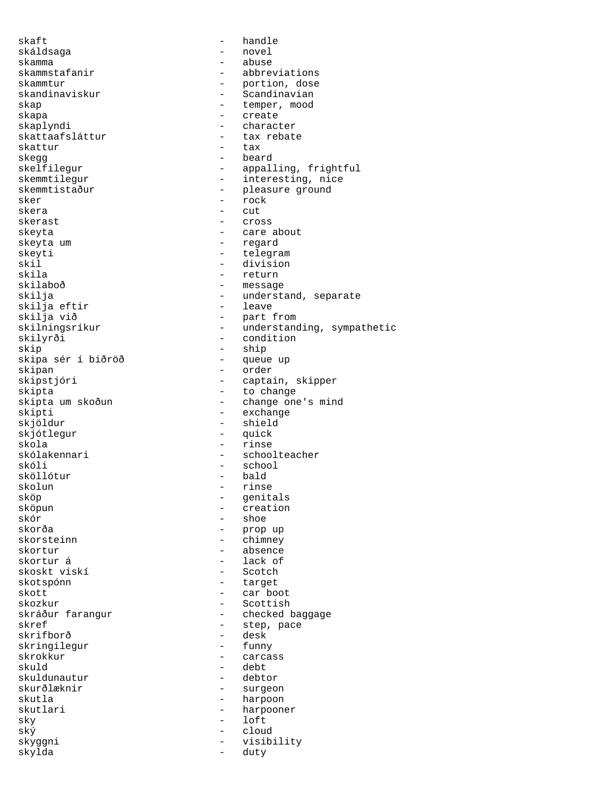skaft - handle skáldsaga - novel skamma - abuse - abuse - abuse - abuse - abbre - abbreviations skammtur - portion, dose skandinaviskur - Scandinavian skap - temper, mood skapa - create - create - create - create - create - create - create - create - create - create - create - create - create - create - create - create - create - create - create - create - create - create - create - create - character skattaafsláttur - tax rebate skattur - tax skegg - beard - appalling, frightful skemmtilegur - interesting, nice skemmtistaður - pleasure ground sker - rock - rock skera - cut<br>skerast - cro: - cro: - cro: - cross skeyta - care about skeyta um - regard skeyti - telegram - telegram - telegram - telegram - telegram - telegram - telegram - telegram - telegram - tel skil - division skila - return - return<br>skilaboð - message skilaboð - message - message - message - message - message - message - message - message - message - message -- understand, separate<br>- leave skilja eftir skilja við - part from skilningsríkur - understanding, sympathetic skilyrði - condition skip - ship skipa sér í biðröð<br>skipan skipan - order<br>skipstjóri - order<br>skipstjóri - capta - captain, skipper skipta - to change skipta um skoðun - change one's mind skipti - exchange - exchange - exchange - exchange - exchange - exchange - exchange - exchange - exchange - exchange - shield<br>- quick skjótlegur skola - rinse skólakennari - schoolteacher skóli - school sköllótur<br>skolun - rinse sköp - genitals<br>sköpun - creation - creation sköpun - creation<br>skör - creation<br>- shoe skór - shoe - prop up skorsteinn - chimney skortur - absence skortur á skoskt viskí - Scotch skotspónn - target skott - car boot skozkur - Scottish - checked baggage skref - step, pace<br>skrifborð - step, pace - desk<br>- funny skringilegur<br>skrokkur - carcass skuld - debt skuldunautur<br>skurðlæknir - surgeon skutla - harpoon - harpoon - harpoon - harpoon - harpoon - harpoon - harpoon - harpoon - harpoon - harpoon - h - harpooner sky - loft ský - cloud - visibility<br>- duty skylda - duty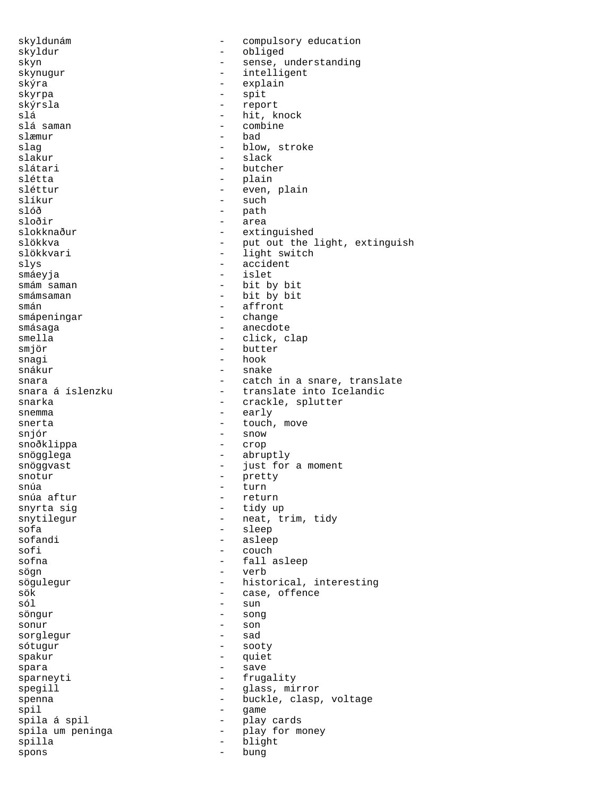skyldunám - compulsory education skyldur - obliged skyn - sense, understanding<br>skynugur - intelligent - intelligent<br>- explain skýra - explain skyrpa - spit skýrsla - report slá - hit, knock slá saman - combine - bad slag - blow, stroke<br>slakur - slack<br>- slack slakur - slack - butcher slétta - plain sléttur - even, plain slíkur - such slóð - path sloðir - area slokknaður - extinguished<br>slökkva - - extinguished<br>- put out the slökkva - put out the light, extinguish<br>slökkvari - light switch slökkvari - light switch<br>slys - accident - accident smáeyja - islet smám saman - bit by bit smámsaman - bit by bit smán - bit by bit smán - affront - affront smápeningar  $-$  change smásaga - anecdote - anecdote smella - click, clap smjör - butter snagi - hook - hook - hook - hook - hook - hook - hook - hook - hook - hook - hook - hook - hook - hook - hook - snake snara - catch in a snare, translate - translate into Icelandic snarka - crackle, splutter snemma - early snerta  $-$  touch, move snjór – snow – snow – snow – snow – snow – snow – snow – snow – snow – snow – snow – snow – snow – snow – snow snoðklippa snögglega - abruptly - abruptly snöggvast - just for a moment snotur - pretty snúa <sup>-</sup> turn snúa aftur  $-$  return snyrta sig  $-$  tidy up snytilegur  $-$  neat, the neat, the snake show  $-$  neat, the snake snake snake snake snake snake snake snake snake snake snake snake snake snake snake snake snake snake snake snake snake snake snake s snytilegur - neat, trim, tidy<br>sofa - sleep<br>- sleep sofa - sleep<br>sofandi - sleep<br>sofandi - asleel sofandi - asleep<br>sofi - asleep sofi - couch - couch - couch - couch - fall and - fall and - fall and - fall and - fall and - fall and - fall and - fall and - fall and - fall and - fall and - fall and - fall and - fall and - fall and - fall and - fall an - fall asleep sögn - verb sögulegur - historical, interesting<br>sök - case, offence sök - case, offence - sun<br>- song söngur - songur - songur - songur - songur - songur - songur - songur - songur - songur - songur - songur - so sonur - son<br>soraleaur - sad<br>- sad sorglegur sótugur - sooty spakur - quiet spara - save - save - save - save - save - save - save - save - save - save - save - save - save - save - save sparneyti - frugality spegill  $\begin{array}{cccc} - &$  glass, mirror<br>spenna  $\begin{array}{cccc} - &$  buckle, clasp - buckle, clasp, voltage spil - game spila á spil - play cards spila um peninga - play for money spilla - blight<br>spons - blight<br>- bung spons - bung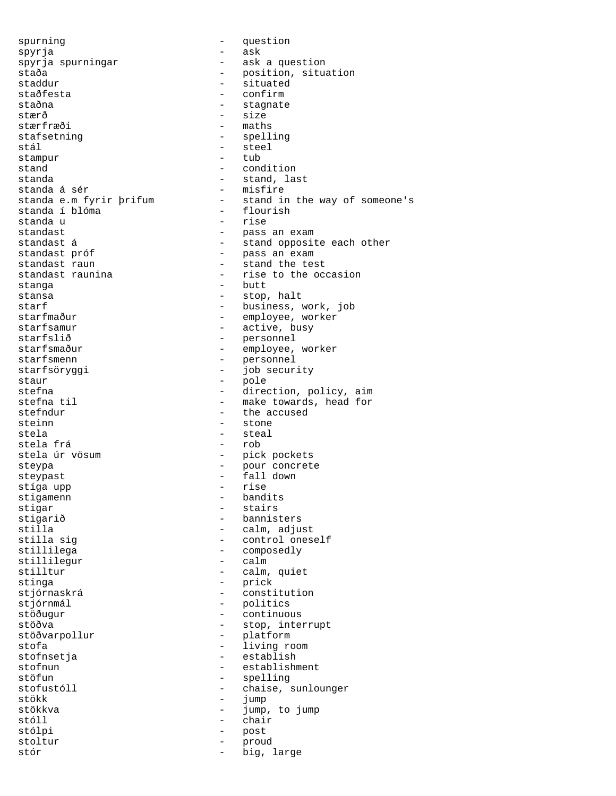spurning extending the state of  $\sim$  different properties of  $\sim$  different properties of  $\sim$  different properties of  $\sim$  different properties of  $\sim$  different properties of  $\sim$  different properties of  $\sim$  different p spyrja - ask spyrja spurningar staða - position, situation staddur - situated staðfesta - confirm<br>staðna - confirm staðna - stagnate - stagnate - stagnate - stagnate - stagnate - stagnate - stagnate - stagnate - stagnate - sta stærð - size - maths stafsetning extending the spelling stál – steel<br>stampur – tub – tub stampur stand  $\qquad \qquad - \qquad \qquad \text{condition}$ standa  $-$  stand, last standa á sér<br>standa e.m fyrir þrifum - stand in - stand in the way of someone's<br>- flourish standa í blóma - flouristanda u standa u<br>standast standast - pass an exam standast<br>standast á - stand opposite each other<br>standast próf - pass an exam standast próf - pass an exam - stand the test standast raunina  $-$  rise to the occasion stanga - butt - butt - butt - butt - stop - stop, halt starf  $-$  business, work, job starfmaður - employee, worker starfsamur - active, busy starfslið - personnel starfsmaður - employee, worker starfsmenn - personnel<br>starfsörvggi - iob secur starfsöryggi - job security staur  $\overline{\phantom{a}}$  = pole pole = pole = pole = pole = pole = pole = pole = pole = pole = pole = pole = pole = pole = pole = pole = pole = pole = pole = pole = pole = pole = pole = pole = pole = pole = pole = pole = pole = p stefna  $\begin{array}{ccc}\n \text{step 1} & \text{step 2} \\
 \text{step 3} & \text{step 4} \\
 \text{step 4} & \text{step 5} \\
 \text{step 5} & \text{step 6} \\
 \text{step 6} & \text{step 7} \\
 \text{step 7} & \text{step 8} \\
 \text{step 8} & \text{step 9} \\
 \text{step 9} & \text{step 1} \\
 \text{step 1} & \text{step 2} \\
 \text{step 1} & \text{step 3} \\
 \text{step 1} & \text{step 2} \\
 \text{step 3} & \text{step 3} \\
 \text{step 4} & \text{step 5$ stefna til  $\begin{array}{ccc} - & \text{make towards, head for} \\ - & \text{the accused} \end{array}$ - the accused steinn - stone stela - steal stela frá stela úr vösum - pick pockets<br>steypa - pick pour concret steypa - pour concrete steypast<br>steypast - fall down<br>stiga upp stíga upp stigamenn - bandits<br>stigar - stairs<br>- stairs stigar - stairs stigarið - bannisters stilla<br>stilla sig<br>example - control ones - control oneself stillilega - composedly<br>stillilegur - calm stillilegur stilltur - calm, quiet stinga - prick<br>stjórnaskrá - britannie - prick stjórnaskrá - constitution stjórnmál - politics continuous stöðva - stop, interrupt - platform stofa - living room - living room stofnsetja - living room - living room - living room - living room - living room - living room - living room - living room - living room - living room - living room - living room - living - establish stofnun - establishment stöfun - spelling<br>stofustóll - chaise s - chaise, sunlounger<br>- jump stökk - jump stökkva - jump, to jump stóll - chair stólpi - postaj - postaj - postaj - postaj - postaj - postaj - postaj - postaj - postaj - postaj - postaj - po stoltur - proud stór  $-$  big, large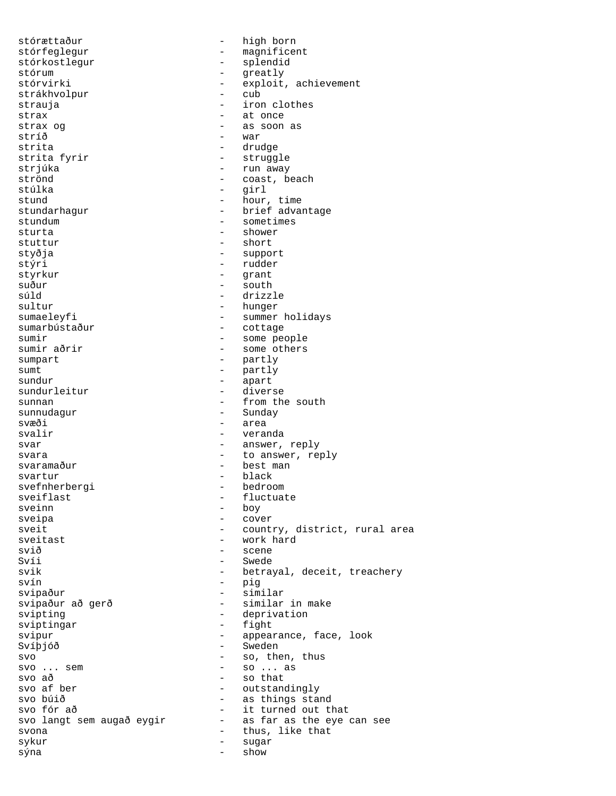stórættaður - high born stórfeglegur - magnificent stórkostlegur - splendid stórum - greatly<br>stórvirki - exploit - exploit - exploit, achievement<br>- cub strákhvolpur strauja - iron clothes strax - at once strax og  $\qquad \qquad -$  as soon as stríð - war strita - drudge strita fyrir and the struggle strjúka - run away strönd - coast, beach stúlka - girl - hour, time stundarhagur - brief advantage stundum - sometimes sturta - shower stuttur - short styðja - support stýri - rudder styrkur - grant suður - south - south - south - south - south - south - south - south - south - south - south - south - south - south - south - south - south - south - south - south - south - south - south - south - south - south - south súld - drizzle - drizzle - drizzle - drizzle - drizzle - drizzle - drizzle - drizzle - drizzle - drizzle - dri - hunger sumaeleyfi - summer holidays sumarbústaður - cottage sumir<br>sumir aðrir - some people<br>sumir aðrir - some others - some others sumpart - partly sumt - partly<br>sundur - apart sundur - apart - diverse sunnan - from the south sunnudagur - Sunday svæði - area svalir  $-$  veranda svar - answer, reply svara  $-$  to answer, reply svaramaður  $-$  best man - best man svartur - black svefnherbergi sveiflast - fluctuate sveinn - boy sveipa - cover sveit - country, district, rural area sveitast - work hard svið - scene<br>Svíi - Swede - Swede svik - betrayal, deceit, treachery svín - pig svipaður - similar svipaður að gerð  $-$  similar in make svipting - deprivation sviptingar - fight svipur - appearance, face, look Svíþjóð - Sweden  $\begin{array}{ccccccccc}\n\text{svo} & & & & & & - & \text{so, then, thus} \\
\text{svo} & \text{se} & & & & - & \text{so} & \text{then, thus} \\
\end{array}$  $-$  so ... as  $\begin{array}{ccc} \text{svo} & \text{a} \delta & \text{b} \\ \text{svo} & \text{a} \delta & \text{b} \end{array}$   $\begin{array}{ccc} \text{svo} & \text{a} \delta & \text{b} \\ \text{svo} & \text{c} & \text{c} \end{array}$ svo af ber - outstandingly - as things stand svo fór að  $-$  it turned out that<br>svo langt sem augað eygir  $-$  as far as the eye can see svo langt sem augað eygir svona - thus, like that sykur - sugar - sugar - sugar - sugar - sugar - sugar - sugar - sugar - sugar - sugar - sugar - sugar - sugar - sugar - sugar - sugar - sugar - sugar - sugar - sugar - sugar - sugar - sugar - sugar - sugar - sugar - sugar sýna - show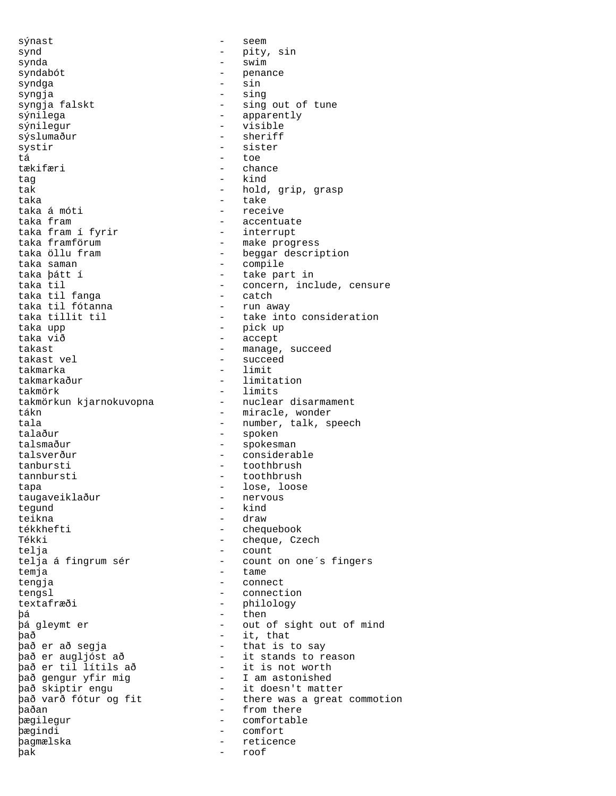sýnast - seem synd - pity, sin synda - swim syndabót - penance syndga - sin syngja - sing sýnilega - apparently sýslumaður systir - sister tá - toe tækifæri - chance tag  $-$  kind taka - take taka á móti - receive taka fram í fyrir<br>taka framförum taka framförum - make progress taka saman - compile taka til fanga - catch taka til fótanna taka upp - pick up taka við - accept takast - manage, succeed<br>takast vel takast vel - succeed takmarka - limit takmörk - limits tákn  $-$  miracle, wonder talsmaður - spokesman talsverður - considerable tanbursti - toothbrush tannbursti - toothbrush<br>tapa - toothbrush - toothbrush tapa - lose, loose<br>taugaveiklaður - - hervous taugaveiklaður tegund - kind teikna - draw Tékki - cheque, Czech telja - count temja - tame tengja - connect tengsl - connection textafræði - philology þá - then það - it, that það er að segja - that is to say það er til lítils að it is not worth það gengur yfir mig - I am astonished **baðan** - from there þægilegur - comfortable þægindi - comfort þagmælska - reticence þak - roof

- sing out of tune - visible<br>- sheriff tak  $-$  hold, grip, grasp - accentuate<br>- interrupt taka öllu fram  $\begin{array}{ccc} - & \text{beggar description} \\ - & \text{compile} \end{array}$ - take part in taka til 1999 - concern, include, censure taka til fanga 1999 - catch taka tillit til  $-$  take into consideration - limitation - nuclear disarmament tala - number, talk, speech<br>talaður - spoken - spoken - chequebook telja á fingrum sér - count on one's fingers - out of sight out of mind það er augljóst að - it stands to reason það skiptir engu - it doesn't matter það varð fótur og fit - there was a great commotion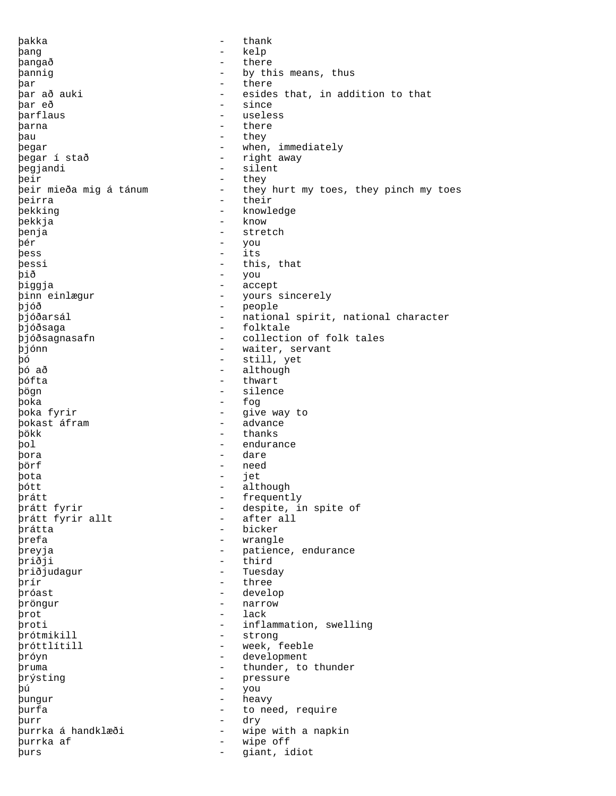þakka - thank þang - kelp þangað - there þannig - by this means, thus þar - there þar að auki - esides that, in addition to that<br>
þar eð - since = since<br>- usele þarflaus - useless þarna þau - they begar  $\qquad \qquad -$  when, immediately<br>begar í stað  $\qquad \qquad -$  right away - right away<br>- silent þegjandi þeir - they - they hurt my toes, they pinch my toes þeirra - their þekking - knowledge þekkja - know - know - know - know - know - know - know - know - know - know - know - know - know - know - know þenja - stretch þér - you þess - its þessi - this, that þið - you þiggja - accept þinn einlægur - yours sincerely þjóð - people þjóðarsál - national spirit, national character .<br>þjóðsaga - folktale þjóðsagnasafn - collection of folk tales þjónn - waiter, servant - bjónn - waiter, servant - bó þó - still, yet þó að - although þófta - thwart - silence þoka - fog þoka fyrir - give way to þokast áfram þökk - thanks þol - endurance þora - dare þörf - need þota - jet þótt - although þrátt - frequently - despite, in spite of<br>- after all þrátt fyrir allt þrátta - bicker þrefa - wrangle<br>þreyja - patience - patience, endurance þriðji - third þriðjudagur - Tuesday þrír - three þróast - develop þröngur - narrow þrot - lack<br>broti - infla þroti - inflammation, swelling þrótmikill - strong þróttlítill - week, feeble þróyn - development þruma - thunder, to thunder þrýsting – pressure – pressure – pressure – pressure – pressure – pressure – pressure – pressure – pressure – pressure – pressure – pressure – pressure – pressure – pressure – pressure – pressure – pressure – pressure – pr þú - you þungur - heavy þurfa - to need, require þurr - dry þurrka á handklæði - wipe with a napkin purrka af  $\qquad \qquad -$  wipe off<br>burs þurs - giant, idiot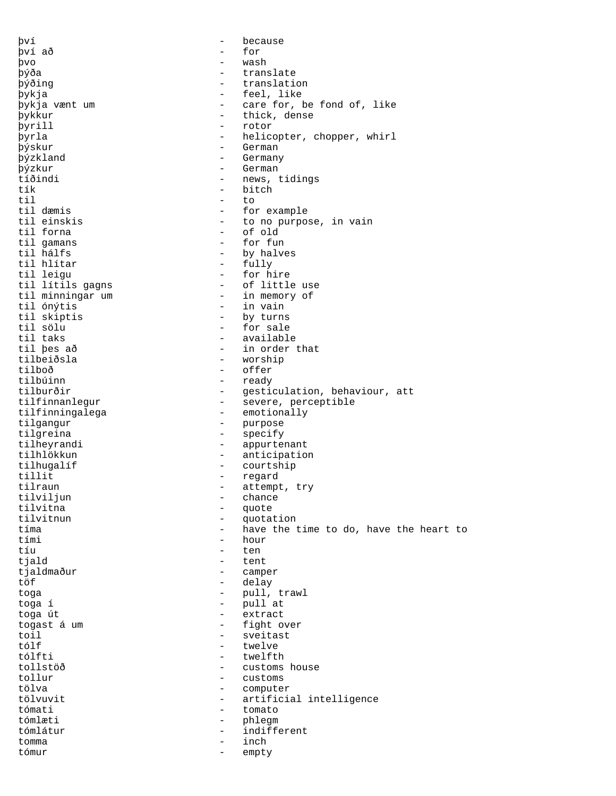því - because því að - for þvo - wash þýða - translate þýðing - translation þykja - feel, like - care for, be fond of, like þykkur - thick, dense þyrill - rotor þyrla - helicopter, chopper, whirl þýskur - German<br>þýzkland - - German - Germany þýzkur - German tíðindi - news, tidings tík - bitch til to to the total to the total to the top of the top of the top of the top of the top of the top of the top o til dæmis - for example til einskis  $\begin{array}{ccc} - & + \text{to no purpose, in vain} \\ - & \text{of old} \end{array}$ - of old<br>- for fun til gamans<br>til hálfs til hálfs<br>til hlítar - by halves<br>- fully<br>- fully til hlítar - fully - for hire<br>- of little use til lítils gagns - of little us<br>til minningar um - in memory of til minningar um<br>til ónýtis - in vain til skiptis - by turns til sölu - for sale til taks - available til þes að  $\qquad \qquad -$  in order that tilbeiðsla  $\qquad \qquad -$  worship tilbeiðsla - worship tilboð - offer tilbúinn - ready<br>tilburðir - ready - ready - gesticulation, behaviour, att tilfinnanlegur - severe, perceptible tilfinningalega - emotionally tilgangur - purpose tilgreina - specify tilheyrandi - appurtenant tilhlökkun - anticipation tilhugalíf - courtship tillit - regard tilraun - attempt, try<br>tilvilium - chance tilviljun - chance<br>tilvitna - chance tilvitna - quote tilvitnun - quotation - have the time to do, have the heart to tími - hour tíu - ten tiald  $-$  tent tjaldmaður - camper töf - delay toga - pull, trawl pull at toga út - extract togast á um eile ann an tight over<br>toil - sveitast toil - sveitast tólf - twelve tólfti - twelfth tollstöð - customs house - customs tölva - computer tölvuvit - artificial intelligence tómati - tomato tómlæti - phlegm tómlátur - indifferent tomma - inch tómur - empty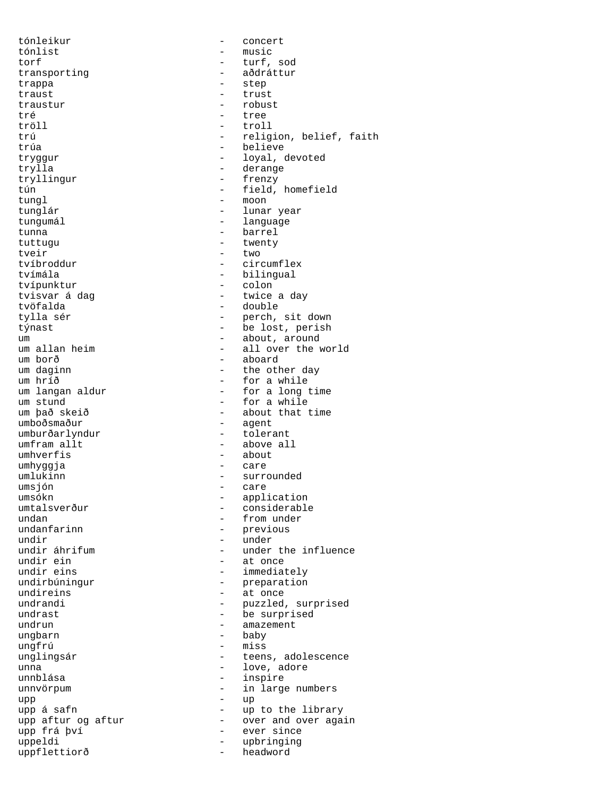tónleikur - concert tónlist - music torf - turf, sod transporting - aðdráttur - aðdráttur trappa trappa - step is the step in the step in the step in the step in the step in the step in the step in the step in the step in the step in the step in the step in the step in the step in the step in the step in the step in t traust - trust traustur – robust – robust – robust – robust – robust – robust – robust – robust – robust – robust – robust – tré - tree tryllingur - frenzy tungl - moon tungumál **a matalaitheoirtí agus ar an t**hanguage tunna - barrel tuttugu - twenty tveir - two tvímála - bilingual tvípunktur<br>tvisvar á dag um borð - aboard umburðarlyndur umfram allt  $-$  above all umhverfis - about umhyggja - care umlukinn - surrounded<br>
umsjón - care umsjón - care undir - under undireins - at once ungbarn<br>ungfrú ungfrú - miss unnblása - inspire  $upp$   $-$  up uppflettiorð

tröll - troll trú - religion, belief, faith<br>trúa - believe - believe tryggur - loyal, devoted<br>trylla - derange - derange - derange tún - field, homefield tunglár  $-$  lunar year - circumflex tvisvar á dag - twice a day - double tylla sér  $-$  perch, sit down týnast<br>týnast - be lost, perish um  $\frac{1}{2}$  um allan heim  $\frac{1}{2}$  - about, around  $\frac{1}{2}$  - all over the v um allan heim - all over the world um borð - aboard um daginn  $\begin{array}{cccc} - & \text{the other day} \\ - & \text{for a while} \end{array}$ um hríð - for a while - for a long time um stund - for a while um það skeið  $\qquad \qquad -$  about that time umboðsmaður  $\qquad \qquad -$  agent - agent<br>- tolerant umsókn - application umtalsverður - considerable - considerable - considerable - considerable - considerable - from under - from under - from under - from under - from under - from under - from under - from under - from under - from under - fr undan - from under - previous undir áhrifum - under the influence<br>undir ein - at once - at once undir eins - immediately undirbúningur - preparation undrandi - puzzled, surprised undrast - be surprised - amazement<br>- baby - teens, adolescence unna <sup>-</sup> love, adore unnvörpum  $-$  in large numbers upp á safn - up to the library upp aftur og aftur - over and over again upp frá því **- ever since** uppeldi - upbringing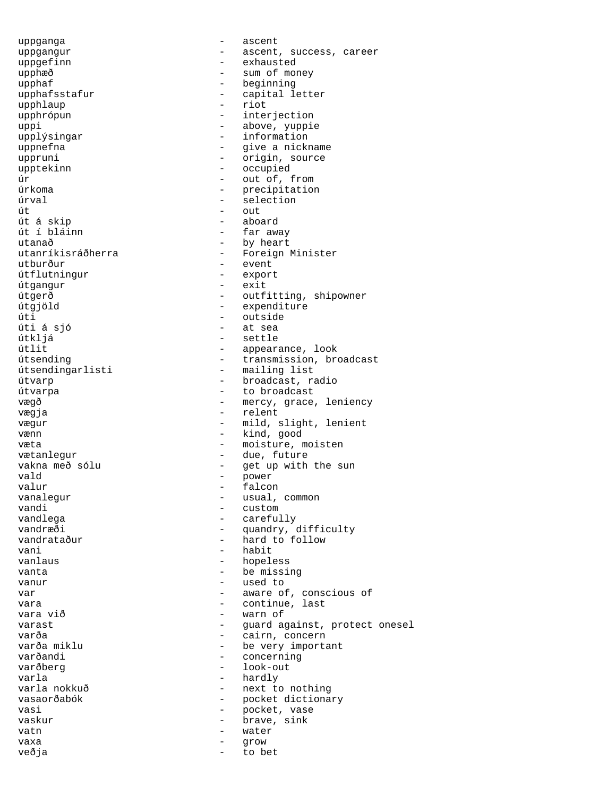uppganga - ascent uppgefinn - exhausted upphæð - sum of money upphaf<br>upphafsstafur - beginning<br>- capital le upphlaup - riot uppi - above, yuppie upplýsingar  $-$  information uppnefna - give a nickname uppruni - origin, source upptekinn - occupied úr - out of, from úrkoma - precipitation úrval - selection út á skip - aboard út í bláinn - far away utanað - by heart utanríkisráðherra - Foreign Minister<br>utburður - event útflutningur - export - export - export - export - export - export - export - export - export - export - export útgangur úti - outside úti á sjó - at sea útkljá - settle útlit - appearance, look útsendingarlisti - mailing list útvarp - broadcast, radio útvarpa - to broadcast vægja en større og en større og en større og en større og en større og en større og en større og en større og vænn  $-$  kind, good vætanlegur - due, future vald - power valur - falcon vandi - custom vandlega - carefully vani - habit vanlaus - hopeless vanta  $\qquad \qquad -$  be missing vanur - used to vara  $\begin{array}{ccc} 0 & \text{var} & \text{var} \\ \text{var} & \text{var} & \text{var} \end{array}$ varða - cairn, concern<br>varða miklu - - - - - - - - - - be very importa varðandi - concerning varla - hardly varla nokkuð  $-$  next to nothing vasi - pocket, vase - vaskur - pocket, vase - vaskur - vase - vase - vase - vase - vase - vase - vase - vase vaskur - brave, sink vatn - water vaxa - grow veðja - to bet

uppgangur - ascent, success, career - capital letter - interjection out<br>aboard - event<br>- export útgerð - outfitting, shipowner - expenditure - transmission, broadcast vægð  $-$  mercy, grace, leniency vægur - mild, slight, lenient væta  $-$  moisture, moisten vakna með sólu - - get up with the sun - usual, common vandræði - quandry, difficulty<br>
vandrataður - hard to follow - hard to follow var  $-$  aware of, conscious of - warn of varast - guard against, protect onesel varða miklu - be very important<br>
varðandi - concerning - look-out vasaorðabók - pocket dictionary<br>vasi - pocket vase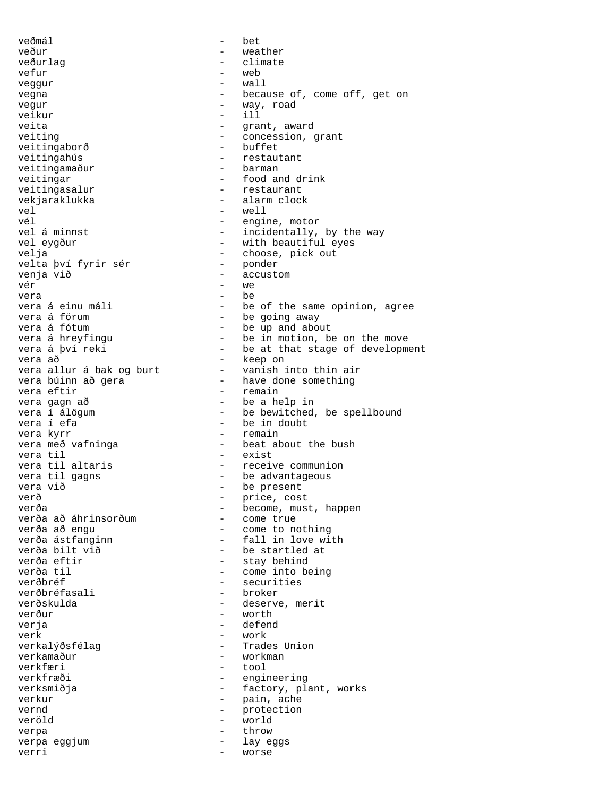veðmál - bet veður - weather veðurlag - climate vefur - web veggur - wall vegna  $-$  because of, come off, get on vegur - way, road veikur – ill<br>veita – sammen – ill<br>eita – grau veiting  $-$  concession, grant<br>veitingaborð - buffet veitingaborð veitingahús<br>
veitingamaður<br>
veitingamaður<br>
2001 - barman veitingamaður veitingar - food and drink veitingasalur - restaurant vekjaraklukka - alarm clock vel - well vél - engine, motor vel á minnst<br>
vel eygður<br>
vel eygður<br>
- with beautiful eyes vel eygður - with beautiful eyes<br>
velja - choose, pick out velta því fyrir sér venja við 1999 - accustom - accustom - accustom - accustom - accustom - accustom - accustom - accustom - accustom - accustom - accustom - accustom - accustom - accustom - accustom - accustom - accustom - accustom - accusto  $v$ ér  $-$  we vera - be vera á förum  $-$  be going away<br>vera á fótum  $-$  be up and abo vera á fótum<br>vera á hreyfingu (1999) - be in motion, b vera á hreyfingu<br>
vera á því reki<br>
- be at that stage of developm vera að  $\overline{\phantom{a}}$  - keep on vera allur á bak og burt - vanish into thin air vera búinn að gera have done something vera eftir - remain vera gagn að - be a help in vera í álögum - be bewitched, be spellbound<br>vera í efa - be in doubt vera kyrr  $-$  remain vera með vafninga - 1999 - beat about the bush vera til - exist vera til gagns and the set of the advantageous<br>vera við de set of the present verð - price, cost<br>verða - hecome mus verða að áhrinsorðum<br>verða að engu verða ástfanginn - fall in love with<br>verða bilt við - be startled at verða bilt við - be startled at verða til en menni verða til en menni verða til stærst en menni verða til stærst en menni verða til stærst en m verðbréf - securities<br>verðbréfasali - broker - broker verðbréfasali verðskulda - deserve, merit verður - worth verja - defend verk - work verkalýðsfélag - Trades Union<br>verkamaður - Trades Union - workman verkfæri - tool verkfræði - engineering verksmiðja - factory, plant, works vernd - protection veröld - world verpa - throw verpa eggjum verri - worse

- grant, award - choose, pick out<br>- ponder - be of the same opinion, agree vera *mores* ,<br>- be at that stage of development - be in doubt - receive communion - be present - become, must, happen<br>- come true - come to nothing - stay behind - pain, ache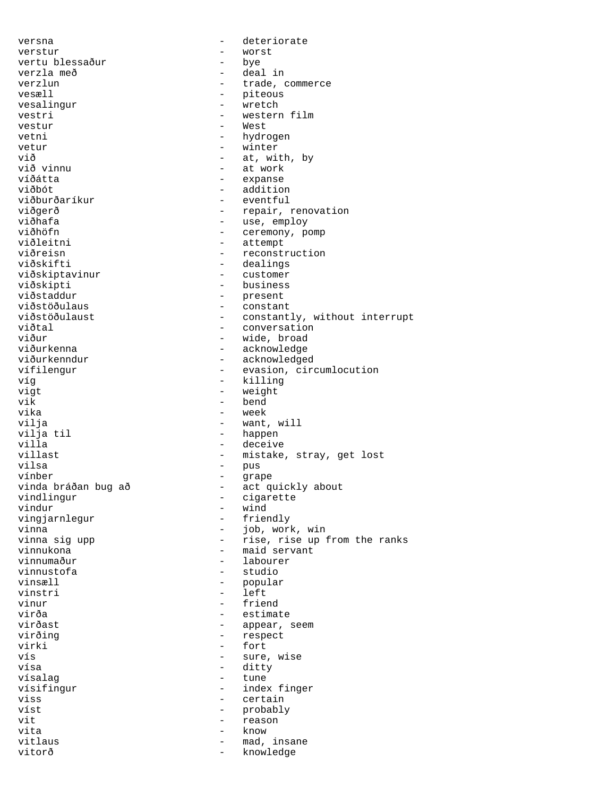versna - deteriorate verstur - worst vertu blessaður - bye vertu blessaður<br>verzla með - deal in verzlun - trade, commerce vesæll - trade, commerce - piteous<br>- wretch vesalingur - wretch vestri - western film<br>vestur - West - West vetni - hydrogen vetur – winter<br>
við – at wil við - at, with, by við vinnu - at work - expanse viðbót - addition viðburðaríkur - eventful<br>viðgerð - repair, : viðgerð  $-$  repair, renovation<br>viðhafa - - - - - - - use, employ viðhafa - use, employ<br>viðhöfn - ceremony, p viðhöfn - ceremony, pomp<br>viðleitni - ceremony, pomp viðleitni - attempt<br>viðreisn - reconsti viðreisn - reconstruction<br>viðskifti - reconstruction<br>- dealings - dealings<br>- customer viðskiptavinur viðskipti - business<br>viðstaddur - - business viðstaddur - present<br>viðstöðulaus - constan - constant viðstöðulaust - constantly, without interrupt<br>viðtal - conversation viðtal - conversation viður - wide, broad<br>viðurkenna - markonaleit - acknowledge viðurkenna - acknowledge<br>viðurkenndur - acknowledge viðurkenndur - acknowledged<br>vífilengur - evasion, cir vífilengur - evasion, circumlocution<br>víg - killing víg - killing vigt - weight<br>
vik - bend vik - bend<br>vika - week vika - week vilja - want, will<br>
vilja til - happen vilja til - happen - deceive villast - mistake, stray, get lost vilsa - pus vínber - grape vinda bráðan bug að - act quickly about vindlingur - cigarette<br>vindur - wind - wind<br>- friendly vingjarnlegur<br>vinna vinna  $\frac{1}{2}$  vinna siq upp  $\frac{1}{2}$  - job, work, win vinna sig upp  $\begin{array}{ccc} - & \text{rise, rise up from the ranks} \\ - & \text{mag} \end{array}$ vinnukona - maid servant<br>vinnumaður - labourer - labourer vinnumaður - labourer vinnustofa - studio vinsæll <br/>  $\qquad \qquad$  - popular  $\qquad \qquad$ vinstri - left vinur - friend virða - estimate - appear, seem virðing - respect virki - fort<br>vís - sure vís - sure, wise vísa - ditty vísalag - tune - index finger viss - certain víst - probably vit the contract of the contract of the contract of the contract of the contract of the contract of the contract of the contract of the contract of the contract of the contract of the contract of the contract of the contra vita - know vitlaus - mad, insane vitorð - knowledge